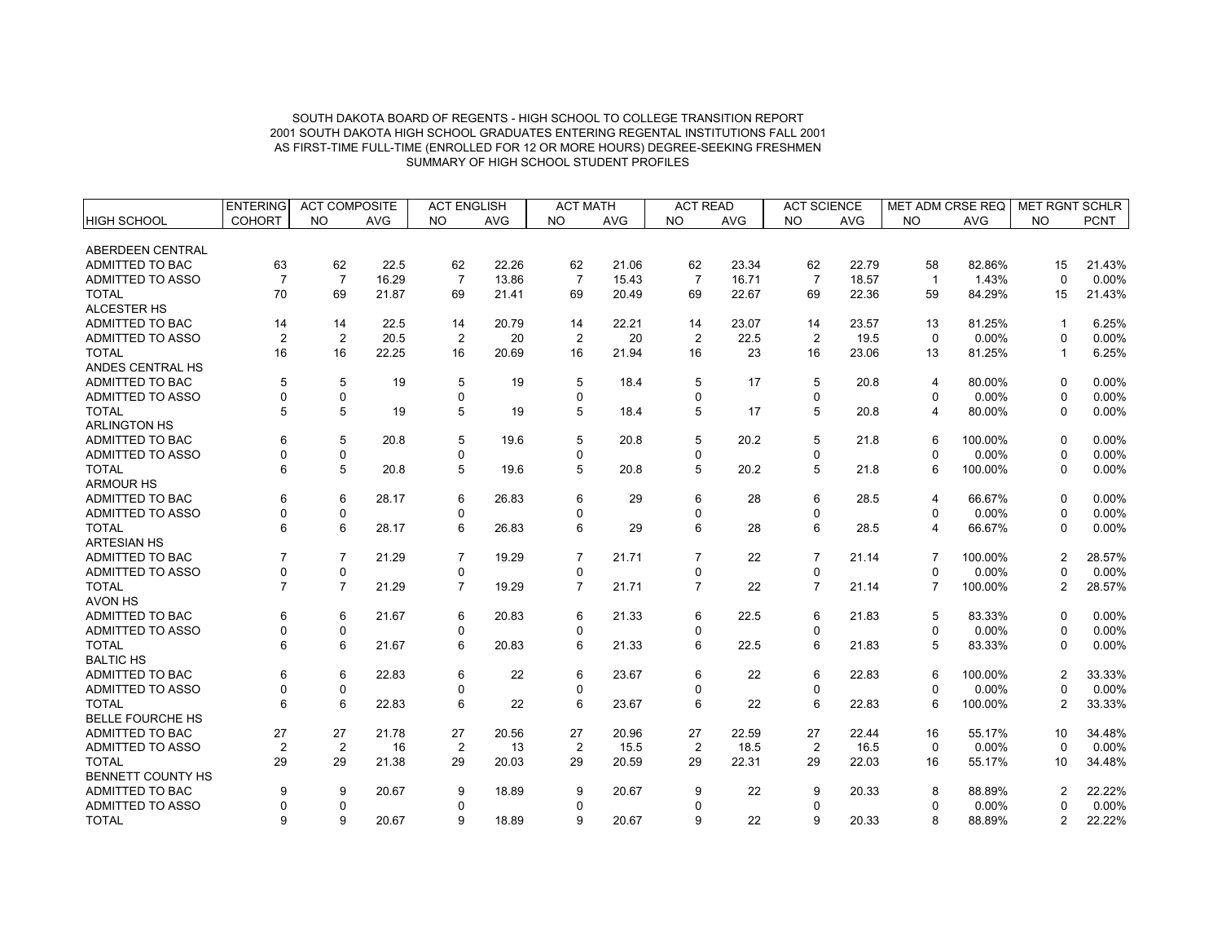|                         | <b>ENTERING</b> | <b>ACT COMPOSITE</b> |            | <b>ACT ENGLISH</b> |            | <b>ACT MATH</b> |            | <b>ACT READ</b> |            | <b>ACT SCIENCE</b> |            | <b>MET ADM CRSE REQ</b> |            | <b>MET RGNT SCHLR</b> |             |
|-------------------------|-----------------|----------------------|------------|--------------------|------------|-----------------|------------|-----------------|------------|--------------------|------------|-------------------------|------------|-----------------------|-------------|
| <b>HIGH SCHOOL</b>      | <b>COHORT</b>   | <b>NO</b>            | <b>AVG</b> | <b>NO</b>          | <b>AVG</b> | <b>NO</b>       | <b>AVG</b> | <b>NO</b>       | <b>AVG</b> | <b>NO</b>          | <b>AVG</b> | <b>NO</b>               | <b>AVG</b> | <b>NO</b>             | <b>PCNT</b> |
| ABERDEEN CENTRAL        |                 |                      |            |                    |            |                 |            |                 |            |                    |            |                         |            |                       |             |
| ADMITTED TO BAC         | 63              | 62                   | 22.5       | 62                 | 22.26      | 62              | 21.06      | 62              | 23.34      | 62                 | 22.79      | 58                      | 82.86%     | 15                    | 21.43%      |
| <b>ADMITTED TO ASSO</b> | $\overline{7}$  | $\overline{7}$       | 16.29      | $\overline{7}$     | 13.86      | $\overline{7}$  | 15.43      | $\overline{7}$  | 16.71      | $\overline{7}$     | 18.57      | $\overline{1}$          | 1.43%      | $\Omega$              | $0.00\%$    |
| <b>TOTAL</b>            | 70              | 69                   | 21.87      | 69                 | 21.41      | 69              | 20.49      | 69              | 22.67      | 69                 | 22.36      | 59                      | 84.29%     | 15                    | 21.43%      |
| ALCESTER HS             |                 |                      |            |                    |            |                 |            |                 |            |                    |            |                         |            |                       |             |
| ADMITTED TO BAC         | 14              | 14                   | 22.5       | 14                 | 20.79      | 14              | 22.21      | 14              | 23.07      | 14                 | 23.57      | 13                      | 81.25%     | -1                    | 6.25%       |
| ADMITTED TO ASSO        | $\overline{2}$  | $\overline{2}$       | 20.5       | $\overline{2}$     | 20         | 2               | 20         | $\overline{2}$  | 22.5       | $\overline{2}$     | 19.5       | $\mathbf 0$             | 0.00%      | $\Omega$              | 0.00%       |
| <b>TOTAL</b>            | 16              | 16                   | 22.25      | 16                 | 20.69      | 16              | 21.94      | 16              | 23         | 16                 | 23.06      | 13                      | 81.25%     | -1                    | 6.25%       |
| ANDES CENTRAL HS        |                 |                      |            |                    |            |                 |            |                 |            |                    |            |                         |            |                       |             |
| ADMITTED TO BAC         | 5               | 5                    | 19         | 5                  | 19         | 5               | 18.4       | 5               | 17         | 5                  | 20.8       | $\overline{4}$          | 80.00%     | $\Omega$              | 0.00%       |
| ADMITTED TO ASSO        | $\Omega$        | 0                    |            | 0                  |            | $\Omega$        |            | $\Omega$        |            | 0                  |            | $\mathbf 0$             | 0.00%      | $\Omega$              | 0.00%       |
| <b>TOTAL</b>            | 5               | 5                    | 19         | 5                  | 19         | 5               | 18.4       | 5               | 17         | 5                  | 20.8       | $\overline{4}$          | 80.00%     | $\Omega$              | 0.00%       |
| <b>ARLINGTON HS</b>     |                 |                      |            |                    |            |                 |            |                 |            |                    |            |                         |            |                       |             |
| ADMITTED TO BAC         | 6               | 5                    | 20.8       | 5                  | 19.6       | 5               | 20.8       | 5               | 20.2       | 5                  | 21.8       | 6                       | 100.00%    | $\Omega$              | 0.00%       |
| <b>ADMITTED TO ASSO</b> |                 | 0                    |            | 0                  |            | $\Omega$        |            | 0               |            | 0                  |            | $\Omega$                | 0.00%      | $\Omega$              | 0.00%       |
| <b>TOTAL</b>            | 6               | 5                    | 20.8       | 5                  | 19.6       | 5               | 20.8       | 5               | 20.2       | 5                  | 21.8       | 6                       | 100.00%    | $\Omega$              | 0.00%       |
| <b>ARMOUR HS</b>        |                 |                      |            |                    |            |                 |            |                 |            |                    |            |                         |            |                       |             |
| ADMITTED TO BAC         | 6               | 6                    | 28.17      | 6                  | 26.83      | 6               | 29         | 6               | 28         | 6                  | 28.5       | $\overline{4}$          | 66.67%     | $\Omega$              | $0.00\%$    |
| ADMITTED TO ASSO        | ∩               | 0                    |            | 0                  |            | $\Omega$        |            | $\Omega$        |            | $\Omega$           |            | $\Omega$                | 0.00%      | $\Omega$              | 0.00%       |
| <b>TOTAL</b>            | 6               | 6                    | 28.17      | 6                  | 26.83      | 6               | 29         | 6               | 28         | 6                  | 28.5       | $\overline{4}$          | 66.67%     | $\Omega$              | 0.00%       |
| <b>ARTESIAN HS</b>      |                 |                      |            |                    |            |                 |            |                 |            |                    |            |                         |            |                       |             |
| ADMITTED TO BAC         |                 | $\overline{7}$       | 21.29      | $\overline{7}$     | 19.29      | $\overline{7}$  | 21.71      | $\overline{7}$  | 22         | $\overline{7}$     | 21.14      | 7                       | 100.00%    | 2                     | 28.57%      |
| <b>ADMITTED TO ASSO</b> | $\Omega$        | 0                    |            | $\mathbf 0$        |            | $\mathbf 0$     |            | $\Omega$        |            | $\mathbf 0$        |            | $\mathbf 0$             | 0.00%      | $\Omega$              | 0.00%       |
| <b>TOTAL</b>            | $\overline{7}$  | $\overline{7}$       | 21.29      | $\overline{7}$     | 19.29      | $\overline{7}$  | 21.71      | $\overline{7}$  | 22         | $\overline{7}$     | 21.14      | $\overline{7}$          | 100.00%    | $\overline{2}$        | 28.57%      |
| <b>AVON HS</b>          |                 |                      |            |                    |            |                 |            |                 |            |                    |            |                         |            |                       |             |
| ADMITTED TO BAC         | 6               | 6                    | 21.67      | 6                  | 20.83      | 6               | 21.33      | 6               | 22.5       | 6                  | 21.83      | 5                       | 83.33%     | $\Omega$              | 0.00%       |
| ADMITTED TO ASSO        | $\Omega$        | 0                    |            | 0                  |            | $\mathbf 0$     |            | $\Omega$        |            | 0                  |            | $\mathbf 0$             | 0.00%      | $\Omega$              | 0.00%       |
| <b>TOTAL</b>            | 6               | 6                    | 21.67      | 6                  | 20.83      | 6               | 21.33      | 6               | 22.5       | 6                  | 21.83      | 5                       | 83.33%     | $\Omega$              | 0.00%       |
| <b>BALTIC HS</b>        |                 |                      |            |                    |            |                 |            |                 |            |                    |            |                         |            |                       |             |
| <b>ADMITTED TO BAC</b>  | 6               | 6                    | 22.83      | 6                  | 22         | 6               | 23.67      | 6               | 22         | 6                  | 22.83      | 6                       | 100.00%    | $\overline{2}$        | 33.33%      |
| ADMITTED TO ASSO        | $\Omega$        | 0                    |            | 0                  |            | $\mathbf 0$     |            | $\Omega$        |            | 0                  |            | $\mathbf 0$             | 0.00%      | $\Omega$              | 0.00%       |
| <b>TOTAL</b>            | 6               | 6                    | 22.83      | 6                  | 22         | 6               | 23.67      | 6               | 22         | 6                  | 22.83      | 6                       | 100.00%    | $\overline{2}$        | 33.33%      |
| <b>BELLE FOURCHE HS</b> |                 |                      |            |                    |            |                 |            |                 |            |                    |            |                         |            |                       |             |
| ADMITTED TO BAC         | 27              | 27                   | 21.78      | 27                 | 20.56      | 27              | 20.96      | 27              | 22.59      | 27                 | 22.44      | 16                      | 55.17%     | 10                    | 34.48%      |
| ADMITTED TO ASSO        | $\overline{2}$  | $\overline{2}$       | 16         | 2                  | 13         | $\overline{2}$  | 15.5       | $\overline{2}$  | 18.5       | 2                  | 16.5       | $\pmb{0}$               | 0.00%      | $\Omega$              | 0.00%       |
| <b>TOTAL</b>            | 29              | 29                   | 21.38      | 29                 | 20.03      | 29              | 20.59      | 29              | 22.31      | 29                 | 22.03      | 16                      | 55.17%     | 10                    | 34.48%      |
| BENNETT COUNTY HS       |                 |                      |            |                    |            |                 |            |                 |            |                    |            |                         |            |                       |             |
| ADMITTED TO BAC         | 9               | 9                    | 20.67      | 9                  | 18.89      | 9               | 20.67      | 9               | 22         | 9                  | 20.33      | 8                       | 88.89%     |                       | 22.22%      |
| ADMITTED TO ASSO        | $\Omega$        | 0                    |            | 0                  |            | 0               |            | $\mathbf 0$     |            | $\mathbf 0$        |            | $\mathbf 0$             | 0.00%      | $\Omega$              | 0.00%       |
| <b>TOTAL</b>            | 9               | 9                    | 20.67      | 9                  | 18.89      | 9               | 20.67      | 9               | 22         | 9                  | 20.33      | 8                       | 88.89%     | 2                     | 22.22%      |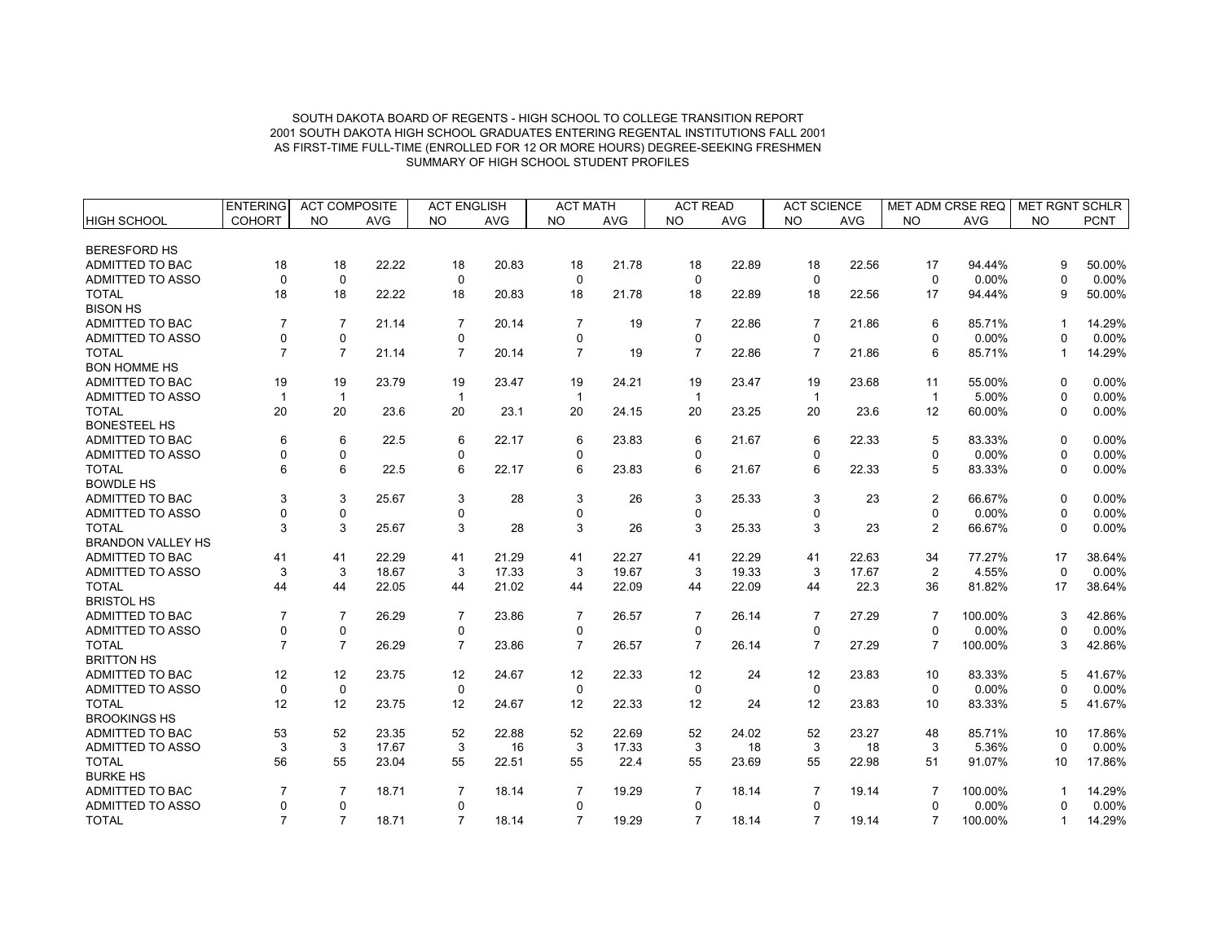|                          | <b>ENTERING</b> | <b>ACT COMPOSITE</b> |            | <b>ACT ENGLISH</b> |            | <b>ACT MATH</b> |            | <b>ACT READ</b> |            | <b>ACT SCIENCE</b> |            | MET ADM CRSE REQ |            | <b>MET RGNT SCHLR</b> |             |
|--------------------------|-----------------|----------------------|------------|--------------------|------------|-----------------|------------|-----------------|------------|--------------------|------------|------------------|------------|-----------------------|-------------|
| <b>HIGH SCHOOL</b>       | <b>COHORT</b>   | <b>NO</b>            | <b>AVG</b> | <b>NO</b>          | <b>AVG</b> | <b>NO</b>       | <b>AVG</b> | <b>NO</b>       | <b>AVG</b> | <b>NO</b>          | <b>AVG</b> | <b>NO</b>        | <b>AVG</b> | <b>NO</b>             | <b>PCNT</b> |
|                          |                 |                      |            |                    |            |                 |            |                 |            |                    |            |                  |            |                       |             |
| <b>BERESFORD HS</b>      |                 |                      |            |                    |            |                 |            |                 |            |                    |            |                  |            |                       |             |
| ADMITTED TO BAC          | 18              | 18                   | 22.22      | 18                 | 20.83      | 18              | 21.78      | 18              | 22.89      | 18                 | 22.56      | 17               | 94.44%     | 9                     | 50.00%      |
| <b>ADMITTED TO ASSO</b>  | $\Omega$        | 0                    |            | $\mathbf 0$        |            | $\mathbf 0$     |            | $\Omega$        |            | $\Omega$           |            | $\mathbf 0$      | 0.00%      | $\Omega$              | 0.00%       |
| <b>TOTAL</b>             | 18              | 18                   | 22.22      | 18                 | 20.83      | 18              | 21.78      | 18              | 22.89      | 18                 | 22.56      | 17               | 94.44%     | 9                     | 50.00%      |
| <b>BISON HS</b>          |                 |                      |            |                    |            |                 |            |                 |            |                    |            |                  |            |                       |             |
| <b>ADMITTED TO BAC</b>   | $\overline{7}$  | $\overline{7}$       | 21.14      | $\overline{7}$     | 20.14      | $\overline{7}$  | 19         | $\overline{7}$  | 22.86      | $\overline{7}$     | 21.86      | 6                | 85.71%     | $\mathbf 1$           | 14.29%      |
| <b>ADMITTED TO ASSO</b>  | $\Omega$        | $\mathbf 0$          |            | 0                  |            | 0               |            | 0               |            | 0                  |            | $\Omega$         | 0.00%      | $\Omega$              | $0.00\%$    |
| <b>TOTAL</b>             | $\overline{7}$  | $\overline{7}$       | 21.14      | $\overline{7}$     | 20.14      | $\overline{7}$  | 19         | $\overline{7}$  | 22.86      | $\overline{7}$     | 21.86      | 6                | 85.71%     | $\mathbf{1}$          | 14.29%      |
| <b>BON HOMME HS</b>      |                 |                      |            |                    |            |                 |            |                 |            |                    |            |                  |            |                       |             |
| ADMITTED TO BAC          | 19              | 19                   | 23.79      | 19                 | 23.47      | 19              | 24.21      | 19              | 23.47      | 19                 | 23.68      | 11               | 55.00%     | $\Omega$              | 0.00%       |
| ADMITTED TO ASSO         | $\mathbf{1}$    | $\overline{1}$       |            | -1                 |            | $\mathbf 1$     |            | $\overline{1}$  |            | $\overline{1}$     |            | $\mathbf{1}$     | 5.00%      | $\Omega$              | $0.00\%$    |
| <b>TOTAL</b>             | 20              | 20                   | 23.6       | 20                 | 23.1       | 20              | 24.15      | 20              | 23.25      | 20                 | 23.6       | 12               | 60.00%     | $\Omega$              | 0.00%       |
| <b>BONESTEEL HS</b>      |                 |                      |            |                    |            |                 |            |                 |            |                    |            |                  |            |                       |             |
| ADMITTED TO BAC          | 6               | 6                    | 22.5       | 6                  | 22.17      | 6               | 23.83      | 6               | 21.67      | 6                  | 22.33      | 5                | 83.33%     | $\Omega$              | 0.00%       |
| ADMITTED TO ASSO         | $\Omega$        | $\pmb{0}$            |            | 0                  |            | 0               |            | 0               |            | 0                  |            | $\mathbf 0$      | 0.00%      | $\Omega$              | 0.00%       |
| <b>TOTAL</b>             | 6               | 6                    | 22.5       | 6                  | 22.17      | 6               | 23.83      | 6               | 21.67      | 6                  | 22.33      | 5                | 83.33%     | $\Omega$              | 0.00%       |
| <b>BOWDLE HS</b>         |                 |                      |            |                    |            |                 |            |                 |            |                    |            |                  |            |                       |             |
| ADMITTED TO BAC          | 3               | 3                    | 25.67      | 3                  | 28         | 3               | 26         | 3               | 25.33      | 3                  | 23         | $\overline{2}$   | 66.67%     | $\Omega$              | 0.00%       |
| ADMITTED TO ASSO         |                 | $\mathbf 0$          |            | 0                  |            | $\Omega$        |            | $\mathbf 0$     |            | 0                  |            | $\mathbf 0$      | 0.00%      | $\Omega$              | 0.00%       |
| <b>TOTAL</b>             | 3               | 3                    | 25.67      | 3                  | 28         | 3               | 26         | 3               | 25.33      | 3                  | 23         | 2                | 66.67%     | $\Omega$              | 0.00%       |
| <b>BRANDON VALLEY HS</b> |                 |                      |            |                    |            |                 |            |                 |            |                    |            |                  |            |                       |             |
| <b>ADMITTED TO BAC</b>   | 41              | 41                   | 22.29      | 41                 | 21.29      | 41              | 22.27      | 41              | 22.29      | 41                 | 22.63      | 34               | 77.27%     | 17                    | 38.64%      |
| ADMITTED TO ASSO         | 3               | 3                    | 18.67      | 3                  | 17.33      | 3               | 19.67      | 3               | 19.33      | 3                  | 17.67      | 2                | 4.55%      | $\Omega$              | 0.00%       |
| <b>TOTAL</b>             | 44              | 44                   | 22.05      | 44                 | 21.02      | 44              | 22.09      | 44              | 22.09      | 44                 | 22.3       | 36               | 81.82%     | 17                    | 38.64%      |
| <b>BRISTOL HS</b>        |                 |                      |            |                    |            |                 |            |                 |            |                    |            |                  |            |                       |             |
| <b>ADMITTED TO BAC</b>   | $\overline{7}$  | $\overline{7}$       | 26.29      | $\overline{7}$     | 23.86      | $\overline{7}$  | 26.57      | $\overline{7}$  | 26.14      | $\overline{7}$     | 27.29      | $\overline{7}$   | 100.00%    | 3                     | 42.86%      |
| <b>ADMITTED TO ASSO</b>  | $\Omega$        | $\mathbf 0$          |            | $\mathbf 0$        |            | $\mathbf 0$     |            | $\Omega$        |            | 0                  |            | $\mathbf 0$      | 0.00%      | $\Omega$              | 0.00%       |
| <b>TOTAL</b>             | $\overline{7}$  | $\overline{7}$       | 26.29      | $\overline{7}$     | 23.86      | $\overline{7}$  | 26.57      | $\overline{7}$  | 26.14      | $\overline{7}$     | 27.29      | $\overline{7}$   | 100.00%    | 3                     | 42.86%      |
| <b>BRITTON HS</b>        |                 |                      |            |                    |            |                 |            |                 |            |                    |            |                  |            |                       |             |
| <b>ADMITTED TO BAC</b>   | 12              | 12                   | 23.75      | 12                 | 24.67      | 12              | 22.33      | 12              | 24         | 12                 | 23.83      | 10               | 83.33%     |                       | 41.67%      |
| <b>ADMITTED TO ASSO</b>  | $\mathbf 0$     | 0                    |            | $\mathbf 0$        |            | $\mathbf 0$     |            | $\mathbf 0$     |            | $\mathbf 0$        |            | $\mathbf 0$      | 0.00%      | 0                     | 0.00%       |
| <b>TOTAL</b>             | 12              | 12                   | 23.75      | 12                 | 24.67      | 12              | 22.33      | 12              | 24         | 12                 | 23.83      | 10               | 83.33%     | 5                     | 41.67%      |
| <b>BROOKINGS HS</b>      |                 |                      |            |                    |            |                 |            |                 |            |                    |            |                  |            |                       |             |
| <b>ADMITTED TO BAC</b>   | 53              | 52                   | 23.35      | 52                 | 22.88      | 52              | 22.69      | 52              | 24.02      | 52                 | 23.27      | 48               | 85.71%     | 10                    | 17.86%      |
| ADMITTED TO ASSO         | 3               | 3                    | 17.67      | 3                  | 16         | 3               | 17.33      | 3               | 18         | 3                  | 18         | 3                | 5.36%      | $\Omega$              | 0.00%       |
| <b>TOTAL</b>             | 56              | 55                   | 23.04      | 55                 | 22.51      | 55              | 22.4       | 55              | 23.69      | 55                 | 22.98      | 51               | 91.07%     | 10                    | 17.86%      |
| <b>BURKE HS</b>          |                 |                      |            |                    |            |                 |            |                 |            |                    |            |                  |            |                       |             |
| ADMITTED TO BAC          | $\overline{7}$  | $\overline{7}$       | 18.71      | $\overline{7}$     | 18.14      | $\overline{7}$  | 19.29      | $\overline{7}$  | 18.14      | $\overline{7}$     | 19.14      | 7                | 100.00%    |                       | 14.29%      |
| ADMITTED TO ASSO         | $\Omega$        | $\mathbf 0$          |            | $\mathbf 0$        |            | $\mathbf 0$     |            | $\mathbf 0$     |            | 0                  |            | $\mathbf 0$      | 0.00%      |                       | 0.00%       |
| <b>TOTAL</b>             | $\overline{7}$  | $\overline{7}$       |            | $\overline{7}$     |            | $\overline{7}$  |            | $\overline{7}$  |            | $\overline{7}$     |            | $\overline{7}$   |            |                       |             |
|                          |                 |                      | 18.71      |                    | 18.14      |                 | 19.29      |                 | 18.14      |                    | 19.14      |                  | 100.00%    | 1                     | 14.29%      |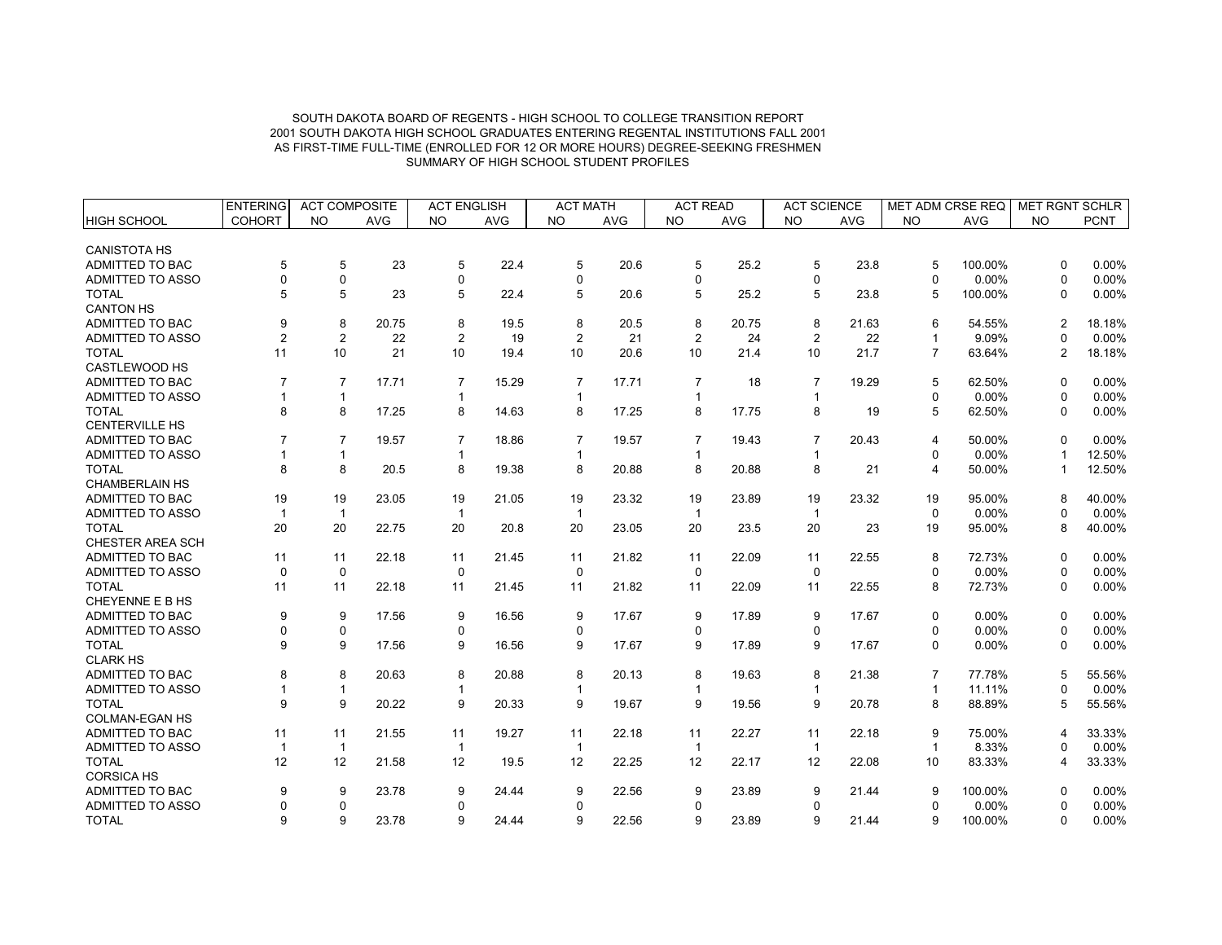|                         | <b>ENTERING</b> | <b>ACT COMPOSITE</b> |            | <b>ACT ENGLISH</b> |            | <b>ACT MATH</b> |            | <b>ACT READ</b> |            | <b>ACT SCIENCE</b> |            | MET ADM CRSE REQ |            | MET RGNT SCHLR |             |
|-------------------------|-----------------|----------------------|------------|--------------------|------------|-----------------|------------|-----------------|------------|--------------------|------------|------------------|------------|----------------|-------------|
| HIGH SCHOOL             | <b>COHORT</b>   | <b>NO</b>            | <b>AVG</b> | <b>NO</b>          | <b>AVG</b> | <b>NO</b>       | <b>AVG</b> | <b>NO</b>       | <b>AVG</b> | <b>NO</b>          | <b>AVG</b> | <b>NO</b>        | <b>AVG</b> | <b>NO</b>      | <b>PCNT</b> |
|                         |                 |                      |            |                    |            |                 |            |                 |            |                    |            |                  |            |                |             |
| <b>CANISTOTA HS</b>     |                 |                      |            |                    |            |                 |            |                 |            |                    |            |                  |            |                |             |
| ADMITTED TO BAC         | 5               | 5                    | 23         | 5                  | 22.4       | 5               | 20.6       | 5               | 25.2       | 5                  | 23.8       | 5                | 100.00%    | $\Omega$       | 0.00%       |
| <b>ADMITTED TO ASSO</b> | $\Omega$        | 0                    |            | 0                  |            | $\Omega$        |            | $\Omega$        |            | $\Omega$           |            | $\Omega$         | 0.00%      | $\Omega$       | 0.00%       |
| <b>TOTAL</b>            | 5               | 5                    | 23         | 5                  | 22.4       | 5               | 20.6       | 5               | 25.2       | 5                  | 23.8       | 5                | 100.00%    | $\Omega$       | 0.00%       |
| <b>CANTON HS</b>        |                 |                      |            |                    |            |                 |            |                 |            |                    |            |                  |            |                |             |
| ADMITTED TO BAC         | 9               | 8                    | 20.75      | 8                  | 19.5       | 8               | 20.5       | 8               | 20.75      | 8                  | 21.63      | 6                | 54.55%     | $\overline{2}$ | 18.18%      |
| ADMITTED TO ASSO        | $\overline{2}$  | $\overline{2}$       | 22         | $\overline{2}$     | 19         | $\overline{2}$  | 21         | $\overline{2}$  | 24         | $\overline{2}$     | 22         | $\mathbf{1}$     | 9.09%      | $\Omega$       | 0.00%       |
| <b>TOTAL</b>            | 11              | 10                   | 21         | 10                 | 19.4       | 10              | 20.6       | 10              | 21.4       | 10                 | 21.7       | $\overline{7}$   | 63.64%     | $\overline{c}$ | 18.18%      |
| <b>CASTLEWOOD HS</b>    |                 |                      |            |                    |            |                 |            |                 |            |                    |            |                  |            |                |             |
| ADMITTED TO BAC         | $\overline{7}$  | $\overline{7}$       | 17.71      | $\overline{7}$     | 15.29      | $\overline{7}$  | 17.71      | $\overline{7}$  | 18         | $\overline{7}$     | 19.29      | 5                | 62.50%     | $\Omega$       | 0.00%       |
| <b>ADMITTED TO ASSO</b> |                 | $\mathbf{1}$         |            |                    |            |                 |            |                 |            | 1                  |            | $\mathbf 0$      | 0.00%      | $\Omega$       | 0.00%       |
| <b>TOTAL</b>            | 8               | 8                    | 17.25      | 8                  | 14.63      | 8               | 17.25      | 8               | 17.75      | 8                  | 19         | 5                | 62.50%     | $\mathbf{0}$   | 0.00%       |
| <b>CENTERVILLE HS</b>   |                 |                      |            |                    |            |                 |            |                 |            |                    |            |                  |            |                |             |
| ADMITTED TO BAC         |                 | $\overline{7}$       | 19.57      | $\overline{7}$     | 18.86      | $\overline{7}$  | 19.57      | $\overline{7}$  | 19.43      | $\overline{7}$     | 20.43      | 4                | 50.00%     | $\Omega$       | 0.00%       |
| <b>ADMITTED TO ASSO</b> |                 | $\mathbf{1}$         |            |                    |            |                 |            |                 |            | $\overline{1}$     |            | $\Omega$         | 0.00%      |                | 12.50%      |
| <b>TOTAL</b>            | 8               | 8                    | 20.5       | 8                  | 19.38      | 8               | 20.88      | 8               | 20.88      | 8                  | 21         | 4                | 50.00%     | 1              | 12.50%      |
| <b>CHAMBERLAIN HS</b>   |                 |                      |            |                    |            |                 |            |                 |            |                    |            |                  |            |                |             |
| ADMITTED TO BAC         | 19              | 19                   | 23.05      | 19                 | 21.05      | 19              | 23.32      | 19              | 23.89      | 19                 | 23.32      | 19               | 95.00%     | 8              | 40.00%      |
| <b>ADMITTED TO ASSO</b> | $\mathbf 1$     | $\mathbf{1}$         |            |                    |            | $\mathbf 1$     |            | $\mathbf{1}$    |            | $\overline{1}$     |            | $\Omega$         | 0.00%      | $\Omega$       | 0.00%       |
| <b>TOTAL</b>            | 20              | 20                   | 22.75      | 20                 | 20.8       | 20              | 23.05      | 20              | 23.5       | 20                 | 23         | 19               | 95.00%     | 8              | 40.00%      |
| CHESTER AREA SCH        |                 |                      |            |                    |            |                 |            |                 |            |                    |            |                  |            |                |             |
| ADMITTED TO BAC         | 11              | 11                   | 22.18      | 11                 | 21.45      | 11              | 21.82      | 11              | 22.09      | 11                 | 22.55      | 8                | 72.73%     | $\Omega$       | 0.00%       |
| <b>ADMITTED TO ASSO</b> | $\mathbf 0$     | $\mathbf 0$          |            | $\mathbf 0$        |            | $\mathbf 0$     |            | $\mathbf 0$     |            | $\mathbf 0$        |            | $\mathbf 0$      | 0.00%      | $\Omega$       | 0.00%       |
| <b>TOTAL</b>            | 11              | 11                   | 22.18      | 11                 | 21.45      | 11              | 21.82      | 11              | 22.09      | 11                 | 22.55      | 8                | 72.73%     | 0              | 0.00%       |
| CHEYENNE E B HS         |                 |                      |            |                    |            |                 |            |                 |            |                    |            |                  |            |                |             |
| <b>ADMITTED TO BAC</b>  | 9               | 9                    | 17.56      | 9                  | 16.56      | 9               | 17.67      | 9               | 17.89      | 9                  | 17.67      | 0                | 0.00%      | $\Omega$       | 0.00%       |
| ADMITTED TO ASSO        | $\Omega$        | 0                    |            | 0                  |            | $\mathbf 0$     |            | 0               |            | $\mathbf 0$        |            | $\mathbf 0$      | 0.00%      | $\Omega$       | 0.00%       |
| <b>TOTAL</b>            | 9               | 9                    | 17.56      | 9                  | 16.56      | 9               | 17.67      | 9               | 17.89      | 9                  | 17.67      | $\mathbf 0$      | 0.00%      | 0              | 0.00%       |
| <b>CLARK HS</b>         |                 |                      |            |                    |            |                 |            |                 |            |                    |            |                  |            |                |             |
| <b>ADMITTED TO BAC</b>  | 8               | 8                    | 20.63      | 8                  | 20.88      | 8               | 20.13      | 8               | 19.63      | 8                  | 21.38      | $\overline{7}$   | 77.78%     | 5              | 55.56%      |
| ADMITTED TO ASSO        |                 | $\mathbf{1}$         |            | 1                  |            | 1               |            | 1               |            | $\mathbf{1}$       |            | $\mathbf{1}$     | 11.11%     | $\Omega$       | 0.00%       |
| <b>TOTAL</b>            | 9               | 9                    | 20.22      | 9                  | 20.33      | 9               | 19.67      | 9               | 19.56      | 9                  | 20.78      | 8                | 88.89%     | 5              | 55.56%      |
| <b>COLMAN-EGAN HS</b>   |                 |                      |            |                    |            |                 |            |                 |            |                    |            |                  |            |                |             |
| ADMITTED TO BAC         | 11              | 11                   | 21.55      | 11                 | 19.27      | 11              | 22.18      | 11              | 22.27      | 11                 | 22.18      | 9                | 75.00%     | 4              | 33.33%      |
| ADMITTED TO ASSO        | -1              | $\mathbf{1}$         |            | $\mathbf{1}$       |            | $\mathbf{1}$    |            | $\overline{1}$  |            | $\overline{1}$     |            | $\mathbf{1}$     | 8.33%      | $\Omega$       | 0.00%       |
| <b>TOTAL</b>            | 12              | 12                   | 21.58      | 12                 | 19.5       | 12              | 22.25      | 12              | 22.17      | 12                 | 22.08      | 10               | 83.33%     | 4              | 33.33%      |
| <b>CORSICA HS</b>       |                 |                      |            |                    |            |                 |            |                 |            |                    |            |                  |            |                |             |
| ADMITTED TO BAC         | 9               | 9                    | 23.78      | 9                  | 24.44      | 9               | 22.56      | 9               | 23.89      | 9                  | 21.44      | 9                | 100.00%    | 0              | 0.00%       |
| <b>ADMITTED TO ASSO</b> |                 | 0                    |            | $\mathbf 0$        |            | $\Omega$        |            | 0               |            | $\mathbf 0$        |            | $\mathbf 0$      | 0.00%      | 0              | 0.00%       |
| <b>TOTAL</b>            | 9               | 9                    | 23.78      | 9                  | 24.44      | 9               | 22.56      | 9               | 23.89      | 9                  | 21.44      | 9                | 100.00%    | $\Omega$       | 0.00%       |
|                         |                 |                      |            |                    |            |                 |            |                 |            |                    |            |                  |            |                |             |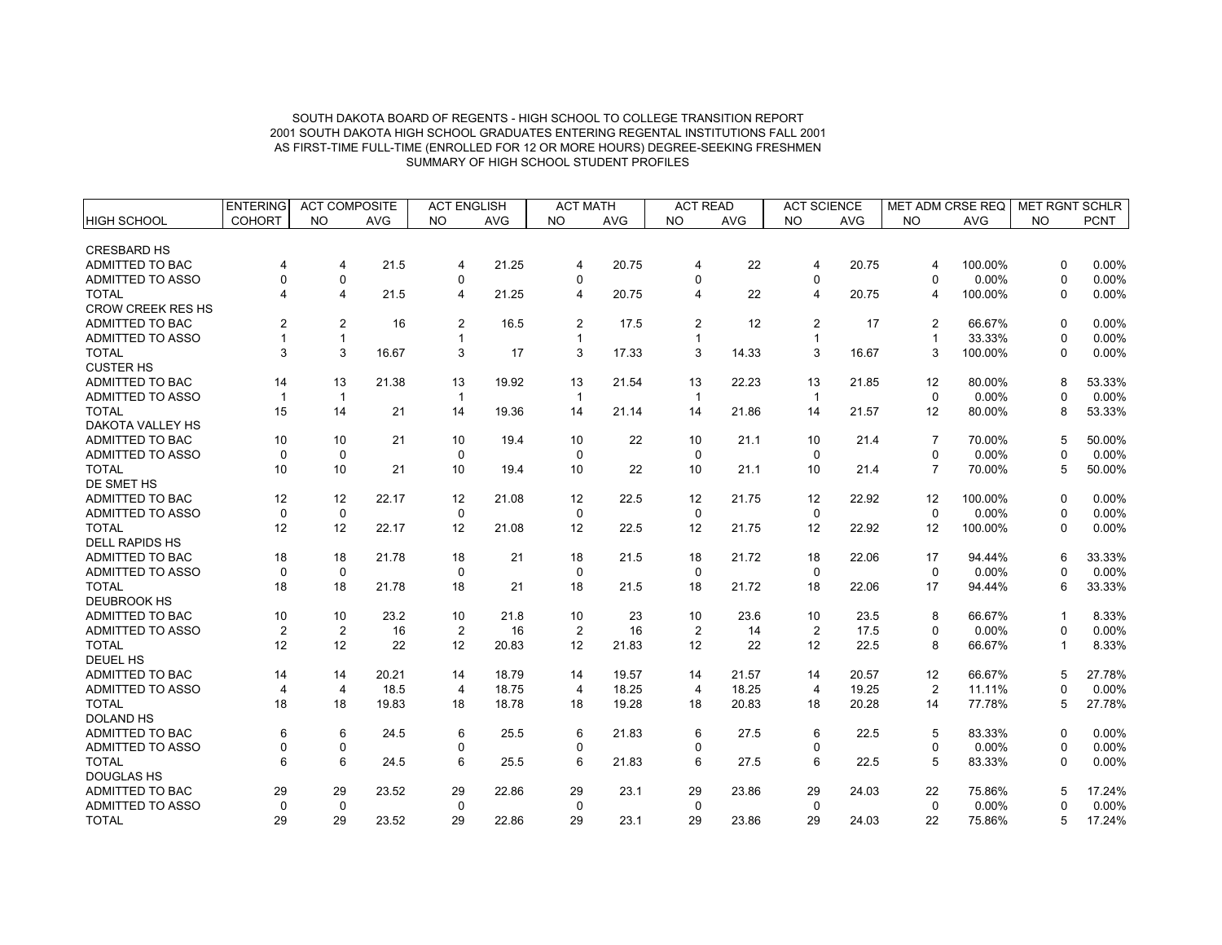|                          | <b>ENTERING</b>       | <b>ACT COMPOSITE</b> |            | <b>ACT ENGLISH</b> |            | <b>ACT MATH</b> |            | <b>ACT READ</b> |            | <b>ACT SCIENCE</b> |            | MET ADM CRSE REQ |            | MET RGNT SCHLR |             |
|--------------------------|-----------------------|----------------------|------------|--------------------|------------|-----------------|------------|-----------------|------------|--------------------|------------|------------------|------------|----------------|-------------|
| <b>HIGH SCHOOL</b>       | <b>COHORT</b>         | <b>NO</b>            | <b>AVG</b> | <b>NO</b>          | <b>AVG</b> | <b>NO</b>       | <b>AVG</b> | <b>NO</b>       | <b>AVG</b> | <b>NO</b>          | <b>AVG</b> | <b>NO</b>        | <b>AVG</b> | <b>NO</b>      | <b>PCNT</b> |
| <b>CRESBARD HS</b>       |                       |                      |            |                    |            |                 |            |                 |            |                    |            |                  |            |                |             |
| ADMITTED TO BAC          | 4                     | $\overline{4}$       | 21.5       | 4                  | 21.25      | 4               | 20.75      | 4               | 22         | $\overline{4}$     | 20.75      | $\overline{4}$   | 100.00%    | $\Omega$       | 0.00%       |
| <b>ADMITTED TO ASSO</b>  | $\Omega$              | 0                    |            | $\mathbf 0$        |            | $\Omega$        |            | $\Omega$        |            | 0                  |            | $\Omega$         | 0.00%      | $\Omega$       | 0.00%       |
| <b>TOTAL</b>             | $\boldsymbol{\Delta}$ | $\overline{4}$       | 21.5       | 4                  | 21.25      | 4               | 20.75      | 4               | 22         | $\overline{4}$     | 20.75      | $\overline{4}$   | 100.00%    | $\Omega$       | 0.00%       |
| <b>CROW CREEK RES HS</b> |                       |                      |            |                    |            |                 |            |                 |            |                    |            |                  |            |                |             |
| <b>ADMITTED TO BAC</b>   | $\mathfrak{p}$        | $\overline{c}$       | 16         | 2                  | 16.5       | $\overline{2}$  | 17.5       | 2               | 12         | $\overline{2}$     | 17         | 2                | 66.67%     | $\mathbf{0}$   | 0.00%       |
| ADMITTED TO ASSO         |                       | $\mathbf{1}$         |            |                    |            |                 |            | 1               |            | $\overline{1}$     |            | $\mathbf{1}$     | 33.33%     | $\Omega$       | 0.00%       |
| <b>TOTAL</b>             | 3                     | 3                    | 16.67      | 3                  | 17         | 3               | 17.33      | 3               | 14.33      | 3                  | 16.67      | 3                | 100.00%    | $\mathbf{0}$   | 0.00%       |
| <b>CUSTER HS</b>         |                       |                      |            |                    |            |                 |            |                 |            |                    |            |                  |            |                |             |
| ADMITTED TO BAC          | 14                    | 13                   | 21.38      | 13                 | 19.92      | 13              | 21.54      | 13              | 22.23      | 13                 | 21.85      | 12               | 80.00%     | 8              | 53.33%      |
| <b>ADMITTED TO ASSO</b>  | $\overline{1}$        | $\mathbf{1}$         |            |                    |            |                 |            | -1              |            | $\overline{1}$     |            | $\mathbf 0$      | 0.00%      | $\Omega$       | 0.00%       |
| <b>TOTAL</b>             | 15                    | 14                   | 21         | 14                 | 19.36      | 14              | 21.14      | 14              | 21.86      | 14                 | 21.57      | 12               | 80.00%     | 8              | 53.33%      |
| DAKOTA VALLEY HS         |                       |                      |            |                    |            |                 |            |                 |            |                    |            |                  |            |                |             |
| ADMITTED TO BAC          | 10                    | 10                   | 21         | 10                 | 19.4       | 10              | 22         | 10              | 21.1       | 10                 | 21.4       | $\overline{7}$   | 70.00%     | 5              | 50.00%      |
| <b>ADMITTED TO ASSO</b>  | $\Omega$              | $\mathbf 0$          |            | $\Omega$           |            | $\Omega$        |            | $\Omega$        |            | $\Omega$           |            | $\Omega$         | 0.00%      | $\Omega$       | 0.00%       |
| <b>TOTAL</b>             | 10                    | 10                   | 21         | 10                 | 19.4       | 10              | 22         | 10              | 21.1       | 10                 | 21.4       | $\overline{7}$   | 70.00%     | 5              | 50.00%      |
| DE SMET HS               |                       |                      |            |                    |            |                 |            |                 |            |                    |            |                  |            |                |             |
| <b>ADMITTED TO BAC</b>   | 12                    | 12                   | 22.17      | 12                 | 21.08      | 12              | 22.5       | 12              | 21.75      | 12                 | 22.92      | 12               | 100.00%    | $\Omega$       | $0.00\%$    |
| <b>ADMITTED TO ASSO</b>  | $\mathbf 0$           | $\mathbf 0$          |            | $\mathbf 0$        |            | $\mathbf 0$     |            | $\mathbf 0$     |            | $\mathbf 0$        |            | $\mathbf 0$      | 0.00%      | $\Omega$       | 0.00%       |
| <b>TOTAL</b>             | 12                    | 12                   | 22.17      | 12                 | 21.08      | 12              | 22.5       | 12              | 21.75      | 12                 | 22.92      | 12               | 100.00%    | 0              | $0.00\%$    |
| <b>DELL RAPIDS HS</b>    |                       |                      |            |                    |            |                 |            |                 |            |                    |            |                  |            |                |             |
| <b>ADMITTED TO BAC</b>   | 18                    | 18                   | 21.78      | 18                 | 21         | 18              | 21.5       | 18              | 21.72      | 18                 | 22.06      | 17               | 94.44%     | 6              | 33.33%      |
| ADMITTED TO ASSO         | $\mathbf 0$           | $\pmb{0}$            |            | $\mathbf 0$        |            | $\mathbf 0$     |            | $\mathbf 0$     |            | 0                  |            | $\mathbf 0$      | 0.00%      | $\Omega$       | 0.00%       |
| <b>TOTAL</b>             | 18                    | 18                   | 21.78      | 18                 | 21         | 18              | 21.5       | 18              | 21.72      | 18                 | 22.06      | 17               | 94.44%     | 6              | 33.33%      |
| <b>DEUBROOK HS</b>       |                       |                      |            |                    |            |                 |            |                 |            |                    |            |                  |            |                |             |
| <b>ADMITTED TO BAC</b>   | 10                    | 10                   | 23.2       | 10                 | 21.8       | 10              | 23         | 10              | 23.6       | 10                 | 23.5       | 8                | 66.67%     | 1              | 8.33%       |
| <b>ADMITTED TO ASSO</b>  | $\overline{c}$        | $\overline{2}$       | 16         | 2                  | 16         | $\overline{2}$  | 16         | $\overline{2}$  | 14         | $\overline{2}$     | 17.5       | 0                | 0.00%      | $\Omega$       | 0.00%       |
| <b>TOTAL</b>             | 12                    | 12                   | 22         | 12                 | 20.83      | 12              | 21.83      | 12              | 22         | 12                 | 22.5       | 8                | 66.67%     | 1              | 8.33%       |
| <b>DEUEL HS</b>          |                       |                      |            |                    |            |                 |            |                 |            |                    |            |                  |            |                |             |
| ADMITTED TO BAC          | 14                    | 14                   | 20.21      | 14                 | 18.79      | 14              | 19.57      | 14              | 21.57      | 14                 | 20.57      | 12               | 66.67%     | 5              | 27.78%      |
| <b>ADMITTED TO ASSO</b>  | 4                     | 4                    | 18.5       | $\overline{4}$     | 18.75      | $\overline{4}$  | 18.25      | $\overline{4}$  | 18.25      | $\overline{4}$     | 19.25      | $\overline{2}$   | 11.11%     | 0              | 0.00%       |
| <b>TOTAL</b>             | 18                    | 18                   | 19.83      | 18                 | 18.78      | 18              | 19.28      | 18              | 20.83      | 18                 | 20.28      | 14               | 77.78%     | 5              | 27.78%      |
| <b>DOLAND HS</b>         |                       |                      |            |                    |            |                 |            |                 |            |                    |            |                  |            |                |             |
| ADMITTED TO BAC          | 6                     | 6                    | 24.5       | 6                  | 25.5       | 6               | 21.83      | 6               | 27.5       | 6                  | 22.5       | 5                | 83.33%     | $\Omega$       | 0.00%       |
| ADMITTED TO ASSO         | $\Omega$              | 0                    |            | $\mathbf 0$        |            | $\mathbf 0$     |            | 0               |            | 0                  |            | $\pmb{0}$        | 0.00%      | 0              | 0.00%       |
| <b>TOTAL</b>             | 6                     | 6                    | 24.5       | 6                  | 25.5       | 6               | 21.83      | 6               | 27.5       | 6                  | 22.5       | 5                | 83.33%     | $\Omega$       | 0.00%       |
| <b>DOUGLAS HS</b>        |                       |                      |            |                    |            |                 |            |                 |            |                    |            |                  |            |                |             |
| ADMITTED TO BAC          | 29                    | 29                   | 23.52      | 29                 | 22.86      | 29              | 23.1       | 29              | 23.86      | 29                 | 24.03      | 22               | 75.86%     | 5              | 17.24%      |
| ADMITTED TO ASSO         | $\Omega$              | $\mathbf 0$          |            | $\mathbf 0$        |            | $\mathbf 0$     |            | $\mathbf 0$     |            | $\mathbf 0$        |            | $\mathbf 0$      | 0.00%      | $\Omega$       | 0.00%       |
| <b>TOTAL</b>             | 29                    | 29                   | 23.52      | 29                 | 22.86      | 29              | 23.1       | 29              | 23.86      | 29                 | 24.03      | 22               | 75.86%     | 5              | 17.24%      |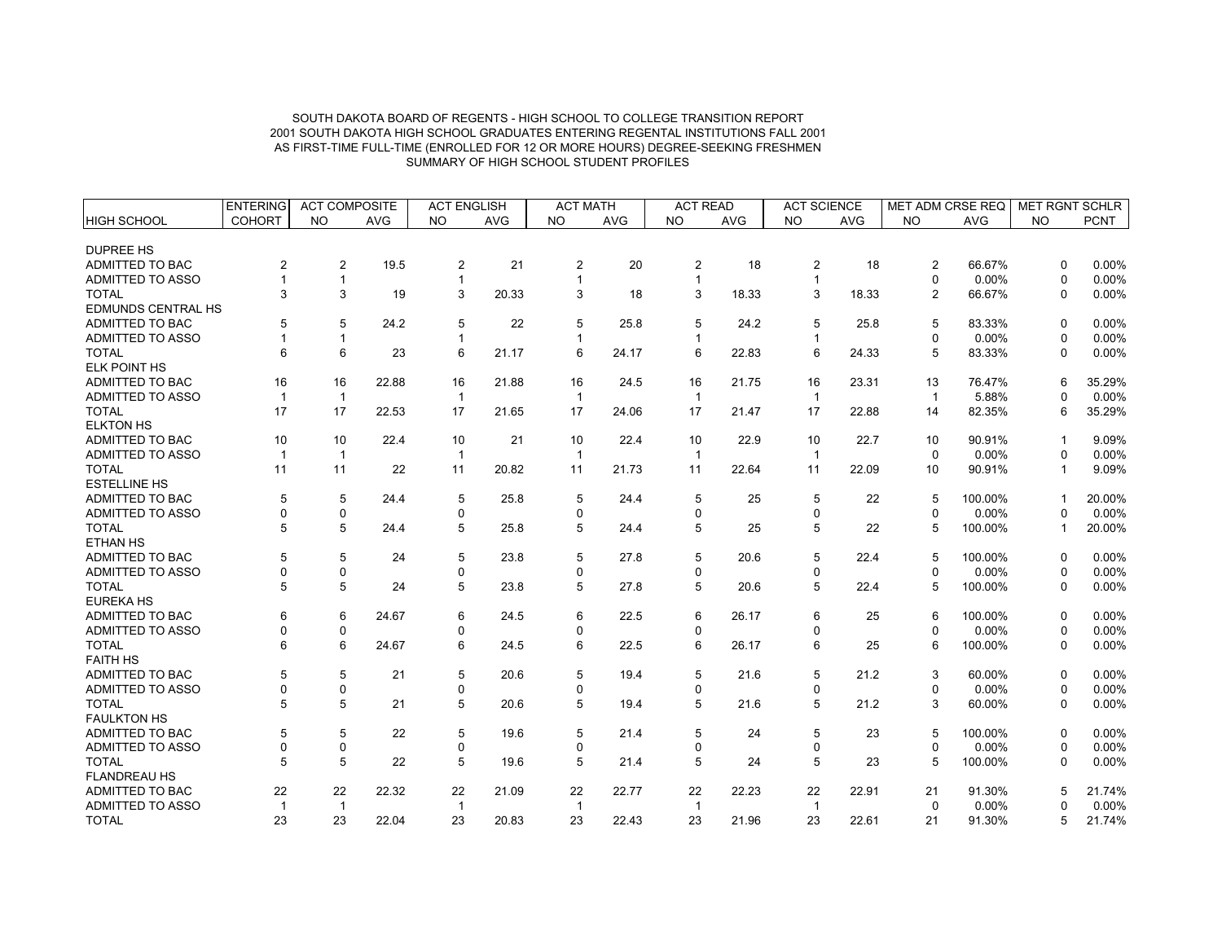|                           | <b>ENTERING</b> | <b>ACT COMPOSITE</b> |            | <b>ACT ENGLISH</b> |            | <b>ACT MATH</b> |            | <b>ACT READ</b> |            | <b>ACT SCIENCE</b> |       | <b>MET ADM CRSE REQ</b> |         | <b>MET RGNT SCHLR</b> |             |
|---------------------------|-----------------|----------------------|------------|--------------------|------------|-----------------|------------|-----------------|------------|--------------------|-------|-------------------------|---------|-----------------------|-------------|
| <b>HIGH SCHOOL</b>        | <b>COHORT</b>   | <b>NO</b>            | <b>AVG</b> | <b>NO</b>          | <b>AVG</b> | <b>NO</b>       | <b>AVG</b> | <b>NO</b>       | <b>AVG</b> | <b>NO</b>          | AVG   | <b>NO</b>               | AVG     | <b>NO</b>             | <b>PCNT</b> |
|                           |                 |                      |            |                    |            |                 |            |                 |            |                    |       |                         |         |                       |             |
| <b>DUPREE HS</b>          |                 |                      |            |                    |            |                 |            |                 |            |                    |       |                         |         |                       |             |
| ADMITTED TO BAC           | 2               | $\overline{2}$       | 19.5       | 2                  | 21         | $\overline{2}$  | 20         | $\overline{2}$  | 18         | $\overline{2}$     | 18    | $\overline{2}$          | 66.67%  | $\Omega$              | 0.00%       |
| <b>ADMITTED TO ASSO</b>   |                 | $\mathbf{1}$         |            | $\mathbf{1}$       |            | $\mathbf 1$     |            | 1               |            | $\mathbf{1}$       |       | $\mathbf 0$             | 0.00%   | $\Omega$              | 0.00%       |
| <b>TOTAL</b>              | 3               | 3                    | 19         | 3                  | 20.33      | 3               | 18         | 3               | 18.33      | 3                  | 18.33 | 2                       | 66.67%  | $\Omega$              | 0.00%       |
| <b>EDMUNDS CENTRAL HS</b> |                 |                      |            |                    |            |                 |            |                 |            |                    |       |                         |         |                       |             |
| ADMITTED TO BAC           | 5               | 5                    | 24.2       | 5                  | 22         | 5               | 25.8       | 5               | 24.2       | 5                  | 25.8  | 5                       | 83.33%  | $\Omega$              | 0.00%       |
| <b>ADMITTED TO ASSO</b>   |                 | $\mathbf{1}$         |            | 1                  |            | $\mathbf 1$     |            | 1               |            | $\mathbf{1}$       |       | $\Omega$                | 0.00%   | $\Omega$              | 0.00%       |
| <b>TOTAL</b>              | 6               | 6                    | 23         | 6                  | 21.17      | 6               | 24.17      | 6               | 22.83      | 6                  | 24.33 | 5                       | 83.33%  | $\Omega$              | 0.00%       |
| <b>ELK POINT HS</b>       |                 |                      |            |                    |            |                 |            |                 |            |                    |       |                         |         |                       |             |
| ADMITTED TO BAC           | 16              | 16                   | 22.88      | 16                 | 21.88      | 16              | 24.5       | 16              | 21.75      | 16                 | 23.31 | 13                      | 76.47%  | 6                     | 35.29%      |
| <b>ADMITTED TO ASSO</b>   | $\mathbf 1$     | $\mathbf{1}$         |            | -1                 |            | 1               |            | -1              |            | $\overline{1}$     |       | $\mathbf{1}$            | 5.88%   | $\Omega$              | 0.00%       |
| <b>TOTAL</b>              | 17              | 17                   | 22.53      | 17                 | 21.65      | 17              | 24.06      | 17              | 21.47      | 17                 | 22.88 | 14                      | 82.35%  | 6                     | 35.29%      |
| <b>ELKTON HS</b>          |                 |                      |            |                    |            |                 |            |                 |            |                    |       |                         |         |                       |             |
| ADMITTED TO BAC           | 10              | 10                   | 22.4       | 10                 | 21         | 10              | 22.4       | 10              | 22.9       | 10                 | 22.7  | 10                      | 90.91%  | -1                    | 9.09%       |
| <b>ADMITTED TO ASSO</b>   |                 | $\mathbf{1}$         |            | $\mathbf 1$        |            | $\mathbf{1}$    |            | -1              |            | $\mathbf{1}$       |       | $\mathbf 0$             | 0.00%   | $\Omega$              | 0.00%       |
| <b>TOTAL</b>              | 11              | 11                   | 22         | 11                 | 20.82      | 11              | 21.73      | 11              | 22.64      | 11                 | 22.09 | 10                      | 90.91%  | $\mathbf 1$           | 9.09%       |
| <b>ESTELLINE HS</b>       |                 |                      |            |                    |            |                 |            |                 |            |                    |       |                         |         |                       |             |
| ADMITTED TO BAC           | 5               | 5                    | 24.4       | 5                  | 25.8       | 5               | 24.4       | 5               | 25         | 5                  | 22    | 5                       | 100.00% | $\mathbf 1$           | 20.00%      |
| <b>ADMITTED TO ASSO</b>   | ŋ               | 0                    |            | 0                  |            | $\Omega$        |            | $\Omega$        |            | 0                  |       | $\Omega$                | 0.00%   | ŋ                     | $0.00\%$    |
| <b>TOTAL</b>              | 5               | 5                    | 24.4       | 5                  | 25.8       | 5               | 24.4       | 5               | 25         | 5                  | 22    | 5                       | 100.00% | -1                    | 20.00%      |
| <b>ETHAN HS</b>           |                 |                      |            |                    |            |                 |            |                 |            |                    |       |                         |         |                       |             |
| <b>ADMITTED TO BAC</b>    | 5               | 5                    | 24         | 5                  | 23.8       | 5               | 27.8       | 5               | 20.6       | 5                  | 22.4  | 5                       | 100.00% | $\Omega$              | 0.00%       |
| <b>ADMITTED TO ASSO</b>   | $\Omega$        | 0                    |            | 0                  |            | $\Omega$        |            | $\Omega$        |            | 0                  |       | $\mathbf 0$             | 0.00%   | $\Omega$              | 0.00%       |
| <b>TOTAL</b>              | 5               | 5                    | 24         | 5                  | 23.8       | 5               | 27.8       | 5               | 20.6       | 5                  | 22.4  | 5                       | 100.00% | $\Omega$              | 0.00%       |
| <b>EUREKA HS</b>          |                 |                      |            |                    |            |                 |            |                 |            |                    |       |                         |         |                       |             |
| ADMITTED TO BAC           | 6               | 6                    | 24.67      | 6                  | 24.5       | 6               | 22.5       | 6               | 26.17      | 6                  | 25    | 6                       | 100.00% | $\Omega$              | 0.00%       |
| ADMITTED TO ASSO          | $\Omega$        | 0                    |            | 0                  |            | $\Omega$        |            | $\Omega$        |            | 0                  |       | $\mathbf 0$             | 0.00%   | $\Omega$              | 0.00%       |
| <b>TOTAL</b>              | 6               | 6                    | 24.67      | 6                  | 24.5       | 6               | 22.5       | 6               | 26.17      | 6                  | 25    | 6                       | 100.00% | 0                     | 0.00%       |
| <b>FAITH HS</b>           |                 |                      |            |                    |            |                 |            |                 |            |                    |       |                         |         |                       |             |
| <b>ADMITTED TO BAC</b>    | 5               | 5                    | 21         | 5                  | 20.6       | 5               | 19.4       | 5               | 21.6       | 5                  | 21.2  | 3                       | 60.00%  | $\Omega$              | 0.00%       |
| <b>ADMITTED TO ASSO</b>   | O               | 0                    |            | 0                  |            | $\Omega$        |            | 0               |            | 0                  |       | $\mathbf 0$             | 0.00%   | 0                     | 0.00%       |
| <b>TOTAL</b>              | 5               | 5                    | 21         | 5                  | 20.6       | 5               | 19.4       | 5               | 21.6       | 5                  | 21.2  | 3                       | 60.00%  | 0                     | 0.00%       |
| <b>FAULKTON HS</b>        |                 |                      |            |                    |            |                 |            |                 |            |                    |       |                         |         |                       |             |
| ADMITTED TO BAC           | 5               | 5                    | 22         | 5                  | 19.6       | 5               | 21.4       | 5               | 24         | 5                  | 23    | 5                       | 100.00% | $\Omega$              | 0.00%       |
| <b>ADMITTED TO ASSO</b>   | $\Omega$        | 0                    |            | 0                  |            | 0               |            | 0               |            | 0                  |       | $\mathbf 0$             | 0.00%   | 0                     | 0.00%       |
| <b>TOTAL</b>              | 5               | 5                    | 22         | 5                  | 19.6       | 5               | 21.4       | 5               | 24         | 5                  | 23    | 5                       | 100.00% | $\Omega$              | 0.00%       |
| <b>FLANDREAU HS</b>       |                 |                      |            |                    |            |                 |            |                 |            |                    |       |                         |         |                       |             |
| ADMITTED TO BAC           | 22              | 22                   | 22.32      | 22                 | 21.09      | 22              | 22.77      | 22              | 22.23      | 22                 | 22.91 | 21                      | 91.30%  |                       | 21.74%      |
| ADMITTED TO ASSO          | $\mathbf 1$     | $\mathbf{1}$         |            | $\mathbf{1}$       |            | $\mathbf{1}$    |            | $\overline{1}$  |            | $\overline{1}$     |       | $\pmb{0}$               | 0.00%   |                       | 0.00%       |
| <b>TOTAL</b>              | 23              | 23                   | 22.04      | 23                 | 20.83      | 23              | 22.43      | 23              | 21.96      | 23                 | 22.61 | 21                      | 91.30%  | 5                     | 21.74%      |
|                           |                 |                      |            |                    |            |                 |            |                 |            |                    |       |                         |         |                       |             |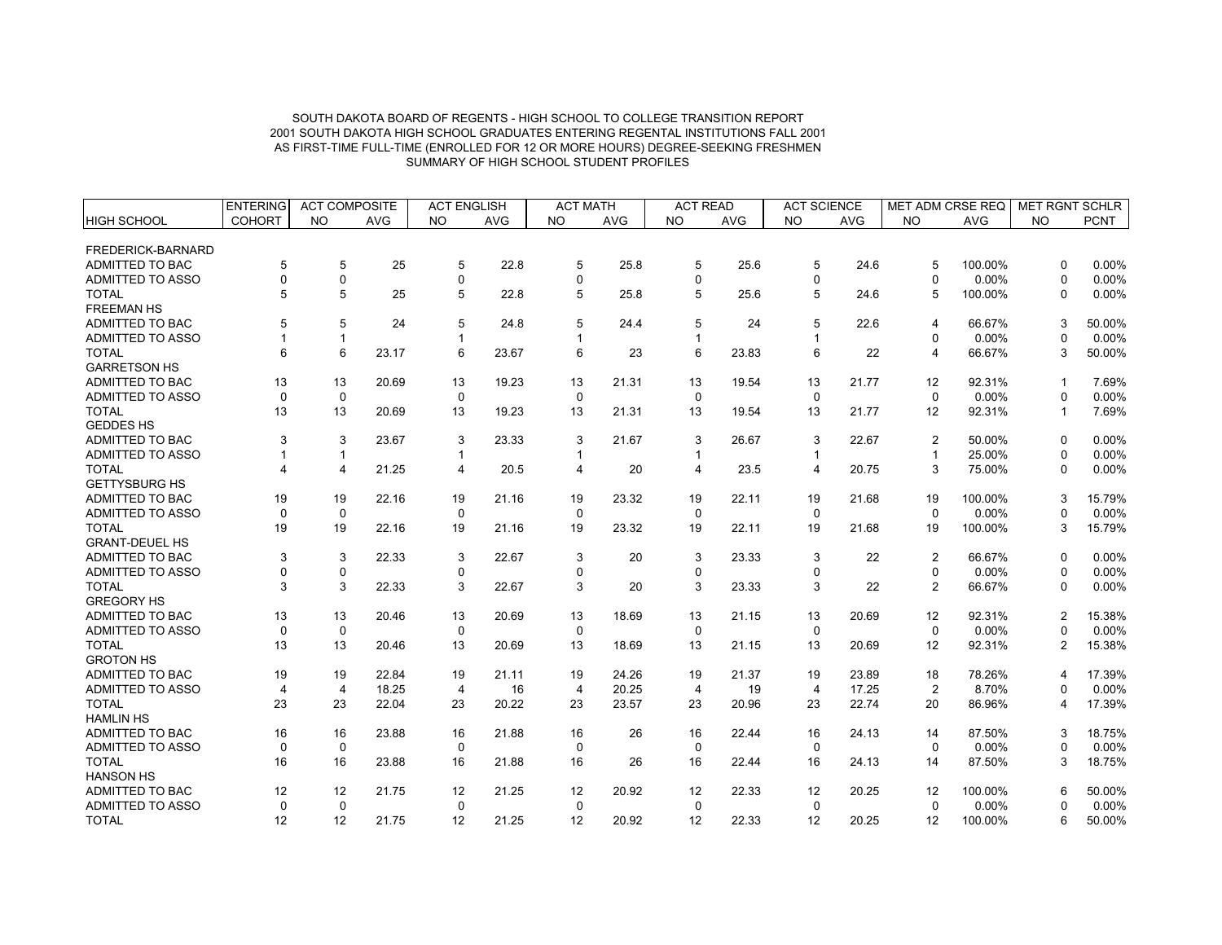|                         | <b>ENTERING</b> | <b>ACT COMPOSITE</b> |            | <b>ACT ENGLISH</b> |            | <b>ACT MATH</b> |            | <b>ACT READ</b> |            | <b>ACT SCIENCE</b>      |       | <b>MET ADM CRSE REQ</b> |         | <b>MET RGNT SCHLR</b> |             |
|-------------------------|-----------------|----------------------|------------|--------------------|------------|-----------------|------------|-----------------|------------|-------------------------|-------|-------------------------|---------|-----------------------|-------------|
| <b>HIGH SCHOOL</b>      | <b>COHORT</b>   | <b>NO</b>            | <b>AVG</b> | <b>NO</b>          | <b>AVG</b> | <b>NO</b>       | <b>AVG</b> | <b>NO</b>       | <b>AVG</b> | <b>NO</b>               | AVG   | <b>NO</b>               | AVG     | <b>NO</b>             | <b>PCNT</b> |
|                         |                 |                      |            |                    |            |                 |            |                 |            |                         |       |                         |         |                       |             |
| FREDERICK-BARNARD       |                 |                      |            |                    |            |                 |            |                 |            |                         |       |                         |         |                       |             |
| ADMITTED TO BAC         | 5               | 5                    | 25         | 5                  | 22.8       | 5               | 25.8       | 5               | 25.6       | 5                       | 24.6  | 5                       | 100.00% | $\Omega$              | 0.00%       |
| <b>ADMITTED TO ASSO</b> | $\Omega$        | 0                    |            | 0                  |            | 0               |            | 0               |            | 0                       |       | $\Omega$                | 0.00%   | $\Omega$              | 0.00%       |
| <b>TOTAL</b>            | 5               | 5                    | 25         | 5                  | 22.8       | 5               | 25.8       | 5               | 25.6       | 5                       | 24.6  | 5                       | 100.00% | $\Omega$              | 0.00%       |
| <b>FREEMAN HS</b>       |                 |                      |            |                    |            |                 |            |                 |            |                         |       |                         |         |                       |             |
| ADMITTED TO BAC         | 5               | 5                    | 24         | 5                  | 24.8       | 5               | 24.4       | 5               | 24         | 5                       | 22.6  | $\overline{4}$          | 66.67%  | 3                     | 50.00%      |
| <b>ADMITTED TO ASSO</b> |                 | $\mathbf{1}$         |            |                    |            | 1               |            | 1               |            | $\mathbf{1}$            |       | $\mathbf 0$             | 0.00%   | $\Omega$              | 0.00%       |
| <b>TOTAL</b>            | 6               | 6                    | 23.17      | 6                  | 23.67      | 6               | 23         | 6               | 23.83      | 6                       | 22    | $\overline{4}$          | 66.67%  | 3                     | 50.00%      |
| <b>GARRETSON HS</b>     |                 |                      |            |                    |            |                 |            |                 |            |                         |       |                         |         |                       |             |
| <b>ADMITTED TO BAC</b>  | 13              | 13                   | 20.69      | 13                 | 19.23      | 13              | 21.31      | 13              | 19.54      | 13                      | 21.77 | 12                      | 92.31%  | $\mathbf 1$           | 7.69%       |
| ADMITTED TO ASSO        | $\Omega$        | $\mathbf 0$          |            | $\Omega$           |            | $\Omega$        |            | $\Omega$        |            | $\Omega$                |       | $\mathbf 0$             | 0.00%   | $\Omega$              | 0.00%       |
| <b>TOTAL</b>            | 13              | 13                   | 20.69      | 13                 | 19.23      | 13              | 21.31      | 13              | 19.54      | 13                      | 21.77 | 12                      | 92.31%  | $\mathbf{1}$          | 7.69%       |
| <b>GEDDES HS</b>        |                 |                      |            |                    |            |                 |            |                 |            |                         |       |                         |         |                       |             |
| ADMITTED TO BAC         | 3               | 3                    | 23.67      | 3                  | 23.33      | 3               | 21.67      | 3               | 26.67      | 3                       | 22.67 | 2                       | 50.00%  | $\Omega$              | 0.00%       |
| <b>ADMITTED TO ASSO</b> |                 | $\mathbf{1}$         |            |                    |            |                 |            |                 |            | $\mathbf{1}$            |       | $\mathbf{1}$            | 25.00%  | $\Omega$              | 0.00%       |
| <b>TOTAL</b>            | 4               | $\overline{4}$       | 21.25      | 4                  | 20.5       | 4               | 20         | 4               | 23.5       | $\overline{\mathbf{4}}$ | 20.75 | 3                       | 75.00%  | 0                     | 0.00%       |
| <b>GETTYSBURG HS</b>    |                 |                      |            |                    |            |                 |            |                 |            |                         |       |                         |         |                       |             |
| ADMITTED TO BAC         | 19              | 19                   | 22.16      | 19                 | 21.16      | 19              | 23.32      | 19              | 22.11      | 19                      | 21.68 | 19                      | 100.00% | 3                     | 15.79%      |
| <b>ADMITTED TO ASSO</b> | $\Omega$        | $\mathbf 0$          |            | $\Omega$           |            | $\Omega$        |            | $\Omega$        |            | $\Omega$                |       | $\Omega$                | 0.00%   | $\Omega$              | 0.00%       |
| <b>TOTAL</b>            | 19              | 19                   | 22.16      | 19                 | 21.16      | 19              | 23.32      | 19              | 22.11      | 19                      | 21.68 | 19                      | 100.00% | 3                     | 15.79%      |
| <b>GRANT-DEUEL HS</b>   |                 |                      |            |                    |            |                 |            |                 |            |                         |       |                         |         |                       |             |
| ADMITTED TO BAC         | 3               | 3                    | 22.33      | 3                  | 22.67      | 3               | 20         | 3               | 23.33      | 3                       | 22    | $\overline{2}$          | 66.67%  | $\Omega$              | 0.00%       |
| ADMITTED TO ASSO        | $\Omega$        | 0                    |            | $\mathbf 0$        |            | $\Omega$        |            | $\mathbf 0$     |            | 0                       |       | 0                       | 0.00%   | $\Omega$              | 0.00%       |
| <b>TOTAL</b>            | 3               | 3                    | 22.33      | 3                  | 22.67      | 3               | 20         | 3               | 23.33      | 3                       | 22    | 2                       | 66.67%  | 0                     | 0.00%       |
| <b>GREGORY HS</b>       |                 |                      |            |                    |            |                 |            |                 |            |                         |       |                         |         |                       |             |
| <b>ADMITTED TO BAC</b>  | 13              | 13                   | 20.46      | 13                 | 20.69      | 13              | 18.69      | 13              | 21.15      | 13                      | 20.69 | 12                      | 92.31%  | $\overline{2}$        | 15.38%      |
| <b>ADMITTED TO ASSO</b> | $\mathbf 0$     | $\mathbf 0$          |            | $\mathbf 0$        |            | $\mathbf 0$     |            | $\mathbf 0$     |            | $\mathbf 0$             |       | $\mathbf 0$             | 0.00%   | 0                     | 0.00%       |
| <b>TOTAL</b>            | 13              | 13                   | 20.46      | 13                 | 20.69      | 13              | 18.69      | 13              | 21.15      | 13                      | 20.69 | 12                      | 92.31%  | $\overline{2}$        | 15.38%      |
| <b>GROTON HS</b>        |                 |                      |            |                    |            |                 |            |                 |            |                         |       |                         |         |                       |             |
| <b>ADMITTED TO BAC</b>  | 19              | 19                   | 22.84      | 19                 | 21.11      | 19              | 24.26      | 19              | 21.37      | 19                      | 23.89 | 18                      | 78.26%  | 4                     | 17.39%      |
| <b>ADMITTED TO ASSO</b> | $\overline{4}$  | $\overline{4}$       | 18.25      | 4                  | 16         | 4               | 20.25      | $\overline{4}$  | 19         | $\overline{4}$          | 17.25 | 2                       | 8.70%   | $\Omega$              | 0.00%       |
| <b>TOTAL</b>            | 23              | 23                   | 22.04      | 23                 | 20.22      | 23              | 23.57      | 23              | 20.96      | 23                      | 22.74 | 20                      | 86.96%  | 4                     | 17.39%      |
| <b>HAMLIN HS</b>        |                 |                      |            |                    |            |                 |            |                 |            |                         |       |                         |         |                       |             |
| ADMITTED TO BAC         | 16              | 16                   | 23.88      | 16                 | 21.88      | 16              | 26         | 16              | 22.44      | 16                      | 24.13 | 14                      | 87.50%  | 3                     | 18.75%      |
| <b>ADMITTED TO ASSO</b> | $\mathbf 0$     | $\mathbf 0$          |            | $\mathbf 0$        |            | $\Omega$        |            | $\mathbf 0$     |            | $\mathbf 0$             |       | $\mathbf 0$             | 0.00%   | $\Omega$              | 0.00%       |
| <b>TOTAL</b>            | 16              | 16                   | 23.88      | 16                 | 21.88      | 16              | 26         | 16              | 22.44      | 16                      | 24.13 | 14                      | 87.50%  | 3                     | 18.75%      |
| <b>HANSON HS</b>        |                 |                      |            |                    |            |                 |            |                 |            |                         |       |                         |         |                       |             |
| ADMITTED TO BAC         | 12              | 12                   | 21.75      | 12                 | 21.25      | 12              | 20.92      | 12              | 22.33      | 12                      | 20.25 | 12                      | 100.00% | 6                     | 50.00%      |
| <b>ADMITTED TO ASSO</b> | $\mathbf 0$     | $\mathbf 0$          |            | $\mathbf 0$        |            | 0               |            | $\mathbf 0$     |            | $\pmb{0}$               |       | $\mathbf 0$             | 0.00%   |                       | 0.00%       |
| <b>TOTAL</b>            | 12              | 12                   | 21.75      | 12                 | 21.25      | 12              | 20.92      | 12              | 22.33      | 12                      | 20.25 | 12                      | 100.00% | 6                     | 50.00%      |
|                         |                 |                      |            |                    |            |                 |            |                 |            |                         |       |                         |         |                       |             |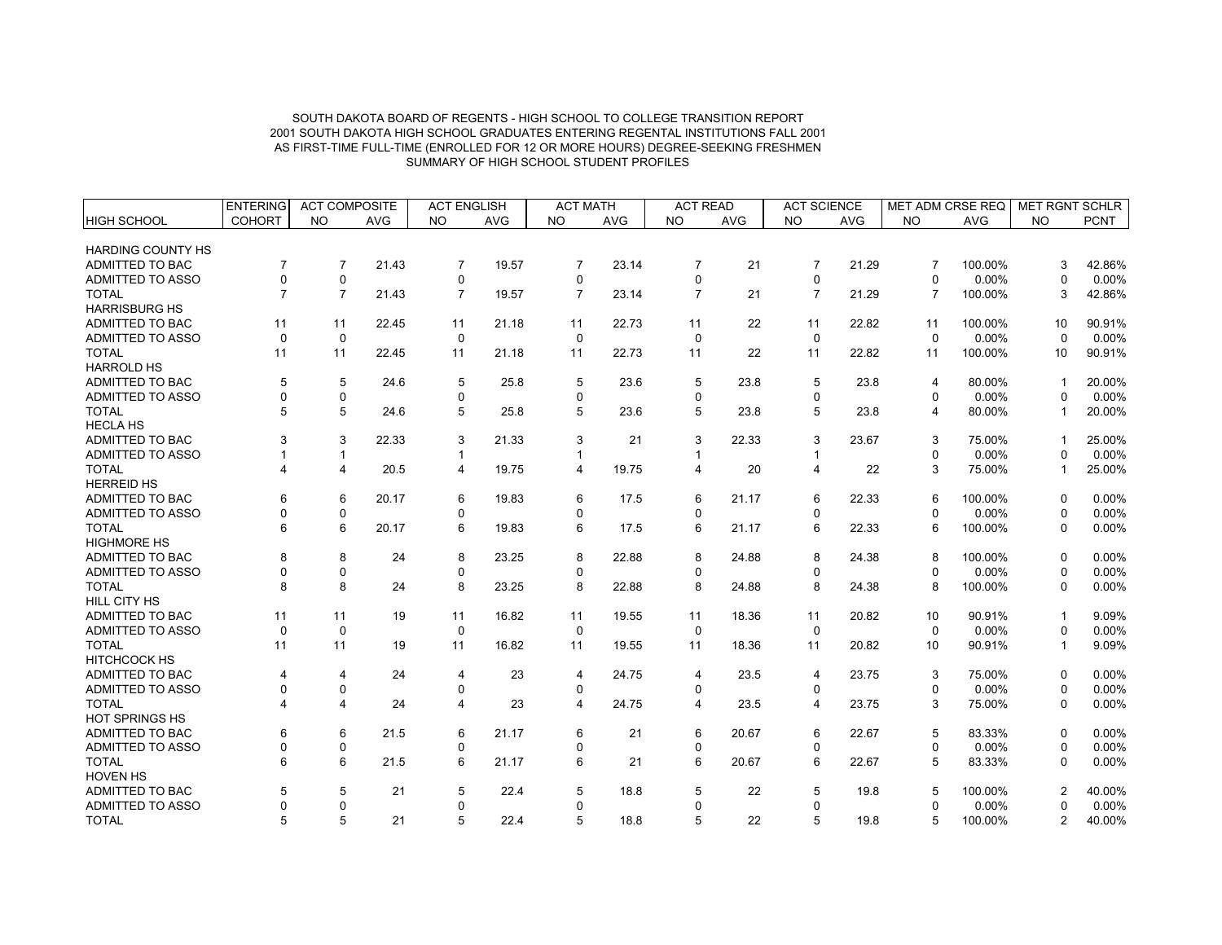|                          | <b>ENTERING</b> | <b>ACT COMPOSITE</b>    |            | <b>ACT ENGLISH</b> |            | <b>ACT MATH</b> |            | <b>ACT READ</b> |            | <b>ACT SCIENCE</b> |            | MET ADM CRSE REQ |            | <b>MET RGNT SCHLR</b> |             |
|--------------------------|-----------------|-------------------------|------------|--------------------|------------|-----------------|------------|-----------------|------------|--------------------|------------|------------------|------------|-----------------------|-------------|
| <b>HIGH SCHOOL</b>       | <b>COHORT</b>   | <b>NO</b>               | <b>AVG</b> | <b>NO</b>          | <b>AVG</b> | <b>NO</b>       | <b>AVG</b> | <b>NO</b>       | <b>AVG</b> | <b>NO</b>          | <b>AVG</b> | <b>NO</b>        | <b>AVG</b> | <b>NO</b>             | <b>PCNT</b> |
| <b>HARDING COUNTY HS</b> |                 |                         |            |                    |            |                 |            |                 |            |                    |            |                  |            |                       |             |
| ADMITTED TO BAC          | $\overline{7}$  | $\overline{7}$          | 21.43      | $\overline{7}$     | 19.57      | $\overline{7}$  | 23.14      | $\overline{7}$  | 21         | $\overline{7}$     | 21.29      | $\overline{7}$   | 100.00%    | 3                     | 42.86%      |
| <b>ADMITTED TO ASSO</b>  | $\Omega$        | 0                       |            | 0                  |            | 0               |            | $\Omega$        |            | 0                  |            | $\mathbf 0$      | 0.00%      | $\Omega$              | 0.00%       |
| <b>TOTAL</b>             | $\overline{7}$  | $\overline{7}$          | 21.43      | $\overline{7}$     | 19.57      | $\overline{7}$  | 23.14      | $\overline{7}$  | 21         | $\overline{7}$     | 21.29      | $\overline{7}$   | 100.00%    | 3                     | 42.86%      |
| <b>HARRISBURG HS</b>     |                 |                         |            |                    |            |                 |            |                 |            |                    |            |                  |            |                       |             |
| ADMITTED TO BAC          | 11              | 11                      | 22.45      | 11                 | 21.18      | 11              | 22.73      | 11              | 22         | 11                 | 22.82      | 11               | 100.00%    | 10                    | 90.91%      |
| ADMITTED TO ASSO         | $\Omega$        | $\mathbf 0$             |            | $\mathbf 0$        |            | $\mathbf 0$     |            | $\Omega$        |            | $\mathbf 0$        |            | $\Omega$         | 0.00%      | $\Omega$              | 0.00%       |
| <b>TOTAL</b>             | 11              | 11                      | 22.45      | 11                 | 21.18      | 11              | 22.73      | 11              | 22         | 11                 | 22.82      | 11               | 100.00%    | 10                    | 90.91%      |
| <b>HARROLD HS</b>        |                 |                         |            |                    |            |                 |            |                 |            |                    |            |                  |            |                       |             |
| ADMITTED TO BAC          | 5               | 5                       | 24.6       | 5                  | 25.8       | 5               | 23.6       | 5               | 23.8       | 5                  | 23.8       | $\overline{4}$   | 80.00%     |                       | 20.00%      |
| ADMITTED TO ASSO         | ŋ               | 0                       |            | 0                  |            | $\mathbf 0$     |            | $\Omega$        |            | 0                  |            | $\Omega$         | 0.00%      |                       | 0.00%       |
| <b>TOTAL</b>             | 5               | 5                       | 24.6       | 5                  | 25.8       | 5               | 23.6       | 5               | 23.8       | 5                  | 23.8       | 4                | 80.00%     |                       | 20.00%      |
| <b>HECLA HS</b>          |                 |                         |            |                    |            |                 |            |                 |            |                    |            |                  |            |                       |             |
| ADMITTED TO BAC          |                 | 3                       | 22.33      | 3                  | 21.33      | 3               | 21         | 3               | 22.33      | 3                  | 23.67      | 3                | 75.00%     |                       | 25.00%      |
| <b>ADMITTED TO ASSO</b>  |                 | 1                       |            |                    |            |                 |            |                 |            | 1                  |            | $\Omega$         | 0.00%      |                       | 0.00%       |
| <b>TOTAL</b>             |                 | 4                       | 20.5       | $\overline{4}$     | 19.75      | 4               | 19.75      | 4               | 20         | 4                  | 22         | 3                | 75.00%     | -1                    | 25.00%      |
| <b>HERREID HS</b>        |                 |                         |            |                    |            |                 |            |                 |            |                    |            |                  |            |                       |             |
| ADMITTED TO BAC          | 6               | 6                       | 20.17      | 6                  | 19.83      | 6               | 17.5       | 6               | 21.17      | 6                  | 22.33      | 6                | 100.00%    | $\Omega$              | 0.00%       |
| ADMITTED TO ASSO         | ŋ               | $\Omega$                |            | 0                  |            | $\Omega$        |            | $\Omega$        |            | $\Omega$           |            | $\Omega$         | 0.00%      | 0                     | 0.00%       |
| <b>TOTAL</b>             | 6               | 6                       | 20.17      | 6                  | 19.83      | 6               | 17.5       | 6               | 21.17      | 6                  | 22.33      | 6                | 100.00%    | $\Omega$              | 0.00%       |
| <b>HIGHMORE HS</b>       |                 |                         |            |                    |            |                 |            |                 |            |                    |            |                  |            |                       |             |
| ADMITTED TO BAC          | 8               | 8                       | 24         | 8                  | 23.25      | 8               | 22.88      | 8               | 24.88      | 8                  | 24.38      | 8                | 100.00%    | $\Omega$              | 0.00%       |
| <b>ADMITTED TO ASSO</b>  |                 | 0                       |            | 0                  |            | 0               |            | 0               |            | 0                  |            | $\mathbf 0$      | 0.00%      | $\Omega$              | 0.00%       |
| <b>TOTAL</b>             | 8               | 8                       | 24         | 8                  | 23.25      | 8               | 22.88      | 8               | 24.88      | 8                  | 24.38      | 8                | 100.00%    | $\Omega$              | 0.00%       |
| <b>HILL CITY HS</b>      |                 |                         |            |                    |            |                 |            |                 |            |                    |            |                  |            |                       |             |
| ADMITTED TO BAC          | 11              | 11                      | 19         | 11                 | 16.82      | 11              | 19.55      | 11              | 18.36      | 11                 | 20.82      | 10               | 90.91%     |                       | 9.09%       |
| ADMITTED TO ASSO         | $\mathbf 0$     | 0                       |            | $\mathbf 0$        |            | 0               |            | $\mathbf 0$     |            | $\mathbf 0$        |            | $\mathbf 0$      | 0.00%      | 0                     | 0.00%       |
| <b>TOTAL</b>             | 11              | 11                      | 19         | 11                 | 16.82      | 11              | 19.55      | 11              | 18.36      | 11                 | 20.82      | 10               | 90.91%     |                       | 9.09%       |
| HITCHCOCK HS             |                 |                         |            |                    |            |                 |            |                 |            |                    |            |                  |            |                       |             |
| <b>ADMITTED TO BAC</b>   |                 | 4                       | 24         | 4                  | 23         | 4               | 24.75      | 4               | 23.5       | 4                  | 23.75      | 3                | 75.00%     | $\Omega$              | 0.00%       |
| ADMITTED TO ASSO         | $\Omega$        | 0                       |            | 0                  |            | 0               |            | 0               |            | 0                  |            | $\mathbf 0$      | 0.00%      | 0                     | 0.00%       |
| <b>TOTAL</b>             |                 | $\overline{\mathbf{4}}$ | 24         | 4                  | 23         | 4               | 24.75      | 4               | 23.5       | 4                  | 23.75      | 3                | 75.00%     | $\Omega$              | 0.00%       |
| <b>HOT SPRINGS HS</b>    |                 |                         |            |                    |            |                 |            |                 |            |                    |            |                  |            |                       |             |
| <b>ADMITTED TO BAC</b>   |                 | 6                       | 21.5       | 6                  | 21.17      | 6               | 21         | 6               | 20.67      | 6                  | 22.67      | 5                | 83.33%     | $\Omega$              | 0.00%       |
| ADMITTED TO ASSO         | $\Omega$        | 0                       |            | 0                  |            | 0               |            | 0               |            | 0                  |            | 0                | 0.00%      | 0                     | 0.00%       |
| <b>TOTAL</b>             |                 | 6                       | 21.5       | 6                  | 21.17      | 6               | 21         | 6               | 20.67      | 6                  | 22.67      | 5                | 83.33%     | $\Omega$              | 0.00%       |
| <b>HOVEN HS</b>          |                 |                         |            |                    |            |                 |            |                 |            |                    |            |                  |            |                       |             |
| ADMITTED TO BAC          |                 | 5                       | 21         | 5                  | 22.4       | 5               | 18.8       | 5               | 22         | 5                  | 19.8       | 5                | 100.00%    | 2                     | 40.00%      |
| <b>ADMITTED TO ASSO</b>  |                 | $\mathbf 0$             |            | 0                  |            | $\mathbf 0$     |            | $\Omega$        |            | $\mathbf 0$        |            | $\mathbf 0$      | 0.00%      | $\Omega$              | 0.00%       |
| <b>TOTAL</b>             |                 | 5                       | 21         | 5                  | 22.4       | 5               | 18.8       | 5               | 22         | 5                  | 19.8       | 5                | 100.00%    | 2                     | 40.00%      |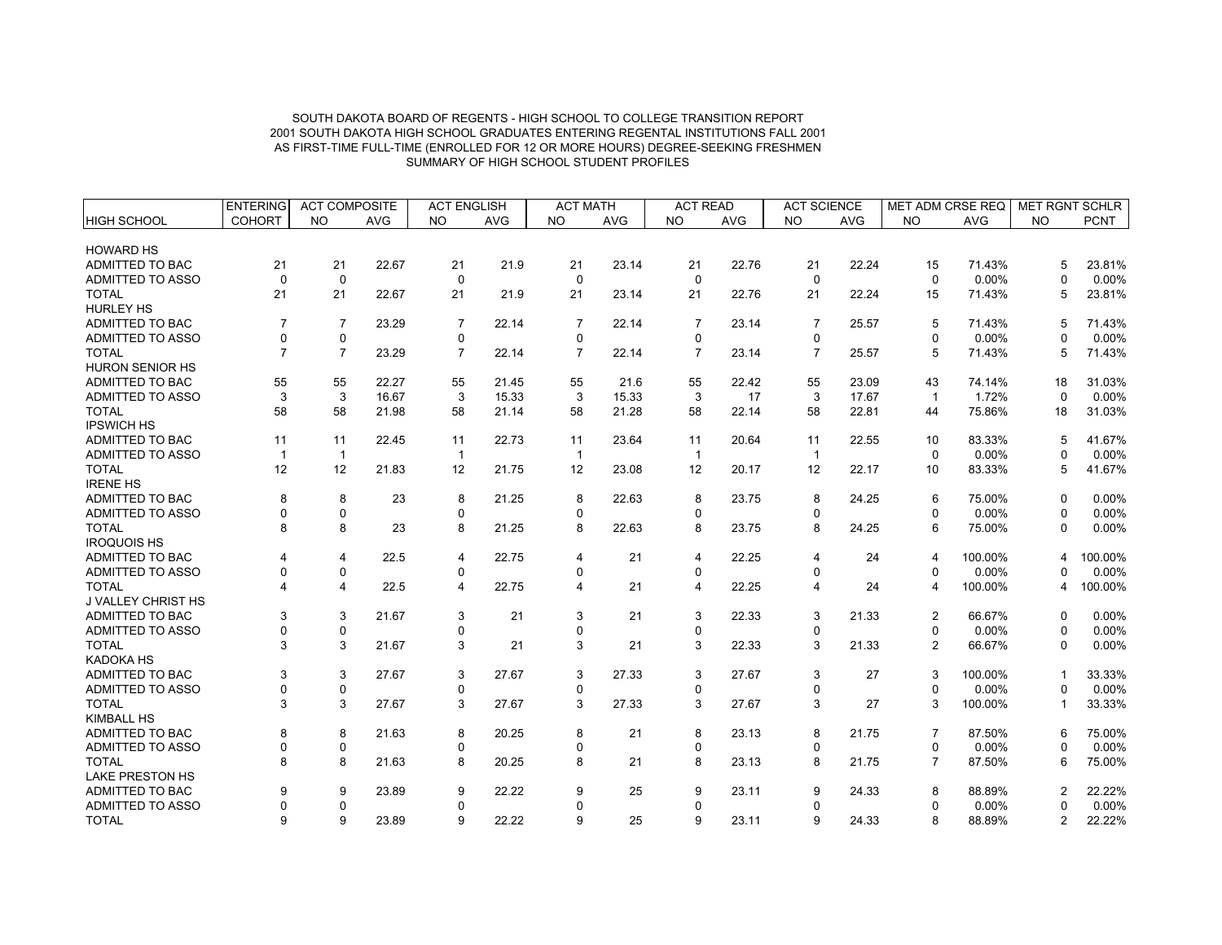|                           | <b>ENTERING</b> | <b>ACT COMPOSITE</b> |            | <b>ACT ENGLISH</b>      |            | <b>ACT MATH</b> |            | <b>ACT READ</b> |            | <b>ACT SCIENCE</b> |            | MET ADM CRSE REQ |            | <b>MET RGNT SCHLR</b> |             |
|---------------------------|-----------------|----------------------|------------|-------------------------|------------|-----------------|------------|-----------------|------------|--------------------|------------|------------------|------------|-----------------------|-------------|
| <b>HIGH SCHOOL</b>        | <b>COHORT</b>   | <b>NO</b>            | <b>AVG</b> | <b>NO</b>               | <b>AVG</b> | <b>NO</b>       | <b>AVG</b> | <b>NO</b>       | <b>AVG</b> | <b>NO</b>          | <b>AVG</b> | <b>NO</b>        | <b>AVG</b> | <b>NO</b>             | <b>PCNT</b> |
|                           |                 |                      |            |                         |            |                 |            |                 |            |                    |            |                  |            |                       |             |
| <b>HOWARD HS</b>          |                 |                      |            |                         |            |                 |            |                 |            |                    |            |                  |            |                       |             |
| ADMITTED TO BAC           | 21              | 21                   | 22.67      | 21                      | 21.9       | 21              | 23.14      | 21              | 22.76      | 21                 | 22.24      | 15               | 71.43%     | 5                     | 23.81%      |
| <b>ADMITTED TO ASSO</b>   | $\Omega$        | $\mathbf 0$          |            | 0                       |            | 0               |            | $\Omega$        |            | $\mathbf 0$        |            | $\mathbf 0$      | 0.00%      | $\Omega$              | 0.00%       |
| <b>TOTAL</b>              | 21              | 21                   | 22.67      | 21                      | 21.9       | 21              | 23.14      | 21              | 22.76      | 21                 | 22.24      | 15               | 71.43%     | 5                     | 23.81%      |
| <b>HURLEY HS</b>          |                 |                      |            |                         |            |                 |            |                 |            |                    |            |                  |            |                       |             |
| ADMITTED TO BAC           | $\overline{7}$  | $\overline{7}$       | 23.29      | $\overline{7}$          | 22.14      | $\overline{7}$  | 22.14      | $\overline{7}$  | 23.14      | $\overline{7}$     | 25.57      | 5                | 71.43%     | 5                     | 71.43%      |
| <b>ADMITTED TO ASSO</b>   | $\Omega$        | $\mathbf 0$          |            | $\mathbf 0$             |            | 0               |            | 0               |            | 0                  |            | $\Omega$         | 0.00%      | ŋ                     | 0.00%       |
| <b>TOTAL</b>              | $\overline{7}$  | $\overline{7}$       | 23.29      | $\overline{7}$          | 22.14      | $\overline{7}$  | 22.14      | $\overline{7}$  | 23.14      | $\overline{7}$     | 25.57      | 5                | 71.43%     | 5                     | 71.43%      |
| <b>HURON SENIOR HS</b>    |                 |                      |            |                         |            |                 |            |                 |            |                    |            |                  |            |                       |             |
| ADMITTED TO BAC           | 55              | 55                   | 22.27      | 55                      | 21.45      | 55              | 21.6       | 55              | 22.42      | 55                 | 23.09      | 43               | 74.14%     | 18                    | 31.03%      |
| ADMITTED TO ASSO          | 3               | 3                    | 16.67      | 3                       | 15.33      | 3               | 15.33      | 3               | 17         | 3                  | 17.67      | $\overline{1}$   | 1.72%      | $\Omega$              | 0.00%       |
| <b>TOTAL</b>              | 58              | 58                   | 21.98      | 58                      | 21.14      | 58              | 21.28      | 58              | 22.14      | 58                 | 22.81      | 44               | 75.86%     | 18                    | 31.03%      |
| <b>IPSWICH HS</b>         |                 |                      |            |                         |            |                 |            |                 |            |                    |            |                  |            |                       |             |
| ADMITTED TO BAC           | 11              | 11                   | 22.45      | 11                      | 22.73      | 11              | 23.64      | 11              | 20.64      | 11                 | 22.55      | 10               | 83.33%     | 5                     | 41.67%      |
| ADMITTED TO ASSO          |                 | $\overline{1}$       |            | $\overline{\mathbf{1}}$ |            | $\mathbf 1$     |            | $\mathbf{1}$    |            | $\mathbf{1}$       |            | $\mathbf 0$      | 0.00%      | ŋ                     | 0.00%       |
| <b>TOTAL</b>              | 12              | 12                   | 21.83      | 12                      | 21.75      | 12              | 23.08      | 12              | 20.17      | 12                 | 22.17      | 10               | 83.33%     | 5                     | 41.67%      |
| <b>IRENE HS</b>           |                 |                      |            |                         |            |                 |            |                 |            |                    |            |                  |            |                       |             |
| ADMITTED TO BAC           | 8               | 8                    | 23         | 8                       | 21.25      | 8               | 22.63      | 8               | 23.75      | 8                  | 24.25      | 6                | 75.00%     | $\Omega$              | 0.00%       |
| ADMITTED TO ASSO          |                 | $\mathbf 0$          |            | $\mathbf 0$             |            | 0               |            | $\Omega$        |            | 0                  |            | $\Omega$         | 0.00%      | $\Omega$              | 0.00%       |
| <b>TOTAL</b>              | 8               | 8                    | 23         | 8                       | 21.25      | 8               | 22.63      | 8               | 23.75      | 8                  | 24.25      | 6                | 75.00%     | $\Omega$              | 0.00%       |
| <b>IROQUOIS HS</b>        |                 |                      |            |                         |            |                 |            |                 |            |                    |            |                  |            |                       |             |
| <b>ADMITTED TO BAC</b>    |                 | 4                    | 22.5       | 4                       | 22.75      | $\overline{4}$  | 21         | 4               | 22.25      | 4                  | 24         | $\overline{4}$   | 100.00%    | 4                     | 100.00%     |
| ADMITTED TO ASSO          |                 | $\mathbf 0$          |            | 0                       |            | $\Omega$        |            | $\Omega$        |            | $\Omega$           |            | $\mathbf 0$      | 0.00%      |                       | 0.00%       |
| <b>TOTAL</b>              |                 | 4                    | 22.5       | $\overline{4}$          | 22.75      | $\overline{4}$  | 21         | 4               | 22.25      | 4                  | 24         | $\overline{4}$   | 100.00%    | 4                     | 100.00%     |
| <b>J VALLEY CHRIST HS</b> |                 |                      |            |                         |            |                 |            |                 |            |                    |            |                  |            |                       |             |
| ADMITTED TO BAC           | 3               | 3                    | 21.67      | 3                       | 21         | 3               | 21         | 3               | 22.33      | 3                  | 21.33      | $\overline{2}$   | 66.67%     | $\Omega$              | 0.00%       |
| ADMITTED TO ASSO          | $\Omega$        | $\mathbf 0$          |            | $\Omega$                |            | $\mathbf{0}$    |            | 0               |            | 0                  |            | $\mathbf 0$      | 0.00%      | $\Omega$              | 0.00%       |
| <b>TOTAL</b>              | 3               | 3                    | 21.67      | 3                       | 21         | 3               | 21         | 3               | 22.33      | 3                  | 21.33      | 2                | 66.67%     | $\Omega$              | 0.00%       |
| <b>KADOKA HS</b>          |                 |                      |            |                         |            |                 |            |                 |            |                    |            |                  |            |                       |             |
| <b>ADMITTED TO BAC</b>    | 3               | 3                    | 27.67      | 3                       | 27.67      | 3               | 27.33      | 3               | 27.67      | 3                  | 27         | 3                | 100.00%    |                       | 33.33%      |
| <b>ADMITTED TO ASSO</b>   | $\Omega$        | $\pmb{0}$            |            | 0                       |            | 0               |            | 0               |            | 0                  |            | $\mathbf 0$      | 0.00%      | 0                     | 0.00%       |
| <b>TOTAL</b>              | 3               | 3                    | 27.67      | 3                       | 27.67      | 3               | 27.33      | 3               | 27.67      | 3                  | 27         | 3                | 100.00%    |                       | 33.33%      |
| <b>KIMBALL HS</b>         |                 |                      |            |                         |            |                 |            |                 |            |                    |            |                  |            |                       |             |
| ADMITTED TO BAC           | 8               | 8                    | 21.63      | 8                       | 20.25      | 8               | 21         | 8               | 23.13      | 8                  | 21.75      | $\overline{7}$   | 87.50%     | ิค                    | 75.00%      |
| ADMITTED TO ASSO          | $\Omega$        | $\pmb{0}$            |            | 0                       |            | 0               |            | 0               |            | 0                  |            | 0                | 0.00%      | <sup>0</sup>          | 0.00%       |
| <b>TOTAL</b>              | 8               | 8                    | 21.63      | 8                       | 20.25      | 8               | 21         | 8               | 23.13      | 8                  | 21.75      | $\overline{7}$   | 87.50%     | 6                     | 75.00%      |
| <b>LAKE PRESTON HS</b>    |                 |                      |            |                         |            |                 |            |                 |            |                    |            |                  |            |                       |             |
|                           |                 |                      | 23.89      |                         | 22.22      |                 | 25         |                 | 23.11      |                    | 24.33      |                  | 88.89%     |                       |             |
| ADMITTED TO BAC           |                 | 9                    |            | 9                       |            | 9               |            | 9               |            | 9                  |            | 8                |            |                       | 22.22%      |
| ADMITTED TO ASSO          |                 | $\pmb{0}$            |            | $\mathbf 0$             |            | $\mathbf 0$     |            | 0               |            | $\mathbf 0$        |            | $\mathbf 0$      | 0.00%      |                       | 0.00%       |
| <b>TOTAL</b>              | 9               | 9                    | 23.89      | 9                       | 22.22      | 9               | 25         | 9               | 23.11      | 9                  | 24.33      | 8                | 88.89%     | 2                     | 22.22%      |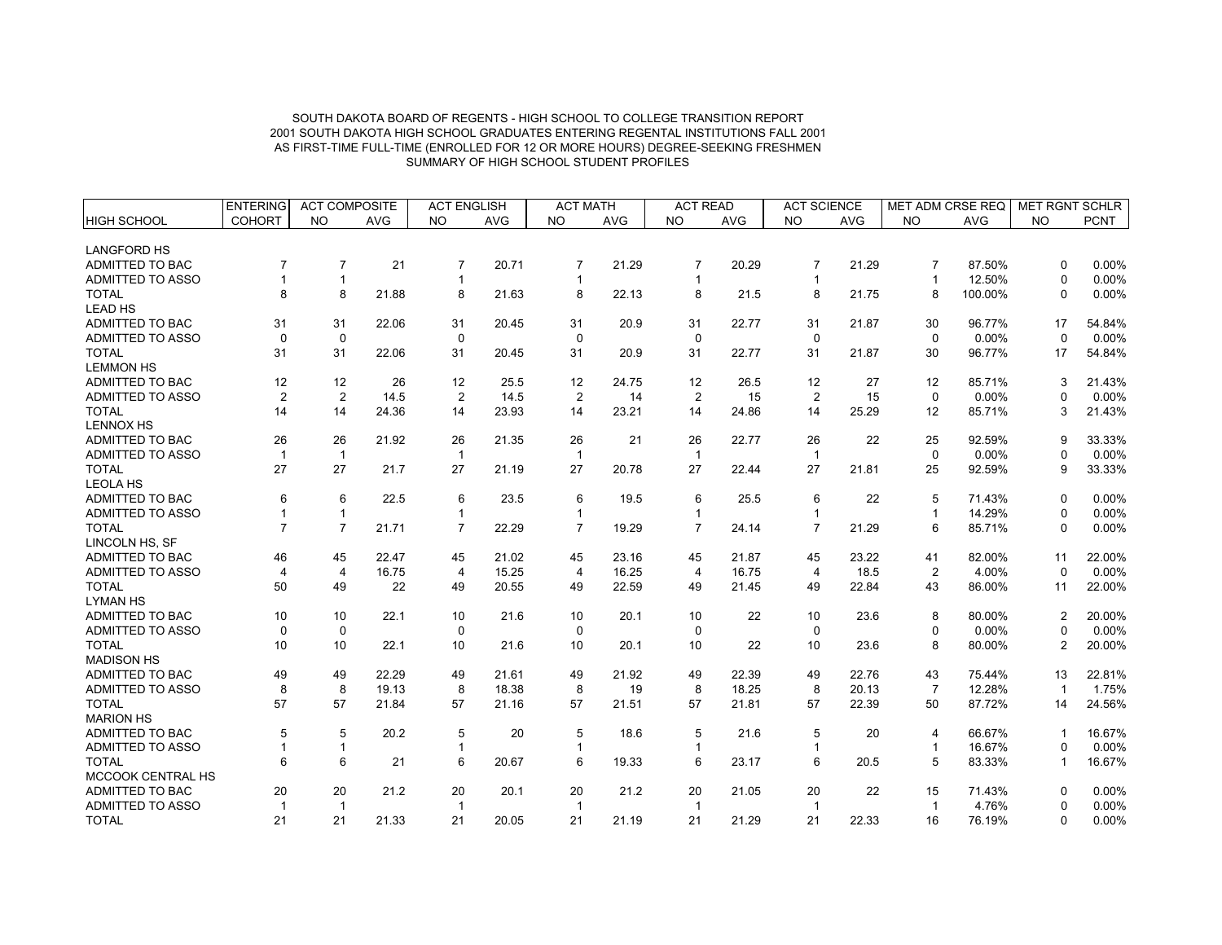|                                     | <b>ENTERING</b> | <b>ACT COMPOSITE</b> |            | <b>ACT ENGLISH</b>      |            | <b>ACT MATH</b>  |            | <b>ACT READ</b> |            | <b>ACT SCIENCE</b> |            | <b>MET ADM CRSE REQ</b> |            | <b>MET RGNT SCHLR</b> |                 |
|-------------------------------------|-----------------|----------------------|------------|-------------------------|------------|------------------|------------|-----------------|------------|--------------------|------------|-------------------------|------------|-----------------------|-----------------|
| <b>HIGH SCHOOL</b>                  | <b>COHORT</b>   | <b>NO</b>            | <b>AVG</b> | <b>NO</b>               | <b>AVG</b> | <b>NO</b>        | <b>AVG</b> | <b>NO</b>       | <b>AVG</b> | <b>NO</b>          | <b>AVG</b> | <b>NO</b>               | <b>AVG</b> | <b>NO</b>             | <b>PCNT</b>     |
| <b>LANGFORD HS</b>                  |                 |                      |            |                         |            |                  |            |                 |            |                    |            |                         |            |                       |                 |
| ADMITTED TO BAC                     | $\overline{7}$  | $\overline{7}$       | 21         | $\overline{7}$          | 20.71      | $\overline{7}$   | 21.29      | $\overline{7}$  | 20.29      | $\overline{7}$     | 21.29      | $\overline{7}$          | 87.50%     | $\Omega$              | 0.00%           |
| <b>ADMITTED TO ASSO</b>             |                 | $\mathbf{1}$         |            | -1                      |            | -1               |            | -1              |            | $\mathbf{1}$       |            | $\mathbf{1}$            | 12.50%     | $\Omega$              | 0.00%           |
| <b>TOTAL</b>                        | 8               | 8                    | 21.88      | 8                       | 21.63      | 8                | 22.13      | 8               | 21.5       | 8                  | 21.75      | 8                       | 100.00%    | $\Omega$              | 0.00%           |
| <b>LEAD HS</b>                      |                 |                      |            |                         |            |                  |            |                 |            |                    |            |                         |            |                       |                 |
| ADMITTED TO BAC                     | 31              | 31                   | 22.06      | 31                      | 20.45      | 31               | 20.9       | 31              | 22.77      | 31                 | 21.87      | 30                      | 96.77%     | 17                    | 54.84%          |
| ADMITTED TO ASSO                    | $\Omega$        | $\mathbf 0$          |            | $\mathbf 0$             |            | $\mathbf 0$      |            | $\mathbf 0$     |            | $\mathbf 0$        |            | $\Omega$                | 0.00%      | $\Omega$              | 0.00%           |
| <b>TOTAL</b>                        | 31              | 31                   | 22.06      | 31                      | 20.45      | 31               | 20.9       | 31              | 22.77      | 31                 | 21.87      | 30                      | 96.77%     | 17                    | 54.84%          |
| <b>LEMMON HS</b>                    |                 |                      |            |                         |            |                  |            |                 |            |                    |            |                         |            |                       |                 |
| ADMITTED TO BAC                     | 12              | 12                   | 26         | 12                      | 25.5       | 12               | 24.75      | 12              | 26.5       | 12                 | 27         | 12                      | 85.71%     | 3                     | 21.43%          |
| ADMITTED TO ASSO                    | $\overline{2}$  | $\overline{2}$       | 14.5       | $\overline{2}$          | 14.5       | $\overline{2}$   | 14         | $\overline{2}$  | 15         | $\overline{2}$     | 15         | $\mathbf 0$             | 0.00%      | $\Omega$              | 0.00%           |
| <b>TOTAL</b>                        | 14              | 14                   | 24.36      | 14                      | 23.93      | 14               | 23.21      | 14              | 24.86      | 14                 | 25.29      | 12                      | 85.71%     | 3                     | 21.43%          |
| <b>LENNOX HS</b>                    |                 |                      |            |                         |            |                  |            |                 |            |                    |            |                         |            |                       |                 |
| ADMITTED TO BAC                     | 26              | 26                   | 21.92      | 26                      | 21.35      | 26               | 21         | 26              | 22.77      | 26                 | 22         | 25                      | 92.59%     | 9                     | 33.33%          |
| <b>ADMITTED TO ASSO</b>             | $\mathbf{1}$    | $\overline{1}$       |            | $\overline{\mathbf{1}}$ |            | $\mathbf{1}$     |            | $\overline{1}$  |            | $\mathbf{1}$       |            | $\mathbf 0$             | 0.00%      | $\Omega$              | 0.00%           |
| <b>TOTAL</b>                        | 27              | 27                   | 21.7       | 27                      | 21.19      | 27               | 20.78      | 27              | 22.44      | 27                 | 21.81      | 25                      | 92.59%     | 9                     | 33.33%          |
| <b>LEOLA HS</b>                     |                 |                      |            |                         |            |                  |            |                 |            |                    |            |                         |            |                       |                 |
| ADMITTED TO BAC                     | 6               | 6                    | 22.5       | 6                       | 23.5       | 6                | 19.5       | 6               | 25.5       | 6                  | 22         | 5                       | 71.43%     | $\Omega$              | 0.00%           |
| ADMITTED TO ASSO                    |                 | $\mathbf{1}$         |            | 1                       |            | $\mathbf{1}$     |            |                 |            | $\mathbf{1}$       |            | $\mathbf{1}$            | 14.29%     | $\Omega$              | 0.00%           |
| <b>TOTAL</b>                        | $\overline{7}$  | $\overline{7}$       | 21.71      | $\overline{7}$          | 22.29      | $\overline{7}$   | 19.29      | $\overline{7}$  | 24.14      | $\overline{7}$     | 21.29      | 6                       | 85.71%     | $\mathbf 0$           | 0.00%           |
| LINCOLN HS, SF                      |                 |                      |            |                         |            |                  |            |                 |            |                    |            |                         |            |                       |                 |
| ADMITTED TO BAC                     | 46              | 45                   | 22.47      | 45                      | 21.02      | 45               | 23.16      | 45              | 21.87      | 45                 | 23.22      | 41                      | 82.00%     | 11                    | 22.00%          |
| ADMITTED TO ASSO                    | $\overline{4}$  | 4                    | 16.75      | 4                       | 15.25      | 4                | 16.25      | 4               | 16.75      | 4                  | 18.5       | $\overline{2}$          | 4.00%      | $\Omega$              | 0.00%           |
| <b>TOTAL</b>                        | 50              | 49                   | 22         | 49                      | 20.55      | 49               | 22.59      | 49              | 21.45      | 49                 | 22.84      | 43                      | 86.00%     | 11                    | 22.00%          |
| <b>LYMAN HS</b>                     |                 |                      |            |                         |            |                  |            |                 |            |                    |            |                         |            |                       |                 |
| <b>ADMITTED TO BAC</b>              | 10              | 10                   | 22.1       | 10                      | 21.6       | 10               | 20.1       | 10              | 22         | 10                 | 23.6       | 8                       | 80.00%     | $\overline{2}$        | 20.00%          |
| ADMITTED TO ASSO                    | $\mathbf 0$     | 0                    |            | $\mathbf 0$             |            | 0                |            | $\Omega$        |            | 0                  |            | $\mathbf 0$             | 0.00%      | $\Omega$              | 0.00%           |
| <b>TOTAL</b>                        | 10              | 10                   | 22.1       | 10                      | 21.6       | 10               | 20.1       | 10              | 22         | 10                 | 23.6       | 8                       | 80.00%     | $\overline{2}$        | 20.00%          |
| <b>MADISON HS</b>                   |                 |                      |            |                         |            |                  |            |                 |            |                    |            |                         |            |                       |                 |
| <b>ADMITTED TO BAC</b>              | 49              | 49                   | 22.29      | 49                      | 21.61      | 49               | 21.92      | 49              | 22.39      | 49                 | 22.76      | 43                      | 75.44%     | 13                    | 22.81%          |
| ADMITTED TO ASSO                    | 8               | 8                    | 19.13      | 8                       | 18.38      | 8                | 19         | 8               | 18.25      | 8                  | 20.13      | $\overline{7}$          | 12.28%     | $\overline{1}$        | 1.75%           |
| <b>TOTAL</b>                        | 57              | 57                   | 21.84      | 57                      | 21.16      | 57               | 21.51      | 57              | 21.81      | 57                 | 22.39      | 50                      | 87.72%     | 14                    | 24.56%          |
| <b>MARION HS</b><br>ADMITTED TO BAC |                 | 5                    | 20.2       |                         | 20         |                  |            |                 |            |                    |            |                         | 66.67%     |                       |                 |
|                                     | 5               |                      |            | 5                       |            | 5                | 18.6       | 5               | 21.6       | 5                  | 20         | $\overline{4}$          | 16.67%     | -1                    | 16.67%          |
| ADMITTED TO ASSO<br><b>TOTAL</b>    | 6               | $\mathbf{1}$<br>6    | 21         | $\mathbf{1}$<br>6       | 20.67      | $\mathbf 1$<br>6 | 19.33      | 1<br>6          | 23.17      | $\mathbf{1}$<br>6  | 20.5       | $\mathbf{1}$<br>5       | 83.33%     | $\Omega$<br>1         | 0.00%<br>16.67% |
| MCCOOK CENTRAL HS                   |                 |                      |            |                         |            |                  |            |                 |            |                    |            |                         |            |                       |                 |
| <b>ADMITTED TO BAC</b>              | 20              | 20                   | 21.2       | 20                      | 20.1       | 20               | 21.2       | 20              | 21.05      | 20                 | 22         | 15                      | 71.43%     | <sup>0</sup>          | 0.00%           |
| ADMITTED TO ASSO                    | $\mathbf 1$     | $\overline{1}$       |            | $\overline{\mathbf{1}}$ |            | $\mathbf{1}$     |            | $\overline{1}$  |            | $\mathbf{1}$       |            | $\mathbf{1}$            | 4.76%      | $\Omega$              | 0.00%           |
| <b>TOTAL</b>                        | 21              | 21                   | 21.33      | 21                      | 20.05      | 21               | 21.19      | 21              | 21.29      | 21                 | 22.33      | 16                      | 76.19%     | $\Omega$              | 0.00%           |
|                                     |                 |                      |            |                         |            |                  |            |                 |            |                    |            |                         |            |                       |                 |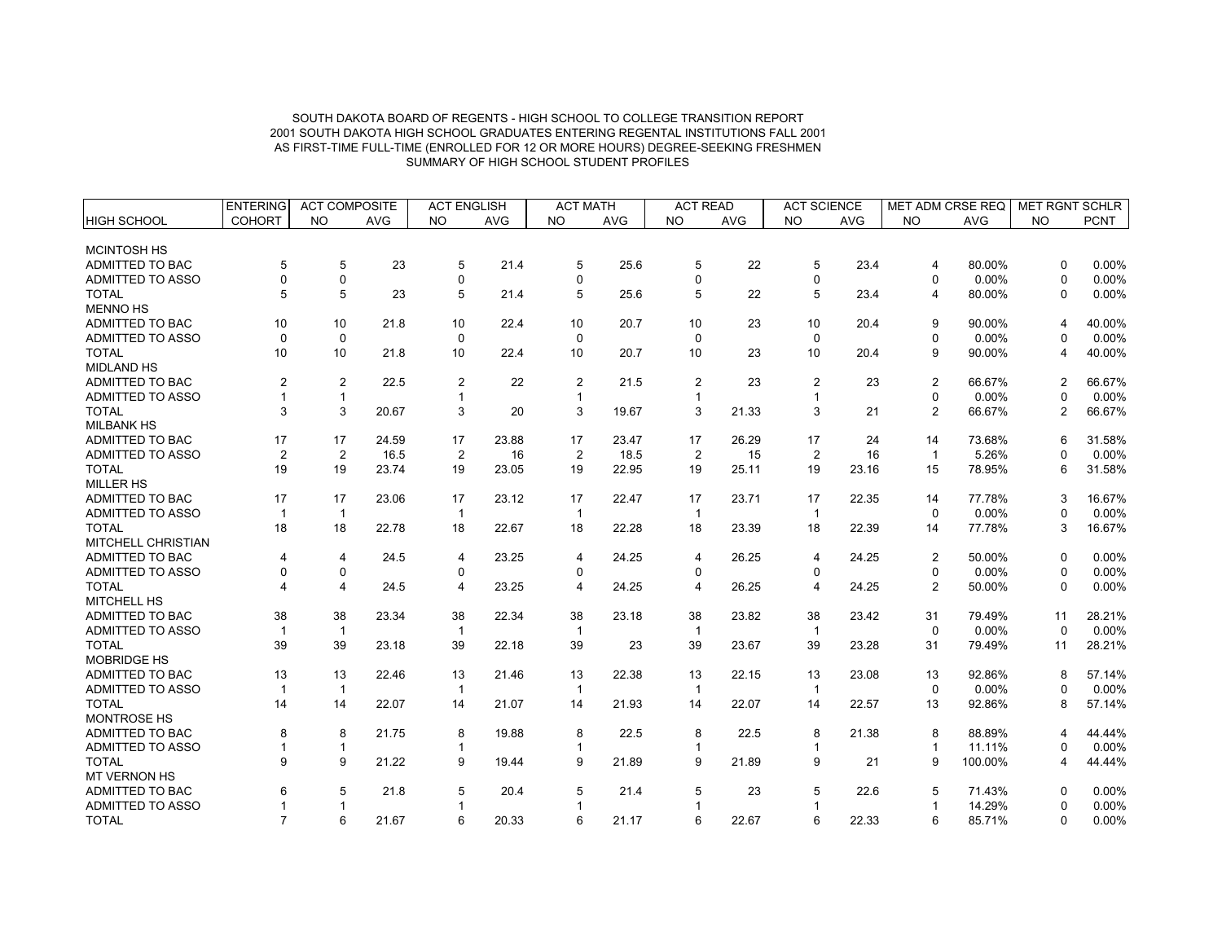|                         | <b>ENTERING</b> | <b>ACT COMPOSITE</b> |            | <b>ACT ENGLISH</b> |            | <b>ACT MATH</b> |            | <b>ACT READ</b> |            | <b>ACT SCIENCE</b>      |            | MET ADM CRSE REQ |            | <b>MET RGNT SCHLR</b> |             |
|-------------------------|-----------------|----------------------|------------|--------------------|------------|-----------------|------------|-----------------|------------|-------------------------|------------|------------------|------------|-----------------------|-------------|
| <b>HIGH SCHOOL</b>      | <b>COHORT</b>   | <b>NO</b>            | <b>AVG</b> | <b>NO</b>          | <b>AVG</b> | <b>NO</b>       | <b>AVG</b> | <b>NO</b>       | <b>AVG</b> | <b>NO</b>               | <b>AVG</b> | <b>NO</b>        | <b>AVG</b> | <b>NO</b>             | <b>PCNT</b> |
|                         |                 |                      |            |                    |            |                 |            |                 |            |                         |            |                  |            |                       |             |
| <b>MCINTOSH HS</b>      |                 |                      |            |                    |            |                 |            |                 |            |                         |            |                  |            |                       |             |
| ADMITTED TO BAC         | 5               | 5                    | 23         | 5                  | 21.4       | 5               | 25.6       | 5               | 22         | 5                       | 23.4       | $\overline{4}$   | 80.00%     | $\Omega$              | 0.00%       |
| <b>ADMITTED TO ASSO</b> | $\Omega$        | 0                    |            | $\mathbf 0$        |            | $\Omega$        |            | $\Omega$        |            | 0                       |            | $\mathbf 0$      | 0.00%      | $\mathbf{0}$          | 0.00%       |
| <b>TOTAL</b>            | 5               | 5                    | 23         | 5                  | 21.4       | 5               | 25.6       | 5               | 22         | 5                       | 23.4       | $\overline{4}$   | 80.00%     | 0                     | 0.00%       |
| <b>MENNO HS</b>         |                 |                      |            |                    |            |                 |            |                 |            |                         |            |                  |            |                       |             |
| ADMITTED TO BAC         | 10              | 10                   | 21.8       | 10                 | 22.4       | 10              | 20.7       | 10              | 23         | 10                      | 20.4       | 9                | 90.00%     | 4                     | 40.00%      |
| <b>ADMITTED TO ASSO</b> | $\Omega$        | $\pmb{0}$            |            | $\mathbf 0$        |            | $\Omega$        |            | $\Omega$        |            | $\mathbf 0$             |            | $\Omega$         | 0.00%      | $\Omega$              | 0.00%       |
| <b>TOTAL</b>            | 10              | 10                   | 21.8       | 10                 | 22.4       | 10              | 20.7       | 10              | 23         | 10                      | 20.4       | 9                | 90.00%     | 4                     | 40.00%      |
| <b>MIDLAND HS</b>       |                 |                      |            |                    |            |                 |            |                 |            |                         |            |                  |            |                       |             |
| ADMITTED TO BAC         | $\overline{2}$  | $\overline{2}$       | 22.5       | $\overline{2}$     | 22         | $\overline{2}$  | 21.5       | $\overline{2}$  | 23         | $\overline{2}$          | 23         | $\overline{2}$   | 66.67%     | $\overline{2}$        | 66.67%      |
| ADMITTED TO ASSO        |                 | $\mathbf{1}$         |            |                    |            |                 |            | -1              |            | $\overline{\mathbf{1}}$ |            | $\mathbf 0$      | 0.00%      | $\Omega$              | 0.00%       |
| <b>TOTAL</b>            | 3               | 3                    | 20.67      | 3                  | 20         | 3               | 19.67      | 3               | 21.33      | 3                       | 21         | 2                | 66.67%     | 2                     | 66.67%      |
| <b>MILBANK HS</b>       |                 |                      |            |                    |            |                 |            |                 |            |                         |            |                  |            |                       |             |
| ADMITTED TO BAC         | 17              | 17                   | 24.59      | 17                 | 23.88      | 17              | 23.47      | 17              | 26.29      | 17                      | 24         | 14               | 73.68%     | 6                     | 31.58%      |
| ADMITTED TO ASSO        | $\overline{2}$  | $\overline{2}$       | 16.5       | 2                  | 16         | $\overline{2}$  | 18.5       | $\overline{2}$  | 15         | $\overline{2}$          | 16         | $\overline{1}$   | 5.26%      | $\Omega$              | 0.00%       |
| <b>TOTAL</b>            | 19              | 19                   | 23.74      | 19                 | 23.05      | 19              | 22.95      | 19              | 25.11      | 19                      | 23.16      | 15               | 78.95%     | 6                     | 31.58%      |
| <b>MILLER HS</b>        |                 |                      |            |                    |            |                 |            |                 |            |                         |            |                  |            |                       |             |
| ADMITTED TO BAC         | 17              | 17                   | 23.06      | 17                 | 23.12      | 17              | 22.47      | 17              | 23.71      | 17                      | 22.35      | 14               | 77.78%     | 3                     | 16.67%      |
| <b>ADMITTED TO ASSO</b> | $\overline{1}$  | $\mathbf{1}$         |            |                    |            | $\mathbf{1}$    |            | $\overline{1}$  |            | $\overline{1}$          |            | $\Omega$         | 0.00%      | $\Omega$              | 0.00%       |
| <b>TOTAL</b>            | 18              | 18                   | 22.78      | 18                 | 22.67      | 18              | 22.28      | 18              | 23.39      | 18                      | 22.39      | 14               | 77.78%     | 3                     | 16.67%      |
| MITCHELL CHRISTIAN      |                 |                      |            |                    |            |                 |            |                 |            |                         |            |                  |            |                       |             |
| <b>ADMITTED TO BAC</b>  | 4               | $\overline{4}$       | 24.5       | 4                  | 23.25      | $\overline{4}$  | 24.25      | $\overline{4}$  | 26.25      | 4                       | 24.25      | 2                | 50.00%     | 0                     | 0.00%       |
| <b>ADMITTED TO ASSO</b> | $\Omega$        | 0                    |            | 0                  |            | $\Omega$        |            | 0               |            | $\mathbf 0$             |            | 0                | 0.00%      | $\Omega$              | 0.00%       |
| <b>TOTAL</b>            |                 | $\overline{4}$       | 24.5       | 4                  | 23.25      | 4               | 24.25      | 4               | 26.25      | $\overline{4}$          | 24.25      | $\overline{2}$   | 50.00%     | $\mathbf 0$           | 0.00%       |
| <b>MITCHELL HS</b>      |                 |                      |            |                    |            |                 |            |                 |            |                         |            |                  |            |                       |             |
| ADMITTED TO BAC         | 38              | 38                   | 23.34      | 38                 | 22.34      | 38              | 23.18      | 38              | 23.82      | 38                      | 23.42      | 31               | 79.49%     | 11                    | 28.21%      |
| <b>ADMITTED TO ASSO</b> | $\overline{1}$  | $\mathbf{1}$         |            | $\mathbf{1}$       |            | $\mathbf{1}$    |            | $\overline{1}$  |            | $\overline{1}$          |            | $\mathbf 0$      | 0.00%      | $\Omega$              | 0.00%       |
| <b>TOTAL</b>            | 39              | 39                   | 23.18      | 39                 | 22.18      | 39              | 23         | 39              | 23.67      | 39                      | 23.28      | 31               | 79.49%     | 11                    | 28.21%      |
| <b>MOBRIDGE HS</b>      |                 |                      |            |                    |            |                 |            |                 |            |                         |            |                  |            |                       |             |
| <b>ADMITTED TO BAC</b>  | 13              | 13                   | 22.46      | 13                 | 21.46      | 13              | 22.38      | 13              | 22.15      | 13                      | 23.08      | 13               | 92.86%     | 8                     | 57.14%      |
| <b>ADMITTED TO ASSO</b> | -1              | $\mathbf{1}$         |            | $\mathbf{1}$       |            | $\overline{1}$  |            | $\overline{1}$  |            | $\mathbf{1}$            |            | $\mathbf 0$      | 0.00%      | 0                     | 0.00%       |
| <b>TOTAL</b>            | 14              | 14                   | 22.07      | 14                 | 21.07      | 14              | 21.93      | 14              | 22.07      | 14                      | 22.57      | 13               | 92.86%     | 8                     | 57.14%      |
| <b>MONTROSE HS</b>      |                 |                      |            |                    |            |                 |            |                 |            |                         |            |                  |            |                       |             |
| ADMITTED TO BAC         | 8               | 8                    | 21.75      | 8                  | 19.88      | 8               | 22.5       | 8               | 22.5       | 8                       | 21.38      | 8                | 88.89%     | $\boldsymbol{\Delta}$ | 44.44%      |
| ADMITTED TO ASSO        |                 | $\mathbf{1}$         |            | $\mathbf{1}$       |            |                 |            | 1               |            | $\mathbf{1}$            |            | $\mathbf{1}$     | 11.11%     | $\Omega$              | 0.00%       |
| <b>TOTAL</b>            | $\mathbf{Q}$    | 9                    | 21.22      | 9                  | 19.44      | 9               | 21.89      | 9               | 21.89      | 9                       | 21         | 9                | 100.00%    | 4                     | 44.44%      |
| MT VERNON HS            |                 |                      |            |                    |            |                 |            |                 |            |                         |            |                  |            |                       |             |
| ADMITTED TO BAC         |                 | 5                    | 21.8       | 5                  | 20.4       | 5               | 21.4       | 5               | 23         | 5                       | 22.6       | 5                | 71.43%     | 0                     | 0.00%       |
| ADMITTED TO ASSO        |                 | $\mathbf{1}$         |            |                    |            |                 |            | 1               |            | 1                       |            | $\mathbf{1}$     | 14.29%     | 0                     | 0.00%       |
| <b>TOTAL</b>            | $\overline{7}$  | 6                    | 21.67      | 6                  | 20.33      | 6               | 21.17      | 6               | 22.67      | 6                       | 22.33      | 6                | 85.71%     | $\Omega$              | 0.00%       |
|                         |                 |                      |            |                    |            |                 |            |                 |            |                         |            |                  |            |                       |             |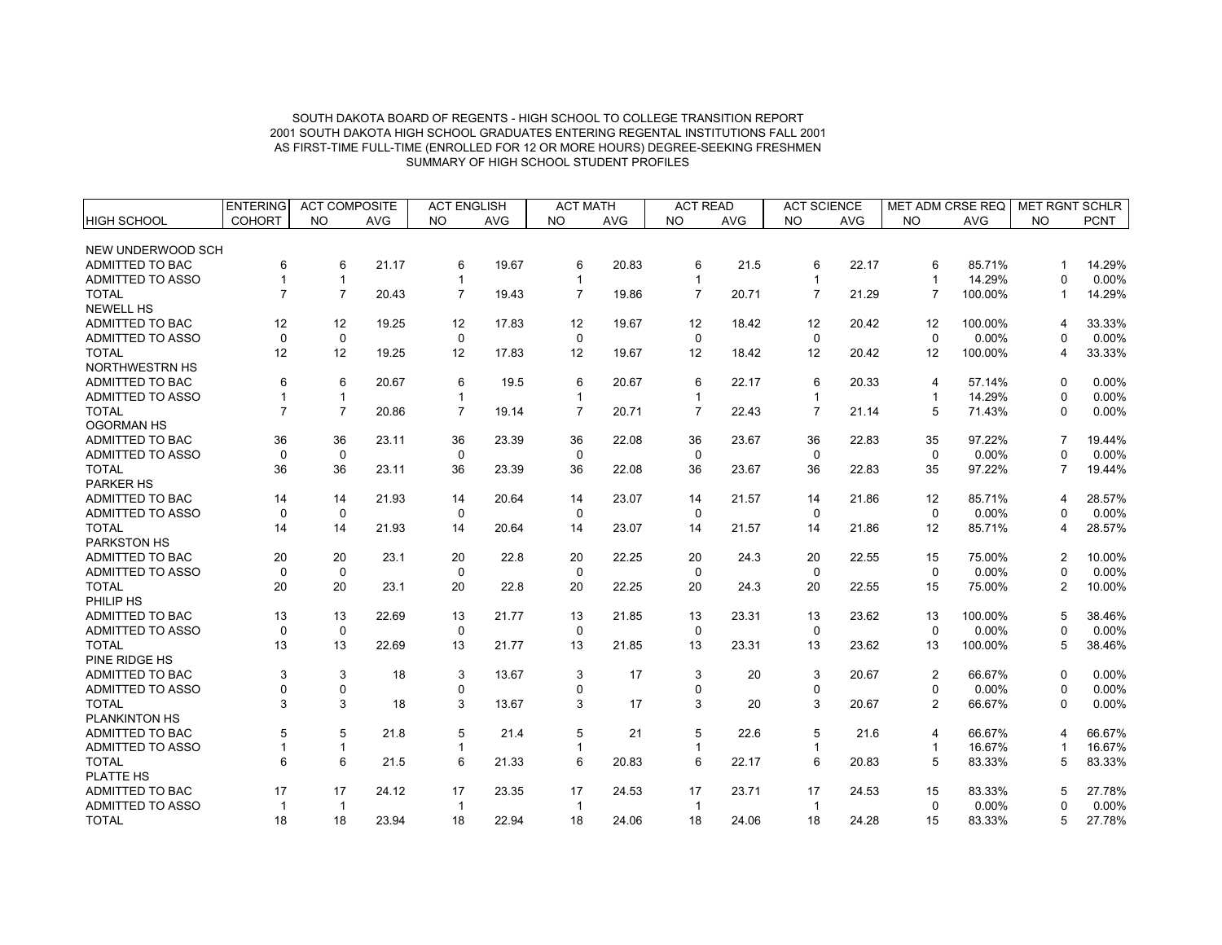| <b>COHORT</b><br><b>PCNT</b><br><b>NO</b><br><b>AVG</b><br><b>NO</b><br><b>AVG</b><br><b>NO</b><br><b>AVG</b><br><b>NO</b><br><b>AVG</b><br><b>NO</b><br><b>AVG</b><br><b>NO</b><br><b>AVG</b><br><b>NO</b><br>HIGH SCHOOL<br>NEW UNDERWOOD SCH<br>ADMITTED TO BAC<br>6<br>21.17<br>22.17<br>85.71%<br>6<br>6<br>19.67<br>6<br>20.83<br>6<br>21.5<br>6<br>6<br>14.29%<br>$\mathbf 1$<br>14.29%<br>0.00%<br><b>ADMITTED TO ASSO</b><br>$\mathbf{1}$<br>$\mathbf 1$<br>$\Omega$<br>$\mathbf 1$<br>-1<br>$\overline{7}$<br>$\overline{7}$<br><b>TOTAL</b><br>$\overline{7}$<br>$\overline{7}$<br>$\overline{7}$<br>$\overline{7}$<br>$\overline{7}$<br>100.00%<br>14.29%<br>20.43<br>19.43<br>19.86<br>20.71<br>21.29<br>$\mathbf 1$<br><b>NEWELL HS</b><br>ADMITTED TO BAC<br>12<br>12<br>19.25<br>12<br>17.83<br>12<br>19.67<br>12<br>18.42<br>12<br>20.42<br>12<br>100.00%<br>33.33%<br>4<br>ADMITTED TO ASSO<br>$\mathbf 0$<br>$\mathbf 0$<br>0<br>$\pmb{0}$<br>$\mathbf 0$<br>0.00%<br>0.00%<br>$\mathbf 0$<br>$\mathbf 0$<br>$\Omega$<br><b>TOTAL</b><br>12<br>12<br>19.25<br>12<br>17.83<br>12<br>12<br>18.42<br>12<br>20.42<br>12<br>100.00%<br>33.33%<br>19.67<br>4<br>NORTHWESTRN HS<br>6<br>ADMITTED TO BAC<br>6<br>20.67<br>6<br>19.5<br>6<br>20.67<br>6<br>22.17<br>6<br>20.33<br>57.14%<br>$0.00\%$<br>$\overline{4}$<br>$\Omega$<br>ADMITTED TO ASSO<br>14.29%<br>0.00%<br>$\mathbf{1}$<br>$\mathbf{1}$<br>-1<br>$\Omega$<br>$\overline{7}$<br>$\overline{7}$<br><b>TOTAL</b><br>$\overline{7}$<br>$\overline{7}$<br>$\overline{7}$<br>71.43%<br>20.86<br>19.14<br>20.71<br>22.43<br>$\overline{7}$<br>21.14<br>5<br>0.00%<br>0<br><b>OGORMAN HS</b><br><b>ADMITTED TO BAC</b><br>36<br>36<br>23.11<br>36<br>23.39<br>36<br>22.08<br>36<br>23.67<br>36<br>22.83<br>35<br>97.22%<br>19.44%<br>0.00%<br><b>ADMITTED TO ASSO</b><br>$\Omega$<br>$\mathbf 0$<br>$\Omega$<br>$\Omega$<br>$\Omega$<br>$\mathbf 0$<br>$\Omega$<br>$0.00\%$<br>ŋ<br><b>TOTAL</b><br>36<br>97.22%<br>19.44%<br>36<br>23.11<br>36<br>23.39<br>36<br>22.08<br>36<br>23.67<br>36<br>22.83<br>35<br>$\overline{7}$<br><b>PARKER HS</b><br><b>ADMITTED TO BAC</b><br>14<br>21.93<br>14<br>85.71%<br>28.57%<br>14<br>14<br>20.64<br>23.07<br>14<br>14<br>21.86<br>12<br>21.57<br>4<br>$\mathbf 0$<br>0.00%<br>0.00%<br><b>ADMITTED TO ASSO</b><br>$\mathbf 0$<br>$\mathbf 0$<br>$\mathbf 0$<br>$\mathbf 0$<br>$\mathbf 0$<br>$\mathbf 0$<br><sup>0</sup><br><b>TOTAL</b><br>14<br>21.93<br>20.64<br>14<br>23.07<br>21.57<br>21.86<br>85.71%<br>28.57%<br>14<br>14<br>14<br>14<br>$12 \overline{ }$<br>4<br>PARKSTON HS<br><b>ADMITTED TO BAC</b><br>20<br>20<br>23.1<br>20<br>22.8<br>20<br>22.25<br>20<br>24.3<br>20<br>22.55<br>75.00%<br>10.00%<br>15<br>2<br>ADMITTED TO ASSO<br>$\mathbf 0$<br>$\mathbf 0$<br>$\mathbf 0$<br>0.00%<br>0.00%<br>$\mathbf 0$<br>$\mathbf 0$<br>$\Omega$<br>$\mathbf 0$<br>$\Omega$<br>20<br><b>TOTAL</b><br>20<br>23.1<br>20<br>22.8<br>20<br>22.25<br>20<br>24.3<br>20<br>22.55<br>75.00%<br>$\overline{2}$<br>10.00%<br>15<br>PHILIP HS<br>13<br>ADMITTED TO BAC<br>13<br>13<br>22.69<br>13<br>21.77<br>21.85<br>13<br>23.31<br>13<br>23.62<br>13<br>100.00%<br>38.46%<br>5<br><b>ADMITTED TO ASSO</b><br>$\mathbf 0$<br>0<br>$\mathbf 0$<br>$\mathbf 0$<br>$\Omega$<br>$\mathbf 0$<br>$\mathbf 0$<br>0.00%<br>0.00%<br><sup>0</sup><br><b>TOTAL</b><br>13<br>13<br>22.69<br>13<br>21.77<br>13<br>21.85<br>13<br>23.31<br>13<br>23.62<br>13<br>100.00%<br>38.46%<br>5<br>PINE RIDGE HS<br><b>ADMITTED TO BAC</b><br>3<br>3<br>3<br>$\overline{2}$<br>66.67%<br>0.00%<br>3<br>18<br>3<br>13.67<br>3<br>17<br>20<br>20.67<br>$\Omega$<br>0<br>$\mathbf 0$<br>$\mathbf 0$<br>$\mathbf 0$<br>0.00%<br>0.00%<br><b>ADMITTED TO ASSO</b><br>$\mathbf 0$<br>$\mathbf 0$<br>0<br>0<br>3<br>3<br>3<br>3<br><b>TOTAL</b><br>3<br>18<br>13.67<br>17<br>3<br>20<br>20.67<br>2<br>66.67%<br>0.00%<br>$\Omega$<br>PLANKINTON HS<br>ADMITTED TO BAC<br>5<br>21.8<br>5<br>21.4<br>5<br>21<br>22.6<br>5<br>21.6<br>66.67%<br>66.67%<br>5<br>$\overline{4}$<br>5<br>$\boldsymbol{\Delta}$<br>ADMITTED TO ASSO<br>$\mathbf{1}$<br>16.67%<br>16.67%<br>$\mathbf{1}$<br>$\mathbf{1}$<br>$\mathbf{1}$<br>$\mathbf 1$<br><b>TOTAL</b><br>6<br>6<br>21.5<br>6<br>21.33<br>6<br>20.83<br>6<br>22.17<br>6<br>20.83<br>5<br>83.33%<br>83.33%<br>5<br><b>PLATTE HS</b><br>ADMITTED TO BAC<br>17<br>24.12<br>23.35<br>17<br>23.71<br>24.53<br>83.33%<br>27.78%<br>17<br>17<br>17<br>24.53<br>17<br>15<br><b>ADMITTED TO ASSO</b><br>$\mathbf 0$<br>0.00%<br>0.00%<br>$\mathbf{1}$<br>$\mathbf{1}$<br>$\mathbf{1}$<br>$\mathbf{1}$<br>$\mathbf{1}$ |              | <b>ENTERING</b> | <b>ACT COMPOSITE</b> |       | <b>ACT ENGLISH</b> |       | <b>ACT MATH</b> |       | <b>ACT READ</b> |       | <b>ACT SCIENCE</b> |       | <b>MET ADM CRSE REQ</b> |        | <b>MET RGNT SCHLR</b> |        |
|----------------------------------------------------------------------------------------------------------------------------------------------------------------------------------------------------------------------------------------------------------------------------------------------------------------------------------------------------------------------------------------------------------------------------------------------------------------------------------------------------------------------------------------------------------------------------------------------------------------------------------------------------------------------------------------------------------------------------------------------------------------------------------------------------------------------------------------------------------------------------------------------------------------------------------------------------------------------------------------------------------------------------------------------------------------------------------------------------------------------------------------------------------------------------------------------------------------------------------------------------------------------------------------------------------------------------------------------------------------------------------------------------------------------------------------------------------------------------------------------------------------------------------------------------------------------------------------------------------------------------------------------------------------------------------------------------------------------------------------------------------------------------------------------------------------------------------------------------------------------------------------------------------------------------------------------------------------------------------------------------------------------------------------------------------------------------------------------------------------------------------------------------------------------------------------------------------------------------------------------------------------------------------------------------------------------------------------------------------------------------------------------------------------------------------------------------------------------------------------------------------------------------------------------------------------------------------------------------------------------------------------------------------------------------------------------------------------------------------------------------------------------------------------------------------------------------------------------------------------------------------------------------------------------------------------------------------------------------------------------------------------------------------------------------------------------------------------------------------------------------------------------------------------------------------------------------------------------------------------------------------------------------------------------------------------------------------------------------------------------------------------------------------------------------------------------------------------------------------------------------------------------------------------------------------------------------------------------------------------------------------------------------------------------------------------------------------------------------------------------------------------------------------------------------------------------------------------------------------------------------------------------------------------------------------------------------------------------------------------------------------------------------------------------------------------------------------------------------------------------------------------------------------------------------------------------------------------------------------------------------------------------------------------------------------------------------------------------------------------------------------------------------------------------------------------------------------------------------------------------------------------------------------------------------------------------------------------------------------------------------------------|--------------|-----------------|----------------------|-------|--------------------|-------|-----------------|-------|-----------------|-------|--------------------|-------|-------------------------|--------|-----------------------|--------|
|                                                                                                                                                                                                                                                                                                                                                                                                                                                                                                                                                                                                                                                                                                                                                                                                                                                                                                                                                                                                                                                                                                                                                                                                                                                                                                                                                                                                                                                                                                                                                                                                                                                                                                                                                                                                                                                                                                                                                                                                                                                                                                                                                                                                                                                                                                                                                                                                                                                                                                                                                                                                                                                                                                                                                                                                                                                                                                                                                                                                                                                                                                                                                                                                                                                                                                                                                                                                                                                                                                                                                                                                                                                                                                                                                                                                                                                                                                                                                                                                                                                                                                                                                                                                                                                                                                                                                                                                                                                                                                                                                                                                                                        |              |                 |                      |       |                    |       |                 |       |                 |       |                    |       |                         |        |                       |        |
|                                                                                                                                                                                                                                                                                                                                                                                                                                                                                                                                                                                                                                                                                                                                                                                                                                                                                                                                                                                                                                                                                                                                                                                                                                                                                                                                                                                                                                                                                                                                                                                                                                                                                                                                                                                                                                                                                                                                                                                                                                                                                                                                                                                                                                                                                                                                                                                                                                                                                                                                                                                                                                                                                                                                                                                                                                                                                                                                                                                                                                                                                                                                                                                                                                                                                                                                                                                                                                                                                                                                                                                                                                                                                                                                                                                                                                                                                                                                                                                                                                                                                                                                                                                                                                                                                                                                                                                                                                                                                                                                                                                                                                        |              |                 |                      |       |                    |       |                 |       |                 |       |                    |       |                         |        |                       |        |
|                                                                                                                                                                                                                                                                                                                                                                                                                                                                                                                                                                                                                                                                                                                                                                                                                                                                                                                                                                                                                                                                                                                                                                                                                                                                                                                                                                                                                                                                                                                                                                                                                                                                                                                                                                                                                                                                                                                                                                                                                                                                                                                                                                                                                                                                                                                                                                                                                                                                                                                                                                                                                                                                                                                                                                                                                                                                                                                                                                                                                                                                                                                                                                                                                                                                                                                                                                                                                                                                                                                                                                                                                                                                                                                                                                                                                                                                                                                                                                                                                                                                                                                                                                                                                                                                                                                                                                                                                                                                                                                                                                                                                                        |              |                 |                      |       |                    |       |                 |       |                 |       |                    |       |                         |        |                       |        |
|                                                                                                                                                                                                                                                                                                                                                                                                                                                                                                                                                                                                                                                                                                                                                                                                                                                                                                                                                                                                                                                                                                                                                                                                                                                                                                                                                                                                                                                                                                                                                                                                                                                                                                                                                                                                                                                                                                                                                                                                                                                                                                                                                                                                                                                                                                                                                                                                                                                                                                                                                                                                                                                                                                                                                                                                                                                                                                                                                                                                                                                                                                                                                                                                                                                                                                                                                                                                                                                                                                                                                                                                                                                                                                                                                                                                                                                                                                                                                                                                                                                                                                                                                                                                                                                                                                                                                                                                                                                                                                                                                                                                                                        |              |                 |                      |       |                    |       |                 |       |                 |       |                    |       |                         |        |                       |        |
|                                                                                                                                                                                                                                                                                                                                                                                                                                                                                                                                                                                                                                                                                                                                                                                                                                                                                                                                                                                                                                                                                                                                                                                                                                                                                                                                                                                                                                                                                                                                                                                                                                                                                                                                                                                                                                                                                                                                                                                                                                                                                                                                                                                                                                                                                                                                                                                                                                                                                                                                                                                                                                                                                                                                                                                                                                                                                                                                                                                                                                                                                                                                                                                                                                                                                                                                                                                                                                                                                                                                                                                                                                                                                                                                                                                                                                                                                                                                                                                                                                                                                                                                                                                                                                                                                                                                                                                                                                                                                                                                                                                                                                        |              |                 |                      |       |                    |       |                 |       |                 |       |                    |       |                         |        |                       |        |
|                                                                                                                                                                                                                                                                                                                                                                                                                                                                                                                                                                                                                                                                                                                                                                                                                                                                                                                                                                                                                                                                                                                                                                                                                                                                                                                                                                                                                                                                                                                                                                                                                                                                                                                                                                                                                                                                                                                                                                                                                                                                                                                                                                                                                                                                                                                                                                                                                                                                                                                                                                                                                                                                                                                                                                                                                                                                                                                                                                                                                                                                                                                                                                                                                                                                                                                                                                                                                                                                                                                                                                                                                                                                                                                                                                                                                                                                                                                                                                                                                                                                                                                                                                                                                                                                                                                                                                                                                                                                                                                                                                                                                                        |              |                 |                      |       |                    |       |                 |       |                 |       |                    |       |                         |        |                       |        |
|                                                                                                                                                                                                                                                                                                                                                                                                                                                                                                                                                                                                                                                                                                                                                                                                                                                                                                                                                                                                                                                                                                                                                                                                                                                                                                                                                                                                                                                                                                                                                                                                                                                                                                                                                                                                                                                                                                                                                                                                                                                                                                                                                                                                                                                                                                                                                                                                                                                                                                                                                                                                                                                                                                                                                                                                                                                                                                                                                                                                                                                                                                                                                                                                                                                                                                                                                                                                                                                                                                                                                                                                                                                                                                                                                                                                                                                                                                                                                                                                                                                                                                                                                                                                                                                                                                                                                                                                                                                                                                                                                                                                                                        |              |                 |                      |       |                    |       |                 |       |                 |       |                    |       |                         |        |                       |        |
|                                                                                                                                                                                                                                                                                                                                                                                                                                                                                                                                                                                                                                                                                                                                                                                                                                                                                                                                                                                                                                                                                                                                                                                                                                                                                                                                                                                                                                                                                                                                                                                                                                                                                                                                                                                                                                                                                                                                                                                                                                                                                                                                                                                                                                                                                                                                                                                                                                                                                                                                                                                                                                                                                                                                                                                                                                                                                                                                                                                                                                                                                                                                                                                                                                                                                                                                                                                                                                                                                                                                                                                                                                                                                                                                                                                                                                                                                                                                                                                                                                                                                                                                                                                                                                                                                                                                                                                                                                                                                                                                                                                                                                        |              |                 |                      |       |                    |       |                 |       |                 |       |                    |       |                         |        |                       |        |
|                                                                                                                                                                                                                                                                                                                                                                                                                                                                                                                                                                                                                                                                                                                                                                                                                                                                                                                                                                                                                                                                                                                                                                                                                                                                                                                                                                                                                                                                                                                                                                                                                                                                                                                                                                                                                                                                                                                                                                                                                                                                                                                                                                                                                                                                                                                                                                                                                                                                                                                                                                                                                                                                                                                                                                                                                                                                                                                                                                                                                                                                                                                                                                                                                                                                                                                                                                                                                                                                                                                                                                                                                                                                                                                                                                                                                                                                                                                                                                                                                                                                                                                                                                                                                                                                                                                                                                                                                                                                                                                                                                                                                                        |              |                 |                      |       |                    |       |                 |       |                 |       |                    |       |                         |        |                       |        |
|                                                                                                                                                                                                                                                                                                                                                                                                                                                                                                                                                                                                                                                                                                                                                                                                                                                                                                                                                                                                                                                                                                                                                                                                                                                                                                                                                                                                                                                                                                                                                                                                                                                                                                                                                                                                                                                                                                                                                                                                                                                                                                                                                                                                                                                                                                                                                                                                                                                                                                                                                                                                                                                                                                                                                                                                                                                                                                                                                                                                                                                                                                                                                                                                                                                                                                                                                                                                                                                                                                                                                                                                                                                                                                                                                                                                                                                                                                                                                                                                                                                                                                                                                                                                                                                                                                                                                                                                                                                                                                                                                                                                                                        |              |                 |                      |       |                    |       |                 |       |                 |       |                    |       |                         |        |                       |        |
|                                                                                                                                                                                                                                                                                                                                                                                                                                                                                                                                                                                                                                                                                                                                                                                                                                                                                                                                                                                                                                                                                                                                                                                                                                                                                                                                                                                                                                                                                                                                                                                                                                                                                                                                                                                                                                                                                                                                                                                                                                                                                                                                                                                                                                                                                                                                                                                                                                                                                                                                                                                                                                                                                                                                                                                                                                                                                                                                                                                                                                                                                                                                                                                                                                                                                                                                                                                                                                                                                                                                                                                                                                                                                                                                                                                                                                                                                                                                                                                                                                                                                                                                                                                                                                                                                                                                                                                                                                                                                                                                                                                                                                        |              |                 |                      |       |                    |       |                 |       |                 |       |                    |       |                         |        |                       |        |
|                                                                                                                                                                                                                                                                                                                                                                                                                                                                                                                                                                                                                                                                                                                                                                                                                                                                                                                                                                                                                                                                                                                                                                                                                                                                                                                                                                                                                                                                                                                                                                                                                                                                                                                                                                                                                                                                                                                                                                                                                                                                                                                                                                                                                                                                                                                                                                                                                                                                                                                                                                                                                                                                                                                                                                                                                                                                                                                                                                                                                                                                                                                                                                                                                                                                                                                                                                                                                                                                                                                                                                                                                                                                                                                                                                                                                                                                                                                                                                                                                                                                                                                                                                                                                                                                                                                                                                                                                                                                                                                                                                                                                                        |              |                 |                      |       |                    |       |                 |       |                 |       |                    |       |                         |        |                       |        |
|                                                                                                                                                                                                                                                                                                                                                                                                                                                                                                                                                                                                                                                                                                                                                                                                                                                                                                                                                                                                                                                                                                                                                                                                                                                                                                                                                                                                                                                                                                                                                                                                                                                                                                                                                                                                                                                                                                                                                                                                                                                                                                                                                                                                                                                                                                                                                                                                                                                                                                                                                                                                                                                                                                                                                                                                                                                                                                                                                                                                                                                                                                                                                                                                                                                                                                                                                                                                                                                                                                                                                                                                                                                                                                                                                                                                                                                                                                                                                                                                                                                                                                                                                                                                                                                                                                                                                                                                                                                                                                                                                                                                                                        |              |                 |                      |       |                    |       |                 |       |                 |       |                    |       |                         |        |                       |        |
|                                                                                                                                                                                                                                                                                                                                                                                                                                                                                                                                                                                                                                                                                                                                                                                                                                                                                                                                                                                                                                                                                                                                                                                                                                                                                                                                                                                                                                                                                                                                                                                                                                                                                                                                                                                                                                                                                                                                                                                                                                                                                                                                                                                                                                                                                                                                                                                                                                                                                                                                                                                                                                                                                                                                                                                                                                                                                                                                                                                                                                                                                                                                                                                                                                                                                                                                                                                                                                                                                                                                                                                                                                                                                                                                                                                                                                                                                                                                                                                                                                                                                                                                                                                                                                                                                                                                                                                                                                                                                                                                                                                                                                        |              |                 |                      |       |                    |       |                 |       |                 |       |                    |       |                         |        |                       |        |
|                                                                                                                                                                                                                                                                                                                                                                                                                                                                                                                                                                                                                                                                                                                                                                                                                                                                                                                                                                                                                                                                                                                                                                                                                                                                                                                                                                                                                                                                                                                                                                                                                                                                                                                                                                                                                                                                                                                                                                                                                                                                                                                                                                                                                                                                                                                                                                                                                                                                                                                                                                                                                                                                                                                                                                                                                                                                                                                                                                                                                                                                                                                                                                                                                                                                                                                                                                                                                                                                                                                                                                                                                                                                                                                                                                                                                                                                                                                                                                                                                                                                                                                                                                                                                                                                                                                                                                                                                                                                                                                                                                                                                                        |              |                 |                      |       |                    |       |                 |       |                 |       |                    |       |                         |        |                       |        |
|                                                                                                                                                                                                                                                                                                                                                                                                                                                                                                                                                                                                                                                                                                                                                                                                                                                                                                                                                                                                                                                                                                                                                                                                                                                                                                                                                                                                                                                                                                                                                                                                                                                                                                                                                                                                                                                                                                                                                                                                                                                                                                                                                                                                                                                                                                                                                                                                                                                                                                                                                                                                                                                                                                                                                                                                                                                                                                                                                                                                                                                                                                                                                                                                                                                                                                                                                                                                                                                                                                                                                                                                                                                                                                                                                                                                                                                                                                                                                                                                                                                                                                                                                                                                                                                                                                                                                                                                                                                                                                                                                                                                                                        |              |                 |                      |       |                    |       |                 |       |                 |       |                    |       |                         |        |                       |        |
|                                                                                                                                                                                                                                                                                                                                                                                                                                                                                                                                                                                                                                                                                                                                                                                                                                                                                                                                                                                                                                                                                                                                                                                                                                                                                                                                                                                                                                                                                                                                                                                                                                                                                                                                                                                                                                                                                                                                                                                                                                                                                                                                                                                                                                                                                                                                                                                                                                                                                                                                                                                                                                                                                                                                                                                                                                                                                                                                                                                                                                                                                                                                                                                                                                                                                                                                                                                                                                                                                                                                                                                                                                                                                                                                                                                                                                                                                                                                                                                                                                                                                                                                                                                                                                                                                                                                                                                                                                                                                                                                                                                                                                        |              |                 |                      |       |                    |       |                 |       |                 |       |                    |       |                         |        |                       |        |
|                                                                                                                                                                                                                                                                                                                                                                                                                                                                                                                                                                                                                                                                                                                                                                                                                                                                                                                                                                                                                                                                                                                                                                                                                                                                                                                                                                                                                                                                                                                                                                                                                                                                                                                                                                                                                                                                                                                                                                                                                                                                                                                                                                                                                                                                                                                                                                                                                                                                                                                                                                                                                                                                                                                                                                                                                                                                                                                                                                                                                                                                                                                                                                                                                                                                                                                                                                                                                                                                                                                                                                                                                                                                                                                                                                                                                                                                                                                                                                                                                                                                                                                                                                                                                                                                                                                                                                                                                                                                                                                                                                                                                                        |              |                 |                      |       |                    |       |                 |       |                 |       |                    |       |                         |        |                       |        |
|                                                                                                                                                                                                                                                                                                                                                                                                                                                                                                                                                                                                                                                                                                                                                                                                                                                                                                                                                                                                                                                                                                                                                                                                                                                                                                                                                                                                                                                                                                                                                                                                                                                                                                                                                                                                                                                                                                                                                                                                                                                                                                                                                                                                                                                                                                                                                                                                                                                                                                                                                                                                                                                                                                                                                                                                                                                                                                                                                                                                                                                                                                                                                                                                                                                                                                                                                                                                                                                                                                                                                                                                                                                                                                                                                                                                                                                                                                                                                                                                                                                                                                                                                                                                                                                                                                                                                                                                                                                                                                                                                                                                                                        |              |                 |                      |       |                    |       |                 |       |                 |       |                    |       |                         |        |                       |        |
|                                                                                                                                                                                                                                                                                                                                                                                                                                                                                                                                                                                                                                                                                                                                                                                                                                                                                                                                                                                                                                                                                                                                                                                                                                                                                                                                                                                                                                                                                                                                                                                                                                                                                                                                                                                                                                                                                                                                                                                                                                                                                                                                                                                                                                                                                                                                                                                                                                                                                                                                                                                                                                                                                                                                                                                                                                                                                                                                                                                                                                                                                                                                                                                                                                                                                                                                                                                                                                                                                                                                                                                                                                                                                                                                                                                                                                                                                                                                                                                                                                                                                                                                                                                                                                                                                                                                                                                                                                                                                                                                                                                                                                        |              |                 |                      |       |                    |       |                 |       |                 |       |                    |       |                         |        |                       |        |
|                                                                                                                                                                                                                                                                                                                                                                                                                                                                                                                                                                                                                                                                                                                                                                                                                                                                                                                                                                                                                                                                                                                                                                                                                                                                                                                                                                                                                                                                                                                                                                                                                                                                                                                                                                                                                                                                                                                                                                                                                                                                                                                                                                                                                                                                                                                                                                                                                                                                                                                                                                                                                                                                                                                                                                                                                                                                                                                                                                                                                                                                                                                                                                                                                                                                                                                                                                                                                                                                                                                                                                                                                                                                                                                                                                                                                                                                                                                                                                                                                                                                                                                                                                                                                                                                                                                                                                                                                                                                                                                                                                                                                                        |              |                 |                      |       |                    |       |                 |       |                 |       |                    |       |                         |        |                       |        |
|                                                                                                                                                                                                                                                                                                                                                                                                                                                                                                                                                                                                                                                                                                                                                                                                                                                                                                                                                                                                                                                                                                                                                                                                                                                                                                                                                                                                                                                                                                                                                                                                                                                                                                                                                                                                                                                                                                                                                                                                                                                                                                                                                                                                                                                                                                                                                                                                                                                                                                                                                                                                                                                                                                                                                                                                                                                                                                                                                                                                                                                                                                                                                                                                                                                                                                                                                                                                                                                                                                                                                                                                                                                                                                                                                                                                                                                                                                                                                                                                                                                                                                                                                                                                                                                                                                                                                                                                                                                                                                                                                                                                                                        |              |                 |                      |       |                    |       |                 |       |                 |       |                    |       |                         |        |                       |        |
|                                                                                                                                                                                                                                                                                                                                                                                                                                                                                                                                                                                                                                                                                                                                                                                                                                                                                                                                                                                                                                                                                                                                                                                                                                                                                                                                                                                                                                                                                                                                                                                                                                                                                                                                                                                                                                                                                                                                                                                                                                                                                                                                                                                                                                                                                                                                                                                                                                                                                                                                                                                                                                                                                                                                                                                                                                                                                                                                                                                                                                                                                                                                                                                                                                                                                                                                                                                                                                                                                                                                                                                                                                                                                                                                                                                                                                                                                                                                                                                                                                                                                                                                                                                                                                                                                                                                                                                                                                                                                                                                                                                                                                        |              |                 |                      |       |                    |       |                 |       |                 |       |                    |       |                         |        |                       |        |
|                                                                                                                                                                                                                                                                                                                                                                                                                                                                                                                                                                                                                                                                                                                                                                                                                                                                                                                                                                                                                                                                                                                                                                                                                                                                                                                                                                                                                                                                                                                                                                                                                                                                                                                                                                                                                                                                                                                                                                                                                                                                                                                                                                                                                                                                                                                                                                                                                                                                                                                                                                                                                                                                                                                                                                                                                                                                                                                                                                                                                                                                                                                                                                                                                                                                                                                                                                                                                                                                                                                                                                                                                                                                                                                                                                                                                                                                                                                                                                                                                                                                                                                                                                                                                                                                                                                                                                                                                                                                                                                                                                                                                                        |              |                 |                      |       |                    |       |                 |       |                 |       |                    |       |                         |        |                       |        |
|                                                                                                                                                                                                                                                                                                                                                                                                                                                                                                                                                                                                                                                                                                                                                                                                                                                                                                                                                                                                                                                                                                                                                                                                                                                                                                                                                                                                                                                                                                                                                                                                                                                                                                                                                                                                                                                                                                                                                                                                                                                                                                                                                                                                                                                                                                                                                                                                                                                                                                                                                                                                                                                                                                                                                                                                                                                                                                                                                                                                                                                                                                                                                                                                                                                                                                                                                                                                                                                                                                                                                                                                                                                                                                                                                                                                                                                                                                                                                                                                                                                                                                                                                                                                                                                                                                                                                                                                                                                                                                                                                                                                                                        |              |                 |                      |       |                    |       |                 |       |                 |       |                    |       |                         |        |                       |        |
|                                                                                                                                                                                                                                                                                                                                                                                                                                                                                                                                                                                                                                                                                                                                                                                                                                                                                                                                                                                                                                                                                                                                                                                                                                                                                                                                                                                                                                                                                                                                                                                                                                                                                                                                                                                                                                                                                                                                                                                                                                                                                                                                                                                                                                                                                                                                                                                                                                                                                                                                                                                                                                                                                                                                                                                                                                                                                                                                                                                                                                                                                                                                                                                                                                                                                                                                                                                                                                                                                                                                                                                                                                                                                                                                                                                                                                                                                                                                                                                                                                                                                                                                                                                                                                                                                                                                                                                                                                                                                                                                                                                                                                        |              |                 |                      |       |                    |       |                 |       |                 |       |                    |       |                         |        |                       |        |
|                                                                                                                                                                                                                                                                                                                                                                                                                                                                                                                                                                                                                                                                                                                                                                                                                                                                                                                                                                                                                                                                                                                                                                                                                                                                                                                                                                                                                                                                                                                                                                                                                                                                                                                                                                                                                                                                                                                                                                                                                                                                                                                                                                                                                                                                                                                                                                                                                                                                                                                                                                                                                                                                                                                                                                                                                                                                                                                                                                                                                                                                                                                                                                                                                                                                                                                                                                                                                                                                                                                                                                                                                                                                                                                                                                                                                                                                                                                                                                                                                                                                                                                                                                                                                                                                                                                                                                                                                                                                                                                                                                                                                                        |              |                 |                      |       |                    |       |                 |       |                 |       |                    |       |                         |        |                       |        |
|                                                                                                                                                                                                                                                                                                                                                                                                                                                                                                                                                                                                                                                                                                                                                                                                                                                                                                                                                                                                                                                                                                                                                                                                                                                                                                                                                                                                                                                                                                                                                                                                                                                                                                                                                                                                                                                                                                                                                                                                                                                                                                                                                                                                                                                                                                                                                                                                                                                                                                                                                                                                                                                                                                                                                                                                                                                                                                                                                                                                                                                                                                                                                                                                                                                                                                                                                                                                                                                                                                                                                                                                                                                                                                                                                                                                                                                                                                                                                                                                                                                                                                                                                                                                                                                                                                                                                                                                                                                                                                                                                                                                                                        |              |                 |                      |       |                    |       |                 |       |                 |       |                    |       |                         |        |                       |        |
|                                                                                                                                                                                                                                                                                                                                                                                                                                                                                                                                                                                                                                                                                                                                                                                                                                                                                                                                                                                                                                                                                                                                                                                                                                                                                                                                                                                                                                                                                                                                                                                                                                                                                                                                                                                                                                                                                                                                                                                                                                                                                                                                                                                                                                                                                                                                                                                                                                                                                                                                                                                                                                                                                                                                                                                                                                                                                                                                                                                                                                                                                                                                                                                                                                                                                                                                                                                                                                                                                                                                                                                                                                                                                                                                                                                                                                                                                                                                                                                                                                                                                                                                                                                                                                                                                                                                                                                                                                                                                                                                                                                                                                        |              |                 |                      |       |                    |       |                 |       |                 |       |                    |       |                         |        |                       |        |
|                                                                                                                                                                                                                                                                                                                                                                                                                                                                                                                                                                                                                                                                                                                                                                                                                                                                                                                                                                                                                                                                                                                                                                                                                                                                                                                                                                                                                                                                                                                                                                                                                                                                                                                                                                                                                                                                                                                                                                                                                                                                                                                                                                                                                                                                                                                                                                                                                                                                                                                                                                                                                                                                                                                                                                                                                                                                                                                                                                                                                                                                                                                                                                                                                                                                                                                                                                                                                                                                                                                                                                                                                                                                                                                                                                                                                                                                                                                                                                                                                                                                                                                                                                                                                                                                                                                                                                                                                                                                                                                                                                                                                                        |              |                 |                      |       |                    |       |                 |       |                 |       |                    |       |                         |        |                       |        |
|                                                                                                                                                                                                                                                                                                                                                                                                                                                                                                                                                                                                                                                                                                                                                                                                                                                                                                                                                                                                                                                                                                                                                                                                                                                                                                                                                                                                                                                                                                                                                                                                                                                                                                                                                                                                                                                                                                                                                                                                                                                                                                                                                                                                                                                                                                                                                                                                                                                                                                                                                                                                                                                                                                                                                                                                                                                                                                                                                                                                                                                                                                                                                                                                                                                                                                                                                                                                                                                                                                                                                                                                                                                                                                                                                                                                                                                                                                                                                                                                                                                                                                                                                                                                                                                                                                                                                                                                                                                                                                                                                                                                                                        |              |                 |                      |       |                    |       |                 |       |                 |       |                    |       |                         |        |                       |        |
|                                                                                                                                                                                                                                                                                                                                                                                                                                                                                                                                                                                                                                                                                                                                                                                                                                                                                                                                                                                                                                                                                                                                                                                                                                                                                                                                                                                                                                                                                                                                                                                                                                                                                                                                                                                                                                                                                                                                                                                                                                                                                                                                                                                                                                                                                                                                                                                                                                                                                                                                                                                                                                                                                                                                                                                                                                                                                                                                                                                                                                                                                                                                                                                                                                                                                                                                                                                                                                                                                                                                                                                                                                                                                                                                                                                                                                                                                                                                                                                                                                                                                                                                                                                                                                                                                                                                                                                                                                                                                                                                                                                                                                        |              |                 |                      |       |                    |       |                 |       |                 |       |                    |       |                         |        |                       |        |
|                                                                                                                                                                                                                                                                                                                                                                                                                                                                                                                                                                                                                                                                                                                                                                                                                                                                                                                                                                                                                                                                                                                                                                                                                                                                                                                                                                                                                                                                                                                                                                                                                                                                                                                                                                                                                                                                                                                                                                                                                                                                                                                                                                                                                                                                                                                                                                                                                                                                                                                                                                                                                                                                                                                                                                                                                                                                                                                                                                                                                                                                                                                                                                                                                                                                                                                                                                                                                                                                                                                                                                                                                                                                                                                                                                                                                                                                                                                                                                                                                                                                                                                                                                                                                                                                                                                                                                                                                                                                                                                                                                                                                                        |              |                 |                      |       |                    |       |                 |       |                 |       |                    |       |                         |        |                       |        |
|                                                                                                                                                                                                                                                                                                                                                                                                                                                                                                                                                                                                                                                                                                                                                                                                                                                                                                                                                                                                                                                                                                                                                                                                                                                                                                                                                                                                                                                                                                                                                                                                                                                                                                                                                                                                                                                                                                                                                                                                                                                                                                                                                                                                                                                                                                                                                                                                                                                                                                                                                                                                                                                                                                                                                                                                                                                                                                                                                                                                                                                                                                                                                                                                                                                                                                                                                                                                                                                                                                                                                                                                                                                                                                                                                                                                                                                                                                                                                                                                                                                                                                                                                                                                                                                                                                                                                                                                                                                                                                                                                                                                                                        |              |                 |                      |       |                    |       |                 |       |                 |       |                    |       |                         |        |                       |        |
|                                                                                                                                                                                                                                                                                                                                                                                                                                                                                                                                                                                                                                                                                                                                                                                                                                                                                                                                                                                                                                                                                                                                                                                                                                                                                                                                                                                                                                                                                                                                                                                                                                                                                                                                                                                                                                                                                                                                                                                                                                                                                                                                                                                                                                                                                                                                                                                                                                                                                                                                                                                                                                                                                                                                                                                                                                                                                                                                                                                                                                                                                                                                                                                                                                                                                                                                                                                                                                                                                                                                                                                                                                                                                                                                                                                                                                                                                                                                                                                                                                                                                                                                                                                                                                                                                                                                                                                                                                                                                                                                                                                                                                        |              |                 |                      |       |                    |       |                 |       |                 |       |                    |       |                         |        |                       |        |
|                                                                                                                                                                                                                                                                                                                                                                                                                                                                                                                                                                                                                                                                                                                                                                                                                                                                                                                                                                                                                                                                                                                                                                                                                                                                                                                                                                                                                                                                                                                                                                                                                                                                                                                                                                                                                                                                                                                                                                                                                                                                                                                                                                                                                                                                                                                                                                                                                                                                                                                                                                                                                                                                                                                                                                                                                                                                                                                                                                                                                                                                                                                                                                                                                                                                                                                                                                                                                                                                                                                                                                                                                                                                                                                                                                                                                                                                                                                                                                                                                                                                                                                                                                                                                                                                                                                                                                                                                                                                                                                                                                                                                                        |              |                 |                      |       |                    |       |                 |       |                 |       |                    |       |                         |        |                       |        |
|                                                                                                                                                                                                                                                                                                                                                                                                                                                                                                                                                                                                                                                                                                                                                                                                                                                                                                                                                                                                                                                                                                                                                                                                                                                                                                                                                                                                                                                                                                                                                                                                                                                                                                                                                                                                                                                                                                                                                                                                                                                                                                                                                                                                                                                                                                                                                                                                                                                                                                                                                                                                                                                                                                                                                                                                                                                                                                                                                                                                                                                                                                                                                                                                                                                                                                                                                                                                                                                                                                                                                                                                                                                                                                                                                                                                                                                                                                                                                                                                                                                                                                                                                                                                                                                                                                                                                                                                                                                                                                                                                                                                                                        |              |                 |                      |       |                    |       |                 |       |                 |       |                    |       |                         |        |                       |        |
|                                                                                                                                                                                                                                                                                                                                                                                                                                                                                                                                                                                                                                                                                                                                                                                                                                                                                                                                                                                                                                                                                                                                                                                                                                                                                                                                                                                                                                                                                                                                                                                                                                                                                                                                                                                                                                                                                                                                                                                                                                                                                                                                                                                                                                                                                                                                                                                                                                                                                                                                                                                                                                                                                                                                                                                                                                                                                                                                                                                                                                                                                                                                                                                                                                                                                                                                                                                                                                                                                                                                                                                                                                                                                                                                                                                                                                                                                                                                                                                                                                                                                                                                                                                                                                                                                                                                                                                                                                                                                                                                                                                                                                        |              |                 |                      |       |                    |       |                 |       |                 |       |                    |       |                         |        |                       |        |
|                                                                                                                                                                                                                                                                                                                                                                                                                                                                                                                                                                                                                                                                                                                                                                                                                                                                                                                                                                                                                                                                                                                                                                                                                                                                                                                                                                                                                                                                                                                                                                                                                                                                                                                                                                                                                                                                                                                                                                                                                                                                                                                                                                                                                                                                                                                                                                                                                                                                                                                                                                                                                                                                                                                                                                                                                                                                                                                                                                                                                                                                                                                                                                                                                                                                                                                                                                                                                                                                                                                                                                                                                                                                                                                                                                                                                                                                                                                                                                                                                                                                                                                                                                                                                                                                                                                                                                                                                                                                                                                                                                                                                                        |              |                 |                      |       |                    |       |                 |       |                 |       |                    |       |                         |        |                       |        |
|                                                                                                                                                                                                                                                                                                                                                                                                                                                                                                                                                                                                                                                                                                                                                                                                                                                                                                                                                                                                                                                                                                                                                                                                                                                                                                                                                                                                                                                                                                                                                                                                                                                                                                                                                                                                                                                                                                                                                                                                                                                                                                                                                                                                                                                                                                                                                                                                                                                                                                                                                                                                                                                                                                                                                                                                                                                                                                                                                                                                                                                                                                                                                                                                                                                                                                                                                                                                                                                                                                                                                                                                                                                                                                                                                                                                                                                                                                                                                                                                                                                                                                                                                                                                                                                                                                                                                                                                                                                                                                                                                                                                                                        |              |                 |                      |       |                    |       |                 |       |                 |       |                    |       |                         |        |                       |        |
| 5                                                                                                                                                                                                                                                                                                                                                                                                                                                                                                                                                                                                                                                                                                                                                                                                                                                                                                                                                                                                                                                                                                                                                                                                                                                                                                                                                                                                                                                                                                                                                                                                                                                                                                                                                                                                                                                                                                                                                                                                                                                                                                                                                                                                                                                                                                                                                                                                                                                                                                                                                                                                                                                                                                                                                                                                                                                                                                                                                                                                                                                                                                                                                                                                                                                                                                                                                                                                                                                                                                                                                                                                                                                                                                                                                                                                                                                                                                                                                                                                                                                                                                                                                                                                                                                                                                                                                                                                                                                                                                                                                                                                                                      | <b>TOTAL</b> | 18              | 18                   | 23.94 | 18                 | 22.94 | 18              | 24.06 | 18              | 24.06 | 18                 | 24.28 | 15                      | 83.33% |                       | 27.78% |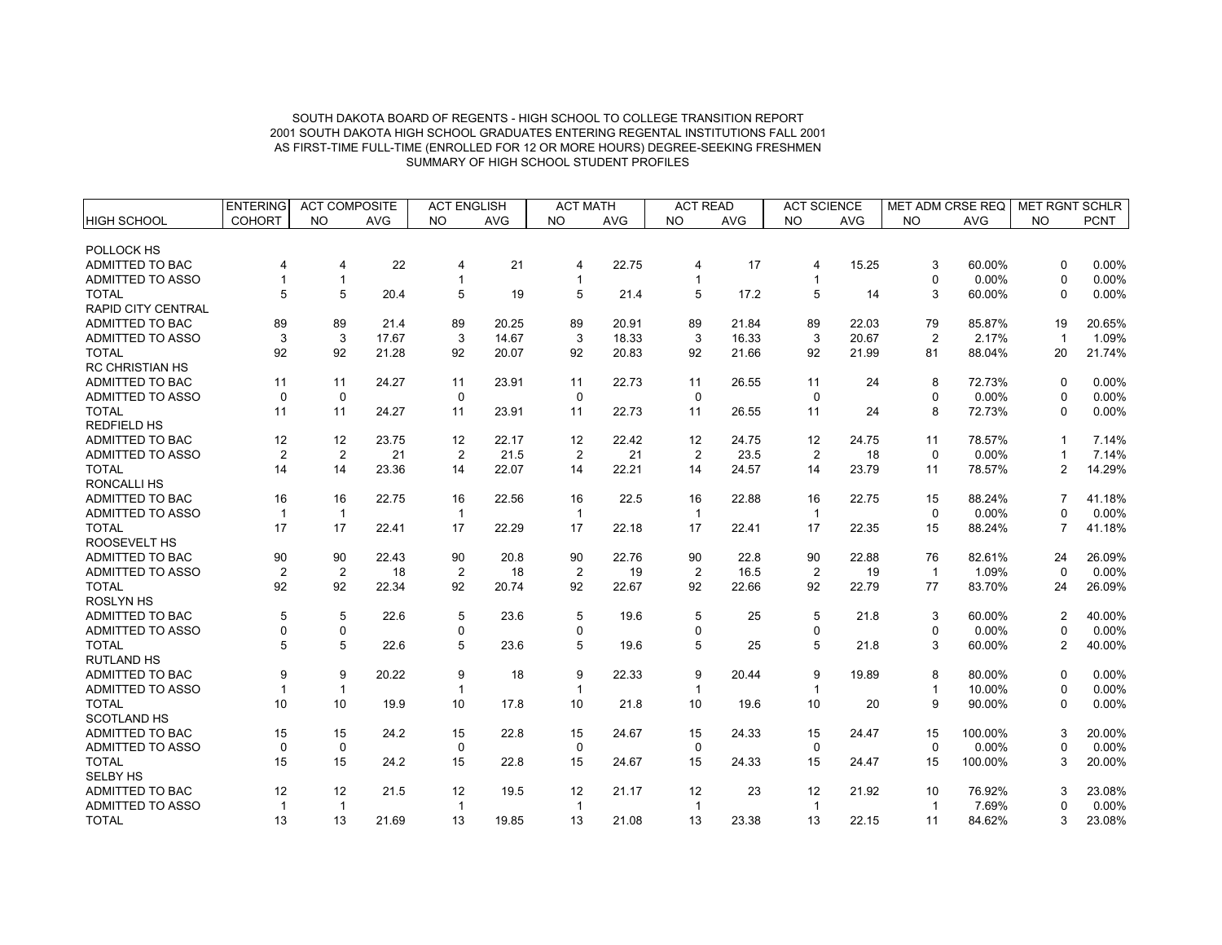|                           | <b>ENTERING</b> | <b>ACT COMPOSITE</b> |            | <b>ACT ENGLISH</b>      |            | <b>ACT MATH</b> |            | <b>ACT READ</b> |            | <b>ACT SCIENCE</b> |            | MET ADM CRSE REQ |            | <b>MET RGNT SCHLR</b> |             |
|---------------------------|-----------------|----------------------|------------|-------------------------|------------|-----------------|------------|-----------------|------------|--------------------|------------|------------------|------------|-----------------------|-------------|
| <b>HIGH SCHOOL</b>        | <b>COHORT</b>   | <b>NO</b>            | <b>AVG</b> | <b>NO</b>               | <b>AVG</b> | <b>NO</b>       | <b>AVG</b> | <b>NO</b>       | <b>AVG</b> | <b>NO</b>          | <b>AVG</b> | <b>NO</b>        | <b>AVG</b> | <b>NO</b>             | <b>PCNT</b> |
|                           |                 |                      |            |                         |            |                 |            |                 |            |                    |            |                  |            |                       |             |
| POLLOCK HS                |                 |                      |            |                         |            |                 |            |                 |            |                    |            |                  |            |                       |             |
| ADMITTED TO BAC           | 4               | 4                    | 22         | 4                       | 21         | 4               | 22.75      | 4               | 17         | 4                  | 15.25      | 3                | 60.00%     | $\Omega$              | 0.00%       |
| ADMITTED TO ASSO          |                 | $\mathbf{1}$         |            | 1                       |            | -1              |            | -1              |            | $\mathbf{1}$       |            | $\mathbf 0$      | 0.00%      | $\Omega$              | 0.00%       |
| <b>TOTAL</b>              | 5               | 5                    | 20.4       | 5                       | 19         | 5               | 21.4       | 5               | 17.2       | 5                  | 14         | 3                | 60.00%     | $\Omega$              | $0.00\%$    |
| <b>RAPID CITY CENTRAL</b> |                 |                      |            |                         |            |                 |            |                 |            |                    |            |                  |            |                       |             |
| ADMITTED TO BAC           | 89              | 89                   | 21.4       | 89                      | 20.25      | 89              | 20.91      | 89              | 21.84      | 89                 | 22.03      | 79               | 85.87%     | 19                    | 20.65%      |
| <b>ADMITTED TO ASSO</b>   | 3               | 3                    | 17.67      | 3                       | 14.67      | 3               | 18.33      | 3               | 16.33      | 3                  | 20.67      | 2                | 2.17%      | $\overline{1}$        | 1.09%       |
| <b>TOTAL</b>              | 92              | 92                   | 21.28      | 92                      | 20.07      | 92              | 20.83      | 92              | 21.66      | 92                 | 21.99      | 81               | 88.04%     | 20                    | 21.74%      |
| <b>RC CHRISTIAN HS</b>    |                 |                      |            |                         |            |                 |            |                 |            |                    |            |                  |            |                       |             |
| ADMITTED TO BAC           | 11              | 11                   | 24.27      | 11                      | 23.91      | 11              | 22.73      | 11              | 26.55      | 11                 | 24         | 8                | 72.73%     | $\Omega$              | 0.00%       |
| ADMITTED TO ASSO          | $\mathbf 0$     | 0                    |            | $\mathbf 0$             |            | 0               |            | $\mathbf 0$     |            | $\mathbf 0$        |            | $\mathbf 0$      | 0.00%      | $\Omega$              | 0.00%       |
| <b>TOTAL</b>              | 11              | 11                   | 24.27      | 11                      | 23.91      | 11              | 22.73      | 11              | 26.55      | 11                 | 24         | 8                | 72.73%     | $\Omega$              | 0.00%       |
| <b>REDFIELD HS</b>        |                 |                      |            |                         |            |                 |            |                 |            |                    |            |                  |            |                       |             |
| ADMITTED TO BAC           | 12              | 12                   | 23.75      | 12                      | 22.17      | 12              | 22.42      | 12              | 24.75      | 12                 | 24.75      | 11               | 78.57%     | -1                    | 7.14%       |
| <b>ADMITTED TO ASSO</b>   | $\overline{2}$  | $\overline{2}$       | 21         | 2                       | 21.5       | $\overline{2}$  | 21         | $\overline{2}$  | 23.5       | $\overline{2}$     | 18         | $\Omega$         | 0.00%      |                       | 7.14%       |
| <b>TOTAL</b>              | 14              | 14                   | 23.36      | 14                      | 22.07      | 14              | 22.21      | 14              | 24.57      | 14                 | 23.79      | 11               | 78.57%     | $\overline{2}$        | 14.29%      |
| <b>RONCALLIHS</b>         |                 |                      |            |                         |            |                 |            |                 |            |                    |            |                  |            |                       |             |
| ADMITTED TO BAC           | 16              | 16                   | 22.75      | 16                      | 22.56      | 16              | 22.5       | 16              | 22.88      | 16                 | 22.75      | 15               | 88.24%     | 7                     | 41.18%      |
| ADMITTED TO ASSO          | $\mathbf{1}$    | $\mathbf{1}$         |            | $\overline{\mathbf{1}}$ |            | $\mathbf{1}$    |            | $\overline{1}$  |            | $\overline{1}$     |            | $\Omega$         | 0.00%      | <sup>0</sup>          | $0.00\%$    |
| <b>TOTAL</b>              | 17              | 17                   | 22.41      | 17                      | 22.29      | 17              | 22.18      | 17              | 22.41      | 17                 | 22.35      | 15               | 88.24%     | $\overline{7}$        | 41.18%      |
| ROOSEVELT HS              |                 |                      |            |                         |            |                 |            |                 |            |                    |            |                  |            |                       |             |
| <b>ADMITTED TO BAC</b>    | 90              | 90                   | 22.43      | 90                      | 20.8       | 90              | 22.76      | 90              | 22.8       | 90                 | 22.88      | 76               | 82.61%     | 24                    | 26.09%      |
| ADMITTED TO ASSO          | $\overline{2}$  | $\overline{2}$       | 18         | $\overline{2}$          | 18         | $\overline{2}$  | 19         | $\overline{2}$  | 16.5       | 2                  | 19         | $\overline{1}$   | 1.09%      | $\Omega$              | 0.00%       |
| <b>TOTAL</b>              | 92              | 92                   | 22.34      | 92                      | 20.74      | 92              | 22.67      | 92              | 22.66      | 92                 | 22.79      | 77               | 83.70%     | 24                    | 26.09%      |
| <b>ROSLYN HS</b>          |                 |                      |            |                         |            |                 |            |                 |            |                    |            |                  |            |                       |             |
| ADMITTED TO BAC           | 5               | 5                    | 22.6       | 5                       | 23.6       | 5               | 19.6       | 5               | 25         | 5                  | 21.8       | 3                | 60.00%     | 2                     | 40.00%      |
| ADMITTED TO ASSO          | $\mathbf 0$     | 0                    |            | $\mathbf 0$             |            | 0               |            | $\Omega$        |            | 0                  |            | 0                | 0.00%      | 0                     | 0.00%       |
| <b>TOTAL</b>              | 5               | 5                    | 22.6       | 5                       | 23.6       | 5               | 19.6       | 5               | 25         | 5                  | 21.8       | 3                | 60.00%     | $\overline{2}$        | 40.00%      |
| <b>RUTLAND HS</b>         |                 |                      |            |                         |            |                 |            |                 |            |                    |            |                  |            |                       |             |
| ADMITTED TO BAC           | 9               | 9                    | 20.22      | 9                       | 18         | 9               | 22.33      | 9               | 20.44      | 9                  | 19.89      | 8                | 80.00%     | n                     | 0.00%       |
| ADMITTED TO ASSO          | -1              | $\mathbf{1}$         |            | $\mathbf 1$             |            | $\mathbf{1}$    |            | $\mathbf{1}$    |            | $\overline{1}$     |            | $\mathbf{1}$     | 10.00%     | 0                     | 0.00%       |
| <b>TOTAL</b>              | 10              | 10                   | 19.9       | 10                      | 17.8       | 10              | 21.8       | 10              | 19.6       | 10                 | 20         | 9                | 90.00%     | 0                     | 0.00%       |
| <b>SCOTLAND HS</b>        |                 |                      |            |                         |            |                 |            |                 |            |                    |            |                  |            |                       |             |
| ADMITTED TO BAC           | 15              | 15                   | 24.2       | 15                      | 22.8       | 15              | 24.67      | 15              | 24.33      | 15                 | 24.47      | 15               | 100.00%    | 3                     | 20.00%      |
| ADMITTED TO ASSO          | $\mathbf 0$     | $\pmb{0}$            |            | $\mathbf 0$             |            | 0               |            | $\mathbf 0$     |            | $\mathbf 0$        |            | $\pmb{0}$        | 0.00%      | 0                     | 0.00%       |
| <b>TOTAL</b>              | 15              | 15                   | 24.2       | 15                      | 22.8       | 15              | 24.67      | 15              | 24.33      | 15                 | 24.47      | 15               | 100.00%    | 3                     | 20.00%      |
| <b>SELBY HS</b>           |                 |                      |            |                         |            |                 |            |                 |            |                    |            |                  |            |                       |             |
| ADMITTED TO BAC           | 12              | 12                   | 21.5       | 12                      | 19.5       | 12              | 21.17      | 12              | 23         | 12                 | 21.92      | 10               | 76.92%     | 3                     | 23.08%      |
| ADMITTED TO ASSO          | $\mathbf{1}$    | $\overline{1}$       |            | $\overline{1}$          |            | $\mathbf{1}$    |            | $\overline{1}$  |            | $\overline{1}$     |            | $\mathbf{1}$     | 7.69%      |                       | 0.00%       |
| <b>TOTAL</b>              | 13              | 13                   | 21.69      | 13                      | 19.85      | 13              | 21.08      | 13              | 23.38      | 13                 | 22.15      | 11               | 84.62%     | 3                     | 23.08%      |
|                           |                 |                      |            |                         |            |                 |            |                 |            |                    |            |                  |            |                       |             |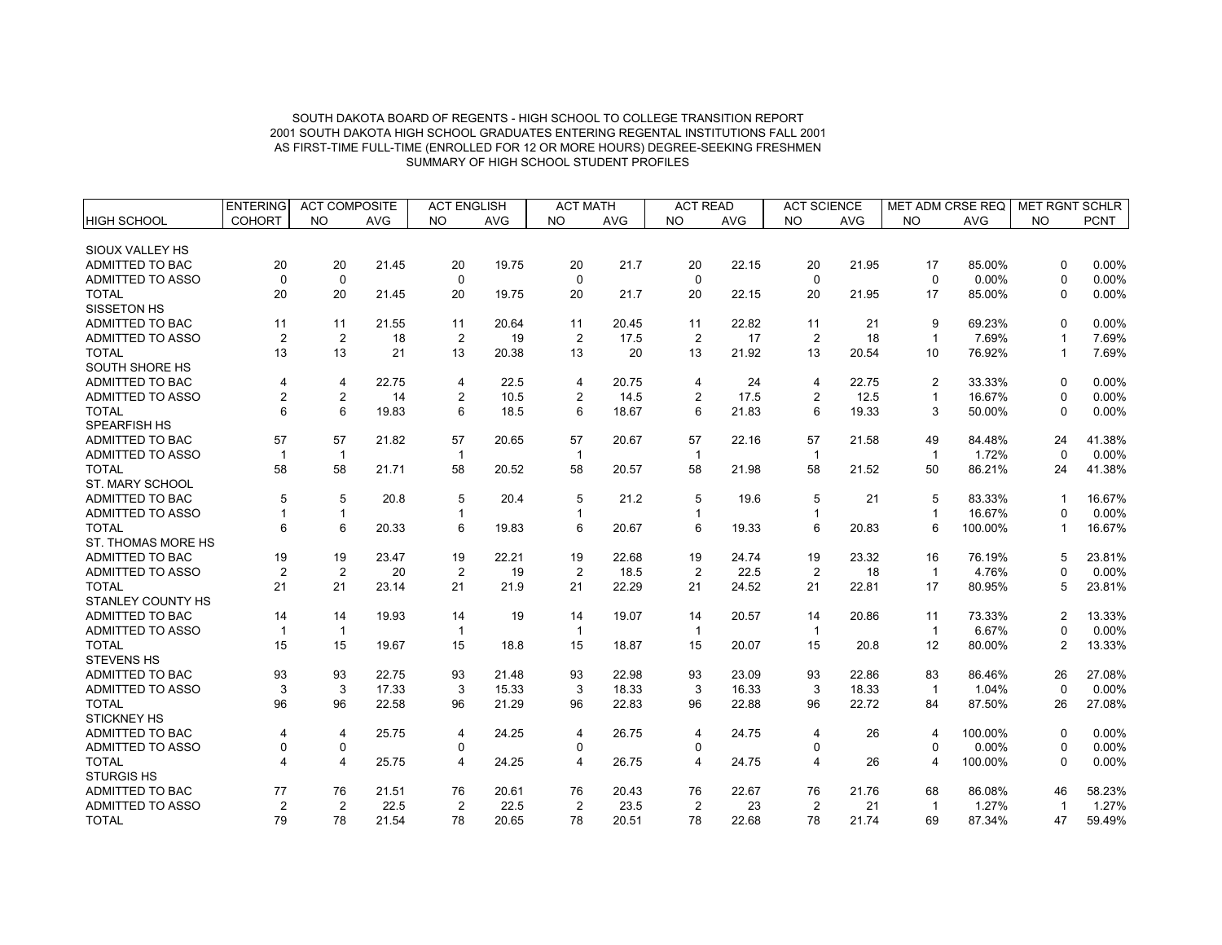|                          | <b>ENTERING</b><br><b>ACT COMPOSITE</b> |                | <b>ACT ENGLISH</b> |                | <b>ACT MATH</b> |                | <b>ACT READ</b> |                | <b>ACT SCIENCE</b> |                | <b>MET ADM CRSE REQ</b> |                | <b>MET RGNT SCHLR</b> |                |             |
|--------------------------|-----------------------------------------|----------------|--------------------|----------------|-----------------|----------------|-----------------|----------------|--------------------|----------------|-------------------------|----------------|-----------------------|----------------|-------------|
| HIGH SCHOOL              | <b>COHORT</b>                           | <b>NO</b>      | <b>AVG</b>         | <b>NO</b>      | <b>AVG</b>      | <b>NO</b>      | <b>AVG</b>      | <b>NO</b>      | <b>AVG</b>         | <b>NO</b>      | <b>AVG</b>              | <b>NO</b>      | <b>AVG</b>            | <b>NO</b>      | <b>PCNT</b> |
|                          |                                         |                |                    |                |                 |                |                 |                |                    |                |                         |                |                       |                |             |
| SIOUX VALLEY HS          |                                         |                |                    |                |                 |                |                 |                |                    |                |                         |                |                       |                |             |
| ADMITTED TO BAC          | 20                                      | 20             | 21.45              | 20             | 19.75           | 20             | 21.7            | 20             | 22.15              | 20             | 21.95                   | 17             | 85.00%                | $\Omega$       | 0.00%       |
| <b>ADMITTED TO ASSO</b>  | $\Omega$                                | $\mathbf 0$    |                    | $\mathbf 0$    |                 | $\mathbf 0$    |                 | $\mathbf 0$    |                    | $\Omega$       |                         | $\mathbf 0$    | 0.00%                 | $\Omega$       | 0.00%       |
| <b>TOTAL</b>             | 20                                      | 20             | 21.45              | 20             | 19.75           | 20             | 21.7            | 20             | 22.15              | 20             | 21.95                   | 17             | 85.00%                | $\Omega$       | $0.00\%$    |
| SISSETON HS              |                                         |                |                    |                |                 |                |                 |                |                    |                |                         |                |                       |                |             |
| ADMITTED TO BAC          | 11                                      | 11             | 21.55              | 11             | 20.64           | 11             | 20.45           | 11             | 22.82              | 11             | 21                      | 9              | 69.23%                | $\Omega$       | 0.00%       |
| ADMITTED TO ASSO         | $\overline{2}$                          | $\overline{2}$ | 18                 | 2              | 19              | $\overline{2}$ | 17.5            | $\overline{2}$ | 17                 | $\overline{2}$ | 18                      | $\mathbf{1}$   | 7.69%                 |                | 7.69%       |
| <b>TOTAL</b>             | 13                                      | 13             | 21                 | 13             | 20.38           | 13             | 20              | 13             | 21.92              | 13             | 20.54                   | 10             | 76.92%                | $\mathbf 1$    | 7.69%       |
| SOUTH SHORE HS           |                                         |                |                    |                |                 |                |                 |                |                    |                |                         |                |                       |                |             |
| ADMITTED TO BAC          | 4                                       | 4              | 22.75              | 4              | 22.5            | 4              | 20.75           | 4              | 24                 | 4              | 22.75                   | 2              | 33.33%                | $\Omega$       | 0.00%       |
| <b>ADMITTED TO ASSO</b>  | $\overline{2}$                          | $\overline{c}$ | 14                 | $\overline{2}$ | 10.5            | $\overline{2}$ | 14.5            | 2              | 17.5               | $\overline{2}$ | 12.5                    | $\mathbf{1}$   | 16.67%                | $\Omega$       | 0.00%       |
| <b>TOTAL</b>             | 6                                       | 6              | 19.83              | 6              | 18.5            | 6              | 18.67           | 6              | 21.83              | 6              | 19.33                   | 3              | 50.00%                | $\Omega$       | 0.00%       |
| <b>SPEARFISH HS</b>      |                                         |                |                    |                |                 |                |                 |                |                    |                |                         |                |                       |                |             |
| ADMITTED TO BAC          | 57                                      | 57             | 21.82              | 57             | 20.65           | 57             | 20.67           | 57             | 22.16              | 57             | 21.58                   | 49             | 84.48%                | 24             | 41.38%      |
| <b>ADMITTED TO ASSO</b>  | $\mathbf 1$                             | $\mathbf{1}$   |                    | $\mathbf{1}$   |                 | $\mathbf{1}$   |                 | $\mathbf{1}$   |                    | $\mathbf{1}$   |                         | $\mathbf{1}$   | 1.72%                 | $\Omega$       | $0.00\%$    |
| <b>TOTAL</b>             | 58                                      | 58             | 21.71              | 58             | 20.52           | 58             | 20.57           | 58             | 21.98              | 58             | 21.52                   | 50             | 86.21%                | 24             | 41.38%      |
| ST. MARY SCHOOL          |                                         |                |                    |                |                 |                |                 |                |                    |                |                         |                |                       |                |             |
| ADMITTED TO BAC          | 5                                       | 5              | 20.8               | 5              | 20.4            | 5              | 21.2            | 5              | 19.6               | 5              | 21                      | 5              | 83.33%                | $\mathbf{1}$   | 16.67%      |
| <b>ADMITTED TO ASSO</b>  |                                         | $\mathbf{1}$   |                    |                |                 | 1              |                 |                |                    | $\mathbf{1}$   |                         | $\mathbf{1}$   | 16.67%                | $\Omega$       | $0.00\%$    |
| <b>TOTAL</b>             | 6                                       | 6              | 20.33              | 6              | 19.83           | 6              | 20.67           | 6              | 19.33              | 6              | 20.83                   | 6              | 100.00%               | $\mathbf{1}$   | 16.67%      |
| ST. THOMAS MORE HS       |                                         |                |                    |                |                 |                |                 |                |                    |                |                         |                |                       |                |             |
| <b>ADMITTED TO BAC</b>   | 19                                      | 19             | 23.47              | 19             | 22.21           | 19             | 22.68           | 19             | 24.74              | 19             | 23.32                   | 16             | 76.19%                | 5              | 23.81%      |
| <b>ADMITTED TO ASSO</b>  | $\overline{2}$                          | 2              | 20                 | 2              | 19              | $\overline{2}$ | 18.5            | $\overline{2}$ | 22.5               | 2              | 18                      | $\mathbf{1}$   | 4.76%                 | $\Omega$       | 0.00%       |
| <b>TOTAL</b>             | 21                                      | 21             | 23.14              | 21             | 21.9            | 21             | 22.29           | 21             | 24.52              | 21             | 22.81                   | 17             | 80.95%                | 5              | 23.81%      |
| <b>STANLEY COUNTY HS</b> |                                         |                |                    |                |                 |                |                 |                |                    |                |                         |                |                       |                |             |
| <b>ADMITTED TO BAC</b>   | 14                                      | 14             | 19.93              | 14             | 19              | 14             | 19.07           | 14             | 20.57              | 14             | 20.86                   | 11             | 73.33%                | 2              | 13.33%      |
| ADMITTED TO ASSO         | $\mathbf{1}$                            | $\mathbf{1}$   |                    | $\mathbf{1}$   |                 | $\mathbf{1}$   |                 | $\overline{1}$ |                    | $\mathbf{1}$   |                         | $\overline{1}$ | 6.67%                 | $\Omega$       | 0.00%       |
| <b>TOTAL</b>             | 15                                      | 15             | 19.67              | 15             | 18.8            | 15             | 18.87           | 15             | 20.07              | 15             | 20.8                    | 12             | 80.00%                | $\overline{2}$ | 13.33%      |
| <b>STEVENS HS</b>        |                                         |                |                    |                |                 |                |                 |                |                    |                |                         |                |                       |                |             |
| <b>ADMITTED TO BAC</b>   | 93                                      | 93             | 22.75              | 93             | 21.48           | 93             | 22.98           | 93             | 23.09              | 93             | 22.86                   | 83             | 86.46%                | 26             | 27.08%      |
| ADMITTED TO ASSO         | 3                                       | 3              | 17.33              | 3              | 15.33           | 3              | 18.33           | 3              | 16.33              | 3              | 18.33                   | $\overline{1}$ | 1.04%                 | $\Omega$       | 0.00%       |
| <b>TOTAL</b>             | 96                                      | 96             | 22.58              | 96             | 21.29           | 96             | 22.83           | 96             | 22.88              | 96             | 22.72                   | 84             | 87.50%                | 26             | 27.08%      |
| <b>STICKNEY HS</b>       |                                         |                |                    |                |                 |                |                 |                |                    |                |                         |                |                       |                |             |
| ADMITTED TO BAC          | 4                                       | 4              | 25.75              | 4              | 24.25           | 4              | 26.75           | 4              | 24.75              | 4              | 26                      | $\overline{4}$ | 100.00%               | $\Omega$       | 0.00%       |
| ADMITTED TO ASSO         | 0                                       | 0              |                    | 0              |                 | $\mathbf 0$    |                 | $\mathbf 0$    |                    | 0              |                         | $\pmb{0}$      | 0.00%                 | 0              | 0.00%       |
| <b>TOTAL</b>             | 4                                       | 4              | 25.75              | 4              | 24.25           | $\overline{4}$ | 26.75           | $\overline{4}$ | 24.75              | 4              | 26                      | $\overline{4}$ | 100.00%               | $\Omega$       | 0.00%       |
| <b>STURGIS HS</b>        |                                         |                |                    |                |                 |                |                 |                |                    |                |                         |                |                       |                |             |
| ADMITTED TO BAC          | 77                                      | 76             | 21.51              | 76             | 20.61           | 76             | 20.43           | 76             | 22.67              | 76             | 21.76                   | 68             | 86.08%                | 46             | 58.23%      |
| <b>ADMITTED TO ASSO</b>  | $\overline{2}$                          | $\overline{2}$ | 22.5               | 2              | 22.5            | $\overline{2}$ | 23.5            | 2              | 23                 | $\overline{2}$ | 21                      | $\overline{1}$ | 1.27%                 | $\overline{1}$ | 1.27%       |
| <b>TOTAL</b>             | 79                                      | 78             | 21.54              | 78             | 20.65           | 78             | 20.51           | 78             | 22.68              | 78             | 21.74                   | 69             | 87.34%                | 47             | 59.49%      |
|                          |                                         |                |                    |                |                 |                |                 |                |                    |                |                         |                |                       |                |             |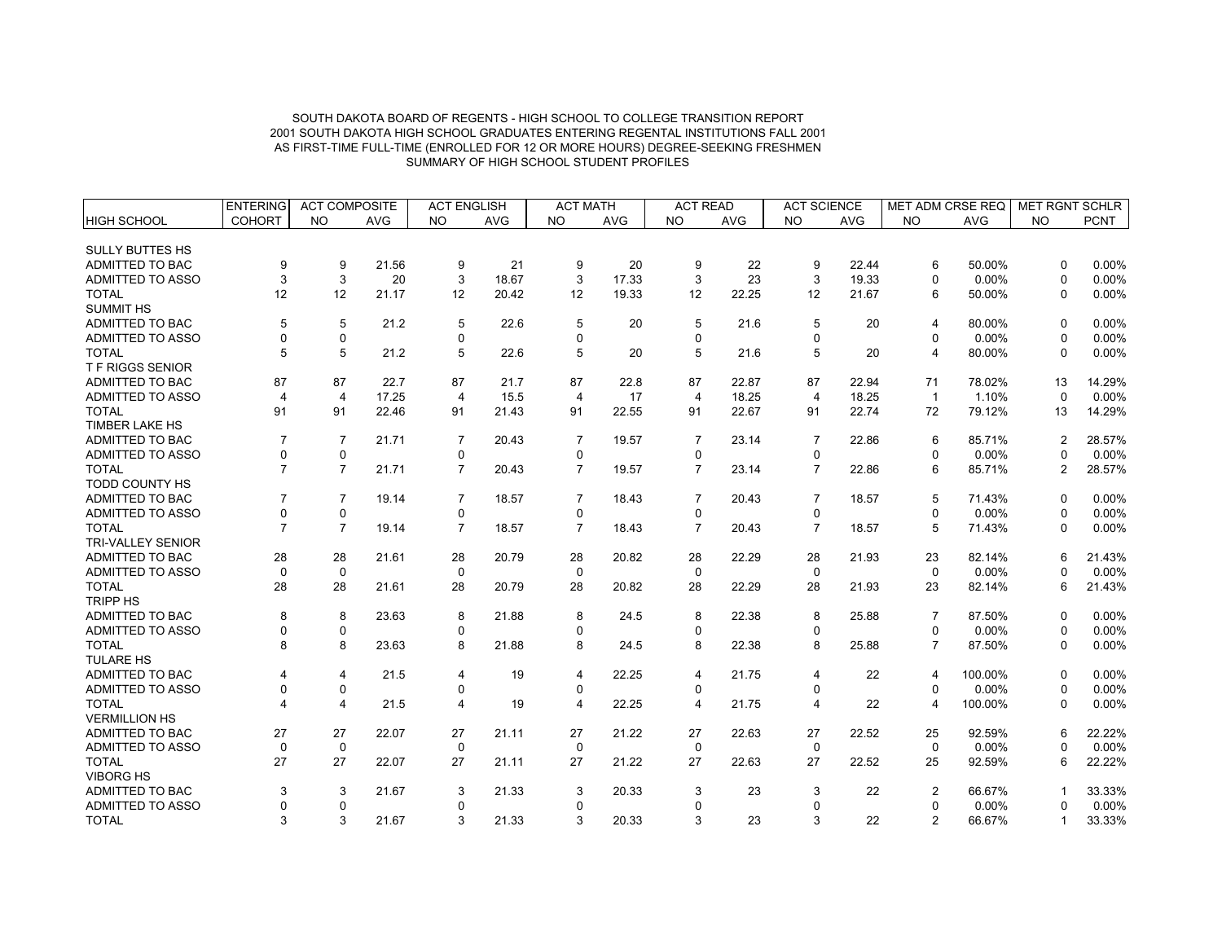|                          | <b>ENTERING</b> | <b>ACT COMPOSITE</b>    |            | <b>ACT ENGLISH</b>      |            | <b>ACT MATH</b> |            | <b>ACT READ</b> |            | <b>ACT SCIENCE</b> |            | MET ADM CRSE REQ |            | MET RGNT SCHLR |             |
|--------------------------|-----------------|-------------------------|------------|-------------------------|------------|-----------------|------------|-----------------|------------|--------------------|------------|------------------|------------|----------------|-------------|
| HIGH SCHOOL              | <b>COHORT</b>   | <b>NO</b>               | <b>AVG</b> | <b>NO</b>               | <b>AVG</b> | <b>NO</b>       | <b>AVG</b> | <b>NO</b>       | <b>AVG</b> | <b>NO</b>          | <b>AVG</b> | <b>NO</b>        | <b>AVG</b> | <b>NO</b>      | <b>PCNT</b> |
|                          |                 |                         |            |                         |            |                 |            |                 |            |                    |            |                  |            |                |             |
| <b>SULLY BUTTES HS</b>   |                 |                         |            |                         |            |                 |            |                 |            |                    |            |                  |            |                |             |
| ADMITTED TO BAC          | 9               | 9                       | 21.56      | 9                       | 21         | 9               | 20         | 9               | 22         | 9                  | 22.44      | 6                | 50.00%     | $\Omega$       | 0.00%       |
| <b>ADMITTED TO ASSO</b>  | 3               | 3                       | 20         | 3                       | 18.67      | 3               | 17.33      | 3               | 23         | 3                  | 19.33      | $\Omega$         | 0.00%      | $\Omega$       | 0.00%       |
| <b>TOTAL</b>             | 12              | 12                      | 21.17      | 12                      | 20.42      | 12              | 19.33      | 12              | 22.25      | 12                 | 21.67      | 6                | 50.00%     | $\Omega$       | 0.00%       |
| <b>SUMMIT HS</b>         |                 |                         |            |                         |            |                 |            |                 |            |                    |            |                  |            |                |             |
| ADMITTED TO BAC          | 5               | 5                       | 21.2       | 5                       | 22.6       | 5               | 20         | 5               | 21.6       | 5                  | 20         | $\overline{4}$   | 80.00%     | $\Omega$       | 0.00%       |
| ADMITTED TO ASSO         | $\Omega$        | 0                       |            | 0                       |            | $\Omega$        |            | 0               |            | $\mathbf 0$        |            | $\mathbf 0$      | 0.00%      | $\Omega$       | 0.00%       |
| <b>TOTAL</b>             | 5               | 5                       | 21.2       | 5                       | 22.6       | 5               | 20         | 5               | 21.6       | 5                  | 20         | $\overline{4}$   | 80.00%     | $\Omega$       | 0.00%       |
| <b>TF RIGGS SENIOR</b>   |                 |                         |            |                         |            |                 |            |                 |            |                    |            |                  |            |                |             |
| ADMITTED TO BAC          | 87              | 87                      | 22.7       | 87                      | 21.7       | 87              | 22.8       | 87              | 22.87      | 87                 | 22.94      | 71               | 78.02%     | 13             | 14.29%      |
| <b>ADMITTED TO ASSO</b>  | 4               | 4                       | 17.25      | $\overline{4}$          | 15.5       | $\overline{4}$  | 17         | $\overline{4}$  | 18.25      | $\overline{4}$     | 18.25      | $\mathbf{1}$     | 1.10%      | $\Omega$       | 0.00%       |
| <b>TOTAL</b>             | 91              | 91                      | 22.46      | 91                      | 21.43      | 91              | 22.55      | 91              | 22.67      | 91                 | 22.74      | 72               | 79.12%     | 13             | 14.29%      |
| <b>TIMBER LAKE HS</b>    |                 |                         |            |                         |            |                 |            |                 |            |                    |            |                  |            |                |             |
| ADMITTED TO BAC          | 7               | $\overline{7}$          | 21.71      | $\overline{7}$          | 20.43      | $\overline{7}$  | 19.57      | $\overline{7}$  | 23.14      | $\overline{7}$     | 22.86      | 6                | 85.71%     | $\overline{2}$ | 28.57%      |
| <b>ADMITTED TO ASSO</b>  | $\Omega$        | 0                       |            | $\Omega$                |            | $\Omega$        |            | $\Omega$        |            | $\mathbf 0$        |            | $\Omega$         | 0.00%      | $\Omega$       | 0.00%       |
| <b>TOTAL</b>             | $\overline{7}$  | $\overline{7}$          | 21.71      | $\overline{7}$          | 20.43      | $\overline{7}$  | 19.57      | $\overline{7}$  | 23.14      | $\overline{7}$     | 22.86      | 6                | 85.71%     | $\overline{2}$ | 28.57%      |
| <b>TODD COUNTY HS</b>    |                 |                         |            |                         |            |                 |            |                 |            |                    |            |                  |            |                |             |
| ADMITTED TO BAC          | $\overline{7}$  | $\overline{7}$          | 19.14      | $\overline{7}$          | 18.57      | $\overline{7}$  | 18.43      | $\overline{7}$  | 20.43      | $\overline{7}$     | 18.57      | 5                | 71.43%     | $\Omega$       | 0.00%       |
| <b>ADMITTED TO ASSO</b>  | $\Omega$        | 0                       |            | $\Omega$                |            | $\Omega$        |            | $\Omega$        |            | $\Omega$           |            | $\Omega$         | 0.00%      | $\Omega$       | 0.00%       |
| <b>TOTAL</b>             | $\overline{7}$  | $\overline{7}$          | 19.14      | $\overline{7}$          | 18.57      | $\overline{7}$  | 18.43      | $\overline{7}$  | 20.43      | $\overline{7}$     | 18.57      | 5                | 71.43%     | $\Omega$       | 0.00%       |
| <b>TRI-VALLEY SENIOR</b> |                 |                         |            |                         |            |                 |            |                 |            |                    |            |                  |            |                |             |
| ADMITTED TO BAC          | 28              | 28                      | 21.61      | 28                      | 20.79      | 28              | 20.82      | 28              | 22.29      | 28                 | 21.93      | 23               | 82.14%     | 6              | 21.43%      |
| <b>ADMITTED TO ASSO</b>  | $\mathbf 0$     | $\mathbf 0$             |            | $\mathbf 0$             |            | $\mathbf 0$     |            | $\mathbf 0$     |            | $\mathbf 0$        |            | $\mathbf 0$      | 0.00%      | $\Omega$       | 0.00%       |
| <b>TOTAL</b>             | 28              | 28                      | 21.61      | 28                      | 20.79      | 28              | 20.82      | 28              | 22.29      | 28                 | 21.93      | 23               | 82.14%     | 6              | 21.43%      |
| <b>TRIPP HS</b>          |                 |                         |            |                         |            |                 |            |                 |            |                    |            |                  |            |                |             |
| <b>ADMITTED TO BAC</b>   | 8               | 8                       | 23.63      | 8                       | 21.88      | 8               | 24.5       | 8               | 22.38      | 8                  | 25.88      | 7                | 87.50%     | $\Omega$       | 0.00%       |
| ADMITTED TO ASSO         | $\Omega$        | 0                       |            | $\mathbf 0$             |            | $\Omega$        |            | 0               |            | 0                  |            | 0                | 0.00%      | $\Omega$       | 0.00%       |
| <b>TOTAL</b>             | 8               | 8                       | 23.63      | 8                       | 21.88      | 8               | 24.5       | 8               | 22.38      | 8                  | 25.88      | $\overline{7}$   | 87.50%     | 0              | $0.00\%$    |
| <b>TULARE HS</b>         |                 |                         |            |                         |            |                 |            |                 |            |                    |            |                  |            |                |             |
| <b>ADMITTED TO BAC</b>   |                 | 4                       | 21.5       | 4                       | 19         | 4               | 22.25      | 4               | 21.75      | 4                  | 22         | $\overline{4}$   | 100.00%    | $\Omega$       | 0.00%       |
| ADMITTED TO ASSO         | $\Omega$        | 0                       |            | $\mathbf 0$             |            | 0               |            | 0               |            | 0                  |            | 0                | 0.00%      | 0              | 0.00%       |
| <b>TOTAL</b>             | 4               | $\overline{\mathbf{4}}$ | 21.5       | $\overline{\mathbf{4}}$ | 19         | 4               | 22.25      | 4               | 21.75      | 4                  | 22         | $\overline{4}$   | 100.00%    | 0              | 0.00%       |
| <b>VERMILLION HS</b>     |                 |                         |            |                         |            |                 |            |                 |            |                    |            |                  |            |                |             |
| <b>ADMITTED TO BAC</b>   | 27              | 27                      | 22.07      | 27                      | 21.11      | 27              | 21.22      | 27              | 22.63      | 27                 | 22.52      | 25               | 92.59%     | 6              | 22.22%      |
| ADMITTED TO ASSO         | $\mathbf 0$     | 0                       |            | $\mathbf 0$             |            | $\mathbf 0$     |            | $\mathbf 0$     |            | $\mathbf 0$        |            | $\mathbf 0$      | 0.00%      | $\Omega$       | 0.00%       |
| <b>TOTAL</b>             | 27              | 27                      | 22.07      | 27                      | 21.11      | 27              | 21.22      | 27              | 22.63      | 27                 | 22.52      | 25               | 92.59%     | 6              | 22.22%      |
| <b>VIBORG HS</b>         |                 |                         |            |                         |            |                 |            |                 |            |                    |            |                  |            |                |             |
| ADMITTED TO BAC          | 3               | 3                       | 21.67      | 3                       | 21.33      | 3               | 20.33      | 3               | 23         | 3                  | 22         | 2                | 66.67%     |                | 33.33%      |
| <b>ADMITTED TO ASSO</b>  | $\Omega$        | 0                       |            | $\mathbf 0$             |            | $\mathbf 0$     |            | $\mathbf 0$     |            | $\Omega$           |            | $\mathbf 0$      | 0.00%      | $\Omega$       | 0.00%       |
| <b>TOTAL</b>             | 3               | 3                       | 21.67      | 3                       | 21.33      | 3               | 20.33      | 3               | 23         | 3                  | 22         | 2                | 66.67%     | 1              | 33.33%      |
|                          |                 |                         |            |                         |            |                 |            |                 |            |                    |            |                  |            |                |             |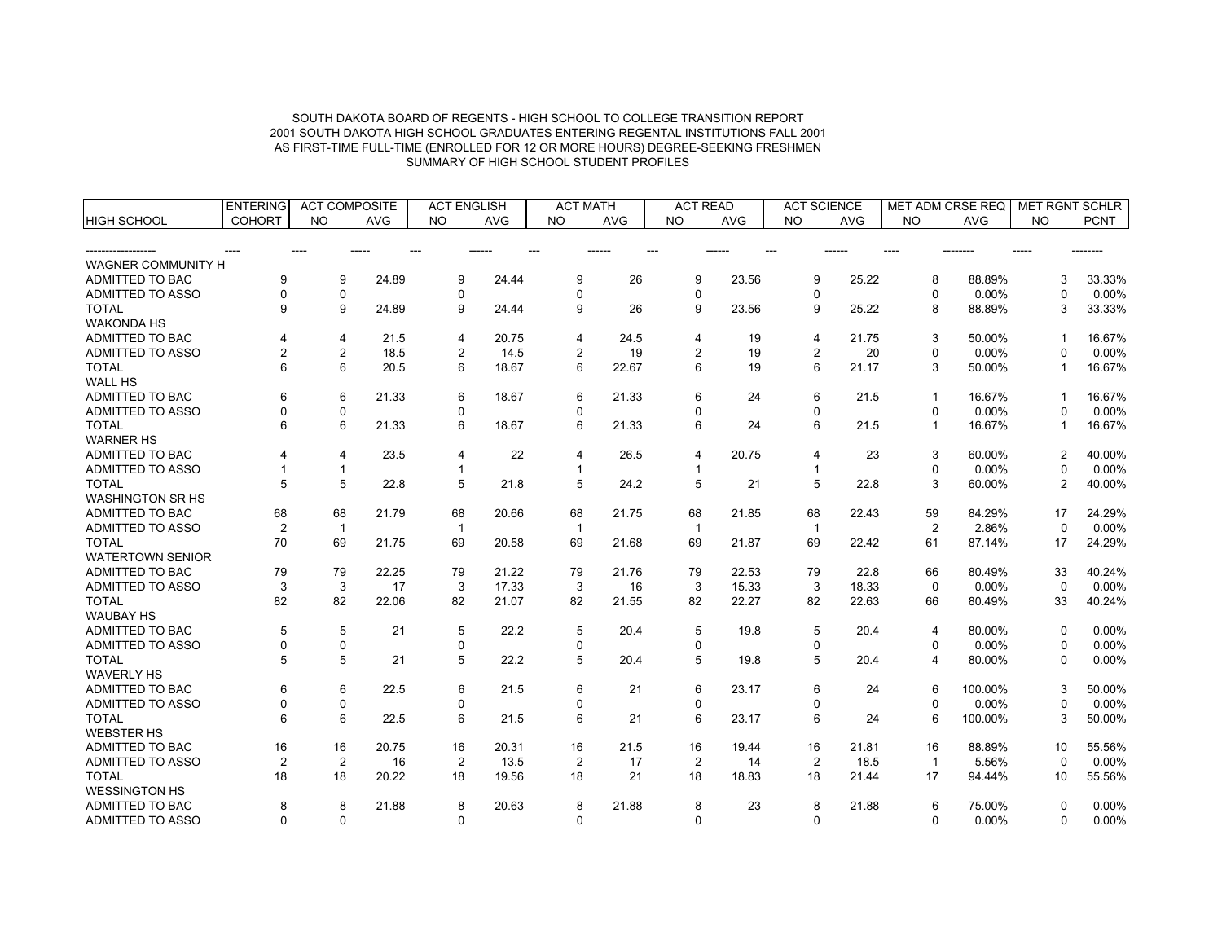|                           | <b>ENTERING</b> | <b>ACT COMPOSITE</b> |            | <b>ACT ENGLISH</b> |            | <b>ACT MATH</b> |       | <b>ACT READ</b> |            | <b>ACT SCIENCE</b> |            | <b>MET ADM CRSE REQ</b> |            | <b>MET RGNT SCHLR</b> |             |
|---------------------------|-----------------|----------------------|------------|--------------------|------------|-----------------|-------|-----------------|------------|--------------------|------------|-------------------------|------------|-----------------------|-------------|
| <b>HIGH SCHOOL</b>        | <b>COHORT</b>   | <b>NO</b>            | <b>AVG</b> | <b>NO</b>          | <b>AVG</b> | <b>NO</b>       | AVG   | <b>NO</b>       | <b>AVG</b> | <b>NO</b>          | <b>AVG</b> | <b>NO</b>               | <b>AVG</b> | <b>NO</b>             | <b>PCNT</b> |
|                           |                 |                      |            |                    |            |                 |       |                 |            |                    |            |                         |            |                       |             |
|                           |                 |                      |            |                    |            |                 |       |                 |            |                    |            |                         |            |                       |             |
| <b>WAGNER COMMUNITY H</b> |                 |                      |            |                    |            |                 |       |                 |            |                    |            |                         |            |                       |             |
| ADMITTED TO BAC           | 9               | 9                    | 24.89      | 9                  | 24.44      | 9               | 26    | 9               | 23.56      | 9                  | 25.22      | 8                       | 88.89%     | 3                     | 33.33%      |
| ADMITTED TO ASSO          | 0               | 0                    |            | $\mathbf 0$        |            | 0               |       | 0               |            | $\mathbf 0$        |            | $\mathbf 0$             | 0.00%      | 0                     | 0.00%       |
| <b>TOTAL</b>              | 9               | 9                    | 24.89      | 9                  | 24.44      | 9               | 26    | 9               | 23.56      | 9                  | 25.22      | 8                       | 88.89%     | 3                     | 33.33%      |
| <b>WAKONDA HS</b>         |                 |                      |            |                    |            |                 |       |                 |            |                    |            |                         |            |                       |             |
| ADMITTED TO BAC           | 4               | 4                    | 21.5       | 4                  | 20.75      | 4               | 24.5  | 4               | 19         | $\overline{4}$     | 21.75      | 3                       | 50.00%     | $\mathbf{1}$          | 16.67%      |
| <b>ADMITTED TO ASSO</b>   | 2               | $\overline{c}$       | 18.5       | $\overline{2}$     | 14.5       | $\overline{2}$  | 19    | $\overline{2}$  | 19         | $\overline{c}$     | 20         | 0                       | 0.00%      | $\Omega$              | 0.00%       |
| <b>TOTAL</b>              | 6               | 6                    | 20.5       | 6                  | 18.67      | 6               | 22.67 | 6               | 19         | 6                  | 21.17      | 3                       | 50.00%     | $\mathbf{1}$          | 16.67%      |
| <b>WALL HS</b>            |                 |                      |            |                    |            |                 |       |                 |            |                    |            |                         |            |                       |             |
| ADMITTED TO BAC           | 6               | 6                    | 21.33      | 6                  | 18.67      | 6               | 21.33 | 6               | 24         | 6                  | 21.5       | 1                       | 16.67%     | -1                    | 16.67%      |
| ADMITTED TO ASSO          | 0               | $\pmb{0}$            |            | $\mathbf 0$        |            | $\mathbf 0$     |       | 0               |            | 0                  |            | $\Omega$                | 0.00%      | $\Omega$              | 0.00%       |
| <b>TOTAL</b>              | 6               | 6                    | 21.33      | 6                  | 18.67      | 6               | 21.33 | 6               | 24         | 6                  | 21.5       | 1                       | 16.67%     | -1                    | 16.67%      |
| <b>WARNER HS</b>          |                 |                      |            |                    |            |                 |       |                 |            |                    |            |                         |            |                       |             |
| ADMITTED TO BAC           |                 | $\overline{4}$       | 23.5       | $\overline{4}$     | 22         | $\overline{4}$  | 26.5  | 4               | 20.75      | $\overline{4}$     | 23         | 3                       | 60.00%     | $\overline{2}$        | 40.00%      |
| ADMITTED TO ASSO          |                 | $\mathbf{1}$         |            | $\mathbf{1}$       |            | $\mathbf{1}$    |       | $\mathbf{1}$    |            | $\mathbf{1}$       |            | $\mathbf 0$             | 0.00%      | 0                     | 0.00%       |
| <b>TOTAL</b>              | 5               | 5                    | 22.8       | 5                  | 21.8       | 5               | 24.2  | 5               | 21         | 5                  | 22.8       | 3                       | 60.00%     | 2                     | 40.00%      |
| <b>WASHINGTON SR HS</b>   |                 |                      |            |                    |            |                 |       |                 |            |                    |            |                         |            |                       |             |
| ADMITTED TO BAC           | 68              | 68                   | 21.79      | 68                 | 20.66      | 68              | 21.75 | 68              | 21.85      | 68                 | 22.43      | 59                      | 84.29%     | 17                    | 24.29%      |
| ADMITTED TO ASSO          | 2               | $\overline{1}$       |            | $\mathbf{1}$       |            | $\mathbf{1}$    |       | -1              |            | $\mathbf{1}$       |            | $\overline{2}$          | 2.86%      | $\mathbf{0}$          | 0.00%       |
| <b>TOTAL</b>              | 70              | 69                   | 21.75      | 69                 | 20.58      | 69              | 21.68 | 69              | 21.87      | 69                 | 22.42      | 61                      | 87.14%     | 17                    | 24.29%      |
| <b>WATERTOWN SENIOR</b>   |                 |                      |            |                    |            |                 |       |                 |            |                    |            |                         |            |                       |             |
| ADMITTED TO BAC           | 79              | 79                   | 22.25      | 79                 | 21.22      | 79              | 21.76 | 79              | 22.53      | 79                 | 22.8       | 66                      | 80.49%     | 33                    | 40.24%      |
| <b>ADMITTED TO ASSO</b>   | 3               | 3                    | 17         | 3                  | 17.33      | 3               | 16    | 3               | 15.33      | 3                  | 18.33      | $\Omega$                | $0.00\%$   | $\Omega$              | 0.00%       |
| <b>TOTAL</b>              | 82              | 82                   | 22.06      | 82                 | 21.07      | 82              | 21.55 | 82              | 22.27      | 82                 | 22.63      | 66                      | 80.49%     | 33                    | 40.24%      |
| <b>WAUBAY HS</b>          |                 |                      |            |                    |            |                 |       |                 |            |                    |            |                         |            |                       |             |
| ADMITTED TO BAC           | 5               | 5                    | 21         | 5                  | 22.2       | 5               | 20.4  | 5               | 19.8       | 5                  | 20.4       | 4                       | 80.00%     | $\mathbf{0}$          | 0.00%       |
| ADMITTED TO ASSO          | 0               | $\pmb{0}$            |            | $\mathbf 0$        |            | 0               |       | 0               |            | 0                  |            | $\Omega$                | 0.00%      | $\Omega$              | 0.00%       |
| <b>TOTAL</b>              | 5               | 5                    | 21         | 5                  | 22.2       | 5               | 20.4  | 5               | 19.8       | 5                  | 20.4       | 4                       | 80.00%     | 0                     | 0.00%       |
| <b>WAVERLY HS</b>         |                 |                      |            |                    |            |                 |       |                 |            |                    |            |                         |            |                       |             |
| ADMITTED TO BAC           | 6               | 6                    | 22.5       | 6                  | 21.5       | 6               | 21    | 6               | 23.17      | 6                  | 24         | 6                       | 100.00%    | 3                     | 50.00%      |
| <b>ADMITTED TO ASSO</b>   | 0               | $\mathbf 0$          |            | $\mathbf 0$        |            | 0               |       | 0               |            | 0                  |            | $\Omega$                | 0.00%      | 0                     | 0.00%       |
| <b>TOTAL</b>              | 6               | 6                    | 22.5       | 6                  | 21.5       | 6               | 21    | 6               | 23.17      | 6                  | 24         | 6                       | 100.00%    | 3                     | 50.00%      |
| <b>WEBSTER HS</b>         |                 |                      |            |                    |            |                 |       |                 |            |                    |            |                         |            |                       |             |
| ADMITTED TO BAC           | 16              | 16                   | 20.75      | 16                 | 20.31      | 16              | 21.5  | 16              | 19.44      | 16                 | 21.81      | 16                      | 88.89%     | 10                    | 55.56%      |
| ADMITTED TO ASSO          | $\overline{2}$  | 2                    | 16         | $\overline{2}$     | 13.5       | $\overline{2}$  | 17    | $\overline{2}$  | 14         | $\overline{2}$     | 18.5       | $\overline{1}$          | 5.56%      | $\mathbf{0}$          | 0.00%       |
| <b>TOTAL</b>              | 18              | 18                   | 20.22      | 18                 | 19.56      | 18              | 21    | 18              | 18.83      | 18                 | 21.44      | 17                      | 94.44%     | 10 <sup>1</sup>       | 55.56%      |
| <b>WESSINGTON HS</b>      |                 |                      |            |                    |            |                 |       |                 |            |                    |            |                         |            |                       |             |
| ADMITTED TO BAC           |                 |                      | 21.88      |                    |            |                 |       |                 |            |                    |            |                         |            |                       |             |
|                           | 8               | 8                    |            | 8                  | 20.63      | 8<br>$\Omega$   | 21.88 | 8               | 23         | 8<br>$\Omega$      | 21.88      | 6                       | 75.00%     | 0                     | 0.00%       |
| ADMITTED TO ASSO          | $\Omega$        | $\Omega$             |            | $\Omega$           |            |                 |       | $\Omega$        |            |                    |            | $\Omega$                | 0.00%      | $\Omega$              | 0.00%       |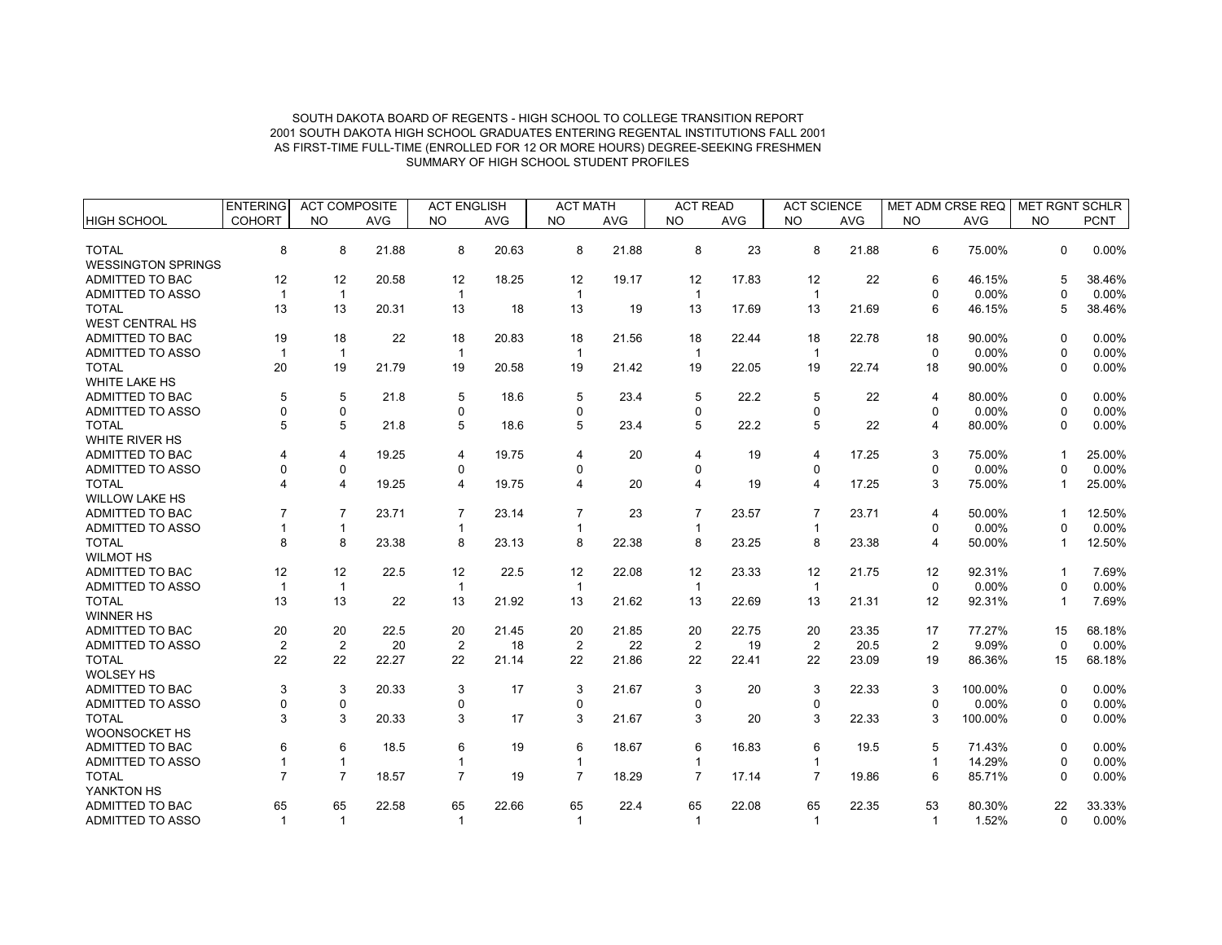|                           | <b>ENTERING</b>   | <b>ACT COMPOSITE</b>    |            | <b>ACT ENGLISH</b> |            | <b>ACT MATH</b> |            | <b>ACT READ</b>      |            | <b>ACT SCIENCE</b> |            | MET ADM CRSE REQ     |            | <b>MET RGNT SCHLR</b> |                 |
|---------------------------|-------------------|-------------------------|------------|--------------------|------------|-----------------|------------|----------------------|------------|--------------------|------------|----------------------|------------|-----------------------|-----------------|
| <b>HIGH SCHOOL</b>        | <b>COHORT</b>     | <b>NO</b>               | <b>AVG</b> | <b>NO</b>          | <b>AVG</b> | <b>NO</b>       | <b>AVG</b> | <b>NO</b>            | <b>AVG</b> | <b>NO</b>          | <b>AVG</b> | <b>NO</b>            | <b>AVG</b> | <b>NO</b>             | <b>PCNT</b>     |
|                           |                   |                         |            |                    |            |                 |            |                      |            |                    |            |                      |            |                       |                 |
| <b>TOTAL</b>              | 8                 | 8                       | 21.88      | 8                  | 20.63      | 8               | 21.88      | 8                    | 23         | 8                  | 21.88      | 6                    | 75.00%     | $\Omega$              | 0.00%           |
| <b>WESSINGTON SPRINGS</b> |                   |                         |            |                    |            |                 |            |                      |            |                    |            |                      |            |                       |                 |
| ADMITTED TO BAC           | 12                | 12                      | 20.58      | 12                 | 18.25      | 12              | 19.17      | 12                   | 17.83      | 12                 | 22         | 6                    | 46.15%     | 5                     | 38.46%          |
| ADMITTED TO ASSO          |                   | $\mathbf{1}$            |            |                    |            |                 |            |                      |            | 1                  |            | $\Omega$             | 0.00%      |                       | 0.00%           |
| <b>TOTAL</b>              | 13                | 13                      | 20.31      | 13                 | 18         | 13              | 19         | 13                   | 17.69      | 13                 | 21.69      | 6                    | 46.15%     | 5                     | 38.46%          |
| <b>WEST CENTRAL HS</b>    |                   |                         |            |                    |            |                 |            |                      |            |                    |            |                      |            |                       |                 |
| ADMITTED TO BAC           | 19                | 18                      | 22         | 18                 | 20.83      | 18              | 21.56      | 18                   | 22.44      | 18                 | 22.78      | 18                   | 90.00%     | $\Omega$              | 0.00%           |
| ADMITTED TO ASSO          | 1                 | $\mathbf{1}$            |            | $\mathbf{1}$       |            | -1              |            |                      |            | $\mathbf{1}$       |            | $\Omega$             | 0.00%      | $\Omega$              | 0.00%           |
| <b>TOTAL</b>              | 20                | 19                      | 21.79      | 19                 | 20.58      | 19              | 21.42      | 19                   | 22.05      | 19                 | 22.74      | 18                   | 90.00%     | $\Omega$              | 0.00%           |
| WHITE LAKE HS             |                   |                         |            |                    |            |                 |            |                      |            |                    |            |                      |            |                       |                 |
| ADMITTED TO BAC           | 5                 | 5                       | 21.8       | 5                  | 18.6       | 5               | 23.4       | 5                    | 22.2       | 5                  | 22         | 4                    | 80.00%     | $\Omega$              | 0.00%           |
| ADMITTED TO ASSO          |                   | 0                       |            | 0                  |            | $\Omega$        |            | U                    |            | $\Omega$           |            | $\Omega$             | 0.00%      | $\Omega$              | 0.00%           |
| <b>TOTAL</b>              | 5                 | 5                       | 21.8       | 5                  | 18.6       | 5               | 23.4       | 5                    | 22.2       | 5                  | 22         | 4                    | 80.00%     | $\Omega$              | 0.00%           |
| WHITE RIVER HS            |                   |                         |            |                    |            |                 |            |                      |            |                    |            |                      |            |                       |                 |
| <b>ADMITTED TO BAC</b>    |                   | 4                       | 19.25      | 4                  | 19.75      | 4               | 20         | 4                    | 19         | 4                  | 17.25      | 3                    | 75.00%     |                       | 25.00%          |
| ADMITTED TO ASSO          |                   | $\mathbf 0$             |            | $\Omega$           |            | $\Omega$        |            | $\Omega$             |            | 0                  |            | $\Omega$             | 0.00%      | $\Omega$              | 0.00%           |
| <b>TOTAL</b>              |                   | $\overline{\mathbf{4}}$ | 19.25      | 4                  | 19.75      | 4               | 20         | 4                    | 19         | 4                  | 17.25      | 3                    | 75.00%     |                       | 25.00%          |
| <b>WILLOW LAKE HS</b>     |                   |                         |            |                    |            |                 |            |                      |            |                    |            |                      |            |                       |                 |
| ADMITTED TO BAC           |                   | $\overline{7}$          | 23.71      | $\overline{7}$     | 23.14      | $\overline{7}$  | 23         |                      | 23.57      | $\overline{7}$     | 23.71      | 4                    | 50.00%     |                       | 12.50%          |
| ADMITTED TO ASSO          |                   | $\mathbf{1}$            |            | $\mathbf{1}$       |            |                 |            |                      |            | $\mathbf{1}$       |            | $\mathbf 0$          | 0.00%      | $\Omega$              | 0.00%           |
| <b>TOTAL</b>              | 8                 | 8                       | 23.38      | 8                  | 23.13      | 8               | 22.38      | 8                    | 23.25      | 8                  | 23.38      | 4                    | 50.00%     |                       | 12.50%          |
| <b>WILMOT HS</b>          |                   |                         |            |                    |            |                 |            |                      |            |                    |            |                      |            |                       |                 |
| ADMITTED TO BAC           | 12                | 12                      | 22.5       | 12                 | 22.5       | 12              | 22.08      | 12                   | 23.33      | 12                 | 21.75      | 12                   | 92.31%     |                       | 7.69%           |
| ADMITTED TO ASSO          | $\mathbf 1$       | $\mathbf{1}$            |            | $\mathbf{1}$       |            | $\mathbf{1}$    |            | $\mathbf{1}$         |            | $\mathbf{1}$       |            | $\Omega$             | 0.00%      | $\Omega$              | 0.00%           |
| <b>TOTAL</b>              | 13                | 13                      | 22         | 13                 | 21.92      | 13              | 21.62      | 13                   | 22.69      | 13                 | 21.31      | 12                   | 92.31%     |                       | 7.69%           |
| <b>WINNER HS</b>          |                   |                         |            |                    |            |                 |            |                      |            |                    |            |                      |            |                       |                 |
| <b>ADMITTED TO BAC</b>    | 20                | 20                      | 22.5       | 20                 | 21.45      | 20              | 21.85      | 20                   | 22.75      | 20                 | 23.35      | 17                   | 77.27%     | 15                    | 68.18%          |
| ADMITTED TO ASSO          | $\overline{c}$    | $\overline{2}$          | 20         | $\overline{2}$     | 18         | $\overline{2}$  | 22         | $\overline{2}$       | 19         | $\overline{2}$     | 20.5       | $\overline{2}$       | 9.09%      | $\Omega$              | 0.00%           |
| <b>TOTAL</b>              | 22                | 22                      | 22.27      | 22                 | 21.14      | 22              | 21.86      | 22                   | 22.41      | 22                 | 23.09      | 19                   | 86.36%     | 15                    | 68.18%          |
| <b>WOLSEY HS</b>          |                   |                         |            |                    |            |                 |            |                      |            |                    |            |                      |            |                       |                 |
| ADMITTED TO BAC           | 3                 | 3                       | 20.33      | 3                  | 17         | 3               | 21.67      | 3                    | 20         | 3                  | 22.33      | 3                    | 100.00%    | $\Omega$              | 0.00%           |
| ADMITTED TO ASSO          |                   | $\mathbf 0$             |            | 0                  |            | $\mathbf 0$     |            | 0                    |            | 0                  |            | $\mathbf 0$          | 0.00%      | 0                     | 0.00%           |
| <b>TOTAL</b>              | 3                 | 3                       | 20.33      | 3                  | 17         | 3               | 21.67      | 3                    | 20         | 3                  | 22.33      | 3                    | 100.00%    | $\Omega$              | 0.00%           |
| WOONSOCKET HS             |                   |                         |            |                    |            |                 |            |                      |            |                    |            |                      |            |                       |                 |
| ADMITTED TO BAC           | 6                 | 6                       | 18.5       | 6                  | 19         | 6               | 18.67      | 6                    | 16.83      | 6                  | 19.5       | 5                    | 71.43%     | $\Omega$              | 0.00%           |
| ADMITTED TO ASSO          |                   | $\mathbf{1}$            |            | 1                  |            |                 |            |                      |            | $\mathbf{1}$       |            | $\mathbf{1}$         | 14.29%     | 0                     | 0.00%           |
| <b>TOTAL</b>              |                   | $\overline{7}$          | 18.57      | $\overline{7}$     | 19         | $\overline{7}$  | 18.29      | $\overline{7}$       | 17.14      | $\overline{7}$     | 19.86      | 6                    | 85.71%     | $\Omega$              | 0.00%           |
| YANKTON HS                |                   |                         |            |                    |            |                 |            |                      |            |                    |            |                      |            |                       |                 |
| <b>ADMITTED TO BAC</b>    |                   | 65                      | 22.58      | 65                 | 22.66      | 65              | 22.4       |                      | 22.08      | 65                 | 22.35      |                      | 80.30%     | 22                    |                 |
|                           |                   |                         |            |                    |            |                 |            |                      |            |                    |            |                      |            |                       |                 |
| <b>ADMITTED TO ASSO</b>   | 65<br>$\mathbf 1$ | $\mathbf{1}$            |            | $\mathbf{1}$       |            | $\mathbf{1}$    |            | 65<br>$\overline{1}$ |            | $\mathbf{1}$       |            | 53<br>$\overline{1}$ | 1.52%      | $\Omega$              | 33.33%<br>0.00% |